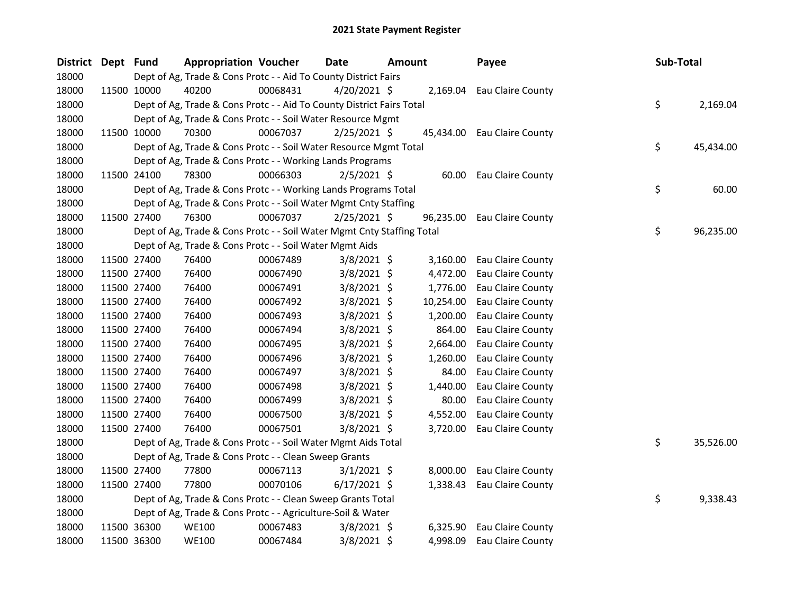| <b>District</b> | Dept Fund |             | <b>Appropriation Voucher</b>                                           |          | <b>Date</b>    | <b>Amount</b> |           | Payee                       | Sub-Total |           |
|-----------------|-----------|-------------|------------------------------------------------------------------------|----------|----------------|---------------|-----------|-----------------------------|-----------|-----------|
| 18000           |           |             | Dept of Ag, Trade & Cons Protc - - Aid To County District Fairs        |          |                |               |           |                             |           |           |
| 18000           |           | 11500 10000 | 40200                                                                  | 00068431 | $4/20/2021$ \$ |               | 2,169.04  | Eau Claire County           |           |           |
| 18000           |           |             | Dept of Ag, Trade & Cons Protc - - Aid To County District Fairs Total  |          |                |               |           |                             | \$        | 2,169.04  |
| 18000           |           |             | Dept of Ag, Trade & Cons Protc - - Soil Water Resource Mgmt            |          |                |               |           |                             |           |           |
| 18000           |           | 11500 10000 | 70300                                                                  | 00067037 | $2/25/2021$ \$ |               |           | 45,434.00 Eau Claire County |           |           |
| 18000           |           |             | Dept of Ag, Trade & Cons Protc - - Soil Water Resource Mgmt Total      |          |                |               |           |                             | \$        | 45,434.00 |
| 18000           |           |             | Dept of Ag, Trade & Cons Protc - - Working Lands Programs              |          |                |               |           |                             |           |           |
| 18000           |           | 11500 24100 | 78300                                                                  | 00066303 | $2/5/2021$ \$  |               | 60.00     | Eau Claire County           |           |           |
| 18000           |           |             | Dept of Ag, Trade & Cons Protc - - Working Lands Programs Total        |          |                |               |           |                             | \$        | 60.00     |
| 18000           |           |             | Dept of Ag, Trade & Cons Protc - - Soil Water Mgmt Cnty Staffing       |          |                |               |           |                             |           |           |
| 18000           |           | 11500 27400 | 76300                                                                  | 00067037 | $2/25/2021$ \$ |               | 96,235.00 | Eau Claire County           |           |           |
| 18000           |           |             | Dept of Ag, Trade & Cons Protc - - Soil Water Mgmt Cnty Staffing Total |          |                |               |           |                             | \$        | 96,235.00 |
| 18000           |           |             | Dept of Ag, Trade & Cons Protc - - Soil Water Mgmt Aids                |          |                |               |           |                             |           |           |
| 18000           |           | 11500 27400 | 76400                                                                  | 00067489 | $3/8/2021$ \$  |               | 3,160.00  | Eau Claire County           |           |           |
| 18000           |           | 11500 27400 | 76400                                                                  | 00067490 | $3/8/2021$ \$  |               | 4,472.00  | Eau Claire County           |           |           |
| 18000           |           | 11500 27400 | 76400                                                                  | 00067491 | 3/8/2021 \$    |               | 1,776.00  | Eau Claire County           |           |           |
| 18000           |           | 11500 27400 | 76400                                                                  | 00067492 | $3/8/2021$ \$  |               | 10,254.00 | Eau Claire County           |           |           |
| 18000           |           | 11500 27400 | 76400                                                                  | 00067493 | $3/8/2021$ \$  |               | 1,200.00  | Eau Claire County           |           |           |
| 18000           |           | 11500 27400 | 76400                                                                  | 00067494 | $3/8/2021$ \$  |               | 864.00    | Eau Claire County           |           |           |
| 18000           |           | 11500 27400 | 76400                                                                  | 00067495 | $3/8/2021$ \$  |               | 2,664.00  | Eau Claire County           |           |           |
| 18000           |           | 11500 27400 | 76400                                                                  | 00067496 | $3/8/2021$ \$  |               | 1,260.00  | Eau Claire County           |           |           |
| 18000           |           | 11500 27400 | 76400                                                                  | 00067497 | $3/8/2021$ \$  |               | 84.00     | Eau Claire County           |           |           |
| 18000           |           | 11500 27400 | 76400                                                                  | 00067498 | $3/8/2021$ \$  |               | 1,440.00  | Eau Claire County           |           |           |
| 18000           |           | 11500 27400 | 76400                                                                  | 00067499 | $3/8/2021$ \$  |               | 80.00     | Eau Claire County           |           |           |
| 18000           |           | 11500 27400 | 76400                                                                  | 00067500 | $3/8/2021$ \$  |               | 4,552.00  | Eau Claire County           |           |           |
| 18000           |           | 11500 27400 | 76400                                                                  | 00067501 | 3/8/2021 \$    |               | 3,720.00  | Eau Claire County           |           |           |
| 18000           |           |             | Dept of Ag, Trade & Cons Protc - - Soil Water Mgmt Aids Total          |          |                |               |           |                             | \$        | 35,526.00 |
| 18000           |           |             | Dept of Ag, Trade & Cons Protc - - Clean Sweep Grants                  |          |                |               |           |                             |           |           |
| 18000           |           | 11500 27400 | 77800                                                                  | 00067113 | $3/1/2021$ \$  |               | 8,000.00  | Eau Claire County           |           |           |
| 18000           |           | 11500 27400 | 77800                                                                  | 00070106 | $6/17/2021$ \$ |               | 1,338.43  | Eau Claire County           |           |           |
| 18000           |           |             | Dept of Ag, Trade & Cons Protc - - Clean Sweep Grants Total            |          |                |               |           |                             | \$        | 9,338.43  |
| 18000           |           |             | Dept of Ag, Trade & Cons Protc - - Agriculture-Soil & Water            |          |                |               |           |                             |           |           |
| 18000           |           | 11500 36300 | <b>WE100</b>                                                           | 00067483 | $3/8/2021$ \$  |               | 6,325.90  | Eau Claire County           |           |           |
| 18000           |           | 11500 36300 | <b>WE100</b>                                                           | 00067484 | 3/8/2021 \$    |               | 4,998.09  | Eau Claire County           |           |           |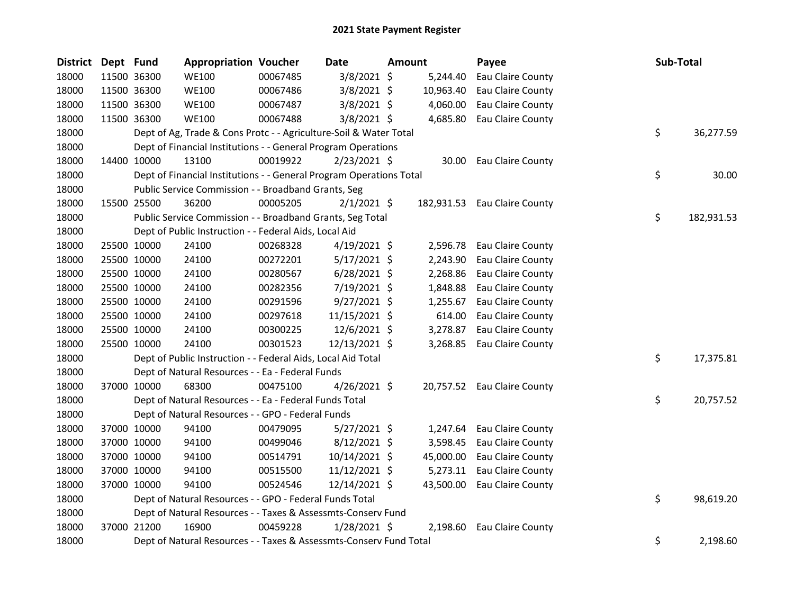| <b>District</b> | Dept Fund |             | <b>Appropriation Voucher</b>                                        |          | Date           | Amount     | Payee                       | Sub-Total |            |
|-----------------|-----------|-------------|---------------------------------------------------------------------|----------|----------------|------------|-----------------------------|-----------|------------|
| 18000           |           | 11500 36300 | <b>WE100</b>                                                        | 00067485 | 3/8/2021 \$    | 5,244.40   | Eau Claire County           |           |            |
| 18000           |           | 11500 36300 | <b>WE100</b>                                                        | 00067486 | 3/8/2021 \$    | 10,963.40  | Eau Claire County           |           |            |
| 18000           |           | 11500 36300 | <b>WE100</b>                                                        | 00067487 | $3/8/2021$ \$  | 4,060.00   | Eau Claire County           |           |            |
| 18000           |           | 11500 36300 | <b>WE100</b>                                                        | 00067488 | $3/8/2021$ \$  | 4,685.80   | Eau Claire County           |           |            |
| 18000           |           |             | Dept of Ag, Trade & Cons Protc - - Agriculture-Soil & Water Total   |          |                |            |                             | \$        | 36,277.59  |
| 18000           |           |             | Dept of Financial Institutions - - General Program Operations       |          |                |            |                             |           |            |
| 18000           |           | 14400 10000 | 13100                                                               | 00019922 | $2/23/2021$ \$ | 30.00      | Eau Claire County           |           |            |
| 18000           |           |             | Dept of Financial Institutions - - General Program Operations Total |          |                |            |                             | \$        | 30.00      |
| 18000           |           |             | Public Service Commission - - Broadband Grants, Seg                 |          |                |            |                             |           |            |
| 18000           |           | 15500 25500 | 36200                                                               | 00005205 | $2/1/2021$ \$  | 182,931.53 | Eau Claire County           |           |            |
| 18000           |           |             | Public Service Commission - - Broadband Grants, Seg Total           |          |                |            |                             | \$        | 182,931.53 |
| 18000           |           |             | Dept of Public Instruction - - Federal Aids, Local Aid              |          |                |            |                             |           |            |
| 18000           |           | 25500 10000 | 24100                                                               | 00268328 | $4/19/2021$ \$ | 2,596.78   | Eau Claire County           |           |            |
| 18000           |           | 25500 10000 | 24100                                                               | 00272201 | $5/17/2021$ \$ | 2,243.90   | Eau Claire County           |           |            |
| 18000           |           | 25500 10000 | 24100                                                               | 00280567 | $6/28/2021$ \$ | 2,268.86   | Eau Claire County           |           |            |
| 18000           |           | 25500 10000 | 24100                                                               | 00282356 | 7/19/2021 \$   | 1,848.88   | Eau Claire County           |           |            |
| 18000           |           | 25500 10000 | 24100                                                               | 00291596 | $9/27/2021$ \$ | 1,255.67   | Eau Claire County           |           |            |
| 18000           |           | 25500 10000 | 24100                                                               | 00297618 | 11/15/2021 \$  | 614.00     | Eau Claire County           |           |            |
| 18000           |           | 25500 10000 | 24100                                                               | 00300225 | 12/6/2021 \$   | 3,278.87   | Eau Claire County           |           |            |
| 18000           |           | 25500 10000 | 24100                                                               | 00301523 | 12/13/2021 \$  | 3,268.85   | Eau Claire County           |           |            |
| 18000           |           |             | Dept of Public Instruction - - Federal Aids, Local Aid Total        |          |                |            |                             | \$        | 17,375.81  |
| 18000           |           |             | Dept of Natural Resources - - Ea - Federal Funds                    |          |                |            |                             |           |            |
| 18000           |           | 37000 10000 | 68300                                                               | 00475100 | $4/26/2021$ \$ |            | 20,757.52 Eau Claire County |           |            |
| 18000           |           |             | Dept of Natural Resources - - Ea - Federal Funds Total              |          |                |            |                             | \$        | 20,757.52  |
| 18000           |           |             | Dept of Natural Resources - - GPO - Federal Funds                   |          |                |            |                             |           |            |
| 18000           |           | 37000 10000 | 94100                                                               | 00479095 | $5/27/2021$ \$ | 1,247.64   | Eau Claire County           |           |            |
| 18000           |           | 37000 10000 | 94100                                                               | 00499046 | $8/12/2021$ \$ | 3,598.45   | Eau Claire County           |           |            |
| 18000           |           | 37000 10000 | 94100                                                               | 00514791 | 10/14/2021 \$  | 45,000.00  | Eau Claire County           |           |            |
| 18000           |           | 37000 10000 | 94100                                                               | 00515500 | 11/12/2021 \$  | 5,273.11   | Eau Claire County           |           |            |
| 18000           |           | 37000 10000 | 94100                                                               | 00524546 | 12/14/2021 \$  | 43,500.00  | Eau Claire County           |           |            |
| 18000           |           |             | Dept of Natural Resources - - GPO - Federal Funds Total             |          |                |            |                             | \$        | 98,619.20  |
| 18000           |           |             | Dept of Natural Resources - - Taxes & Assessmts-Conserv Fund        |          |                |            |                             |           |            |
| 18000           |           | 37000 21200 | 16900                                                               | 00459228 | 1/28/2021 \$   | 2,198.60   | Eau Claire County           |           |            |
| 18000           |           |             | Dept of Natural Resources - - Taxes & Assessmts-Conserv Fund Total  |          |                |            |                             | \$        | 2,198.60   |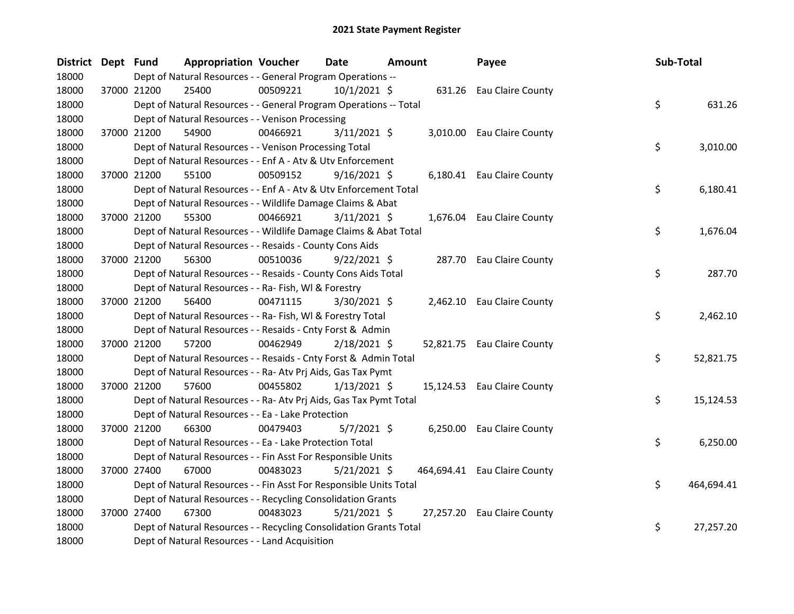| District Dept Fund | <b>Appropriation Voucher</b>                                       |          | Date           | <b>Amount</b> | Payee                        | Sub-Total |            |
|--------------------|--------------------------------------------------------------------|----------|----------------|---------------|------------------------------|-----------|------------|
| 18000              | Dept of Natural Resources - - General Program Operations --        |          |                |               |                              |           |            |
| 18000              | 37000 21200<br>25400                                               | 00509221 | $10/1/2021$ \$ |               | 631.26 Eau Claire County     |           |            |
| 18000              | Dept of Natural Resources - - General Program Operations -- Total  |          |                |               |                              | \$        | 631.26     |
| 18000              | Dept of Natural Resources - - Venison Processing                   |          |                |               |                              |           |            |
| 18000              | 37000 21200<br>54900                                               | 00466921 | $3/11/2021$ \$ |               | 3,010.00 Eau Claire County   |           |            |
| 18000              | Dept of Natural Resources - - Venison Processing Total             |          |                |               |                              | \$        | 3,010.00   |
| 18000              | Dept of Natural Resources - - Enf A - Atv & Utv Enforcement        |          |                |               |                              |           |            |
| 18000              | 37000 21200<br>55100                                               | 00509152 | $9/16/2021$ \$ |               | 6,180.41 Eau Claire County   |           |            |
| 18000              | Dept of Natural Resources - - Enf A - Atv & Utv Enforcement Total  |          |                |               |                              | \$        | 6,180.41   |
| 18000              | Dept of Natural Resources - - Wildlife Damage Claims & Abat        |          |                |               |                              |           |            |
| 18000              | 37000 21200<br>55300                                               | 00466921 | $3/11/2021$ \$ |               | 1,676.04 Eau Claire County   |           |            |
| 18000              | Dept of Natural Resources - - Wildlife Damage Claims & Abat Total  |          |                |               |                              | \$        | 1,676.04   |
| 18000              | Dept of Natural Resources - - Resaids - County Cons Aids           |          |                |               |                              |           |            |
| 18000              | 37000 21200<br>56300                                               | 00510036 | $9/22/2021$ \$ |               | 287.70 Eau Claire County     |           |            |
| 18000              | Dept of Natural Resources - - Resaids - County Cons Aids Total     |          |                |               |                              | \$        | 287.70     |
| 18000              | Dept of Natural Resources - - Ra- Fish, WI & Forestry              |          |                |               |                              |           |            |
| 18000              | 56400<br>37000 21200                                               | 00471115 | 3/30/2021 \$   |               | 2,462.10 Eau Claire County   |           |            |
| 18000              | Dept of Natural Resources - - Ra- Fish, WI & Forestry Total        |          |                |               |                              | \$        | 2,462.10   |
| 18000              | Dept of Natural Resources - - Resaids - Cnty Forst & Admin         |          |                |               |                              |           |            |
| 18000              | 37000 21200<br>57200                                               | 00462949 | 2/18/2021 \$   |               | 52,821.75 Eau Claire County  |           |            |
| 18000              | Dept of Natural Resources - - Resaids - Cnty Forst & Admin Total   |          |                |               |                              | \$        | 52,821.75  |
| 18000              | Dept of Natural Resources - - Ra- Atv Prj Aids, Gas Tax Pymt       |          |                |               |                              |           |            |
| 18000              | 37000 21200<br>57600                                               | 00455802 | $1/13/2021$ \$ |               | 15,124.53 Eau Claire County  |           |            |
| 18000              | Dept of Natural Resources - - Ra- Atv Prj Aids, Gas Tax Pymt Total |          |                |               |                              | \$        | 15,124.53  |
| 18000              | Dept of Natural Resources - - Ea - Lake Protection                 |          |                |               |                              |           |            |
| 18000              | 37000 21200<br>66300                                               | 00479403 | $5/7/2021$ \$  |               | 6,250.00 Eau Claire County   |           |            |
| 18000              | Dept of Natural Resources - - Ea - Lake Protection Total           |          |                |               |                              | \$        | 6,250.00   |
| 18000              | Dept of Natural Resources - - Fin Asst For Responsible Units       |          |                |               |                              |           |            |
| 18000              | 37000 27400<br>67000                                               | 00483023 | $5/21/2021$ \$ |               | 464,694.41 Eau Claire County |           |            |
| 18000              | Dept of Natural Resources - - Fin Asst For Responsible Units Total |          |                |               |                              | \$        | 464,694.41 |
| 18000              | Dept of Natural Resources - - Recycling Consolidation Grants       |          |                |               |                              |           |            |
| 18000              | 37000 27400<br>67300                                               | 00483023 | $5/21/2021$ \$ |               | 27,257.20 Eau Claire County  |           |            |
| 18000              | Dept of Natural Resources - - Recycling Consolidation Grants Total |          |                |               |                              | \$        | 27,257.20  |
| 18000              | Dept of Natural Resources - - Land Acquisition                     |          |                |               |                              |           |            |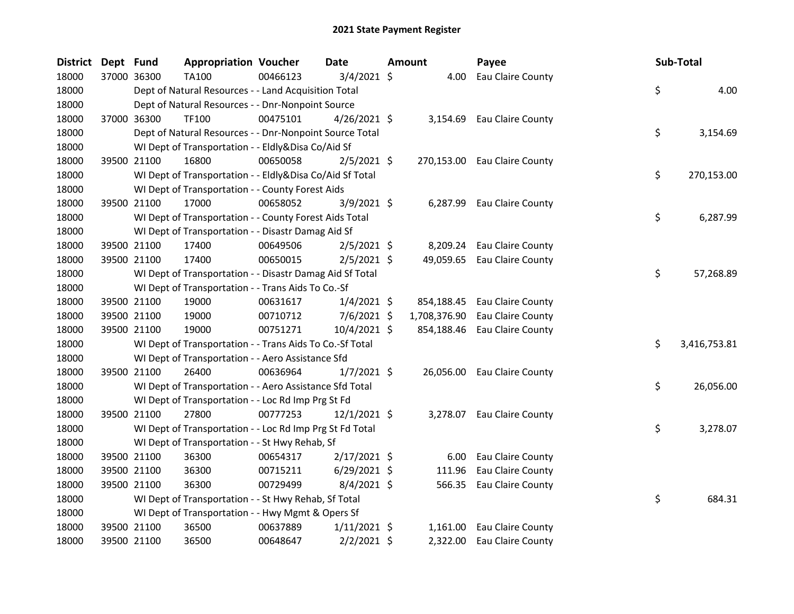| <b>District</b> | Dept Fund |             | <b>Appropriation Voucher</b>                             |          | Date           | <b>Amount</b> | Payee                        | Sub-Total          |
|-----------------|-----------|-------------|----------------------------------------------------------|----------|----------------|---------------|------------------------------|--------------------|
| 18000           |           | 37000 36300 | TA100                                                    | 00466123 | $3/4/2021$ \$  | 4.00          | Eau Claire County            |                    |
| 18000           |           |             | Dept of Natural Resources - - Land Acquisition Total     |          |                |               |                              | \$<br>4.00         |
| 18000           |           |             | Dept of Natural Resources - - Dnr-Nonpoint Source        |          |                |               |                              |                    |
| 18000           |           | 37000 36300 | TF100                                                    | 00475101 | $4/26/2021$ \$ |               | 3,154.69 Eau Claire County   |                    |
| 18000           |           |             | Dept of Natural Resources - - Dnr-Nonpoint Source Total  |          |                |               |                              | \$<br>3,154.69     |
| 18000           |           |             | WI Dept of Transportation - - Eldly&Disa Co/Aid Sf       |          |                |               |                              |                    |
| 18000           |           | 39500 21100 | 16800                                                    | 00650058 | $2/5/2021$ \$  |               | 270,153.00 Eau Claire County |                    |
| 18000           |           |             | WI Dept of Transportation - - Eldly&Disa Co/Aid Sf Total |          |                |               |                              | \$<br>270,153.00   |
| 18000           |           |             | WI Dept of Transportation - - County Forest Aids         |          |                |               |                              |                    |
| 18000           |           | 39500 21100 | 17000                                                    | 00658052 | 3/9/2021 \$    | 6,287.99      | Eau Claire County            |                    |
| 18000           |           |             | WI Dept of Transportation - - County Forest Aids Total   |          |                |               |                              | \$<br>6,287.99     |
| 18000           |           |             | WI Dept of Transportation - - Disastr Damag Aid Sf       |          |                |               |                              |                    |
| 18000           |           | 39500 21100 | 17400                                                    | 00649506 | $2/5/2021$ \$  | 8,209.24      | Eau Claire County            |                    |
| 18000           |           | 39500 21100 | 17400                                                    | 00650015 | $2/5/2021$ \$  |               | 49,059.65 Eau Claire County  |                    |
| 18000           |           |             | WI Dept of Transportation - - Disastr Damag Aid Sf Total |          |                |               |                              | \$<br>57,268.89    |
| 18000           |           |             | WI Dept of Transportation - - Trans Aids To Co.-Sf       |          |                |               |                              |                    |
| 18000           |           | 39500 21100 | 19000                                                    | 00631617 | $1/4/2021$ \$  | 854,188.45    | Eau Claire County            |                    |
| 18000           |           | 39500 21100 | 19000                                                    | 00710712 | $7/6/2021$ \$  | 1,708,376.90  | Eau Claire County            |                    |
| 18000           |           | 39500 21100 | 19000                                                    | 00751271 | 10/4/2021 \$   | 854,188.46    | Eau Claire County            |                    |
| 18000           |           |             | WI Dept of Transportation - - Trans Aids To Co.-Sf Total |          |                |               |                              | \$<br>3,416,753.81 |
| 18000           |           |             | WI Dept of Transportation - - Aero Assistance Sfd        |          |                |               |                              |                    |
| 18000           |           | 39500 21100 | 26400                                                    | 00636964 | $1/7/2021$ \$  |               | 26,056.00 Eau Claire County  |                    |
| 18000           |           |             | WI Dept of Transportation - - Aero Assistance Sfd Total  |          |                |               |                              | \$<br>26,056.00    |
| 18000           |           |             | WI Dept of Transportation - - Loc Rd Imp Prg St Fd       |          |                |               |                              |                    |
| 18000           |           | 39500 21100 | 27800                                                    | 00777253 | $12/1/2021$ \$ |               | 3,278.07 Eau Claire County   |                    |
| 18000           |           |             | WI Dept of Transportation - - Loc Rd Imp Prg St Fd Total |          |                |               |                              | \$<br>3,278.07     |
| 18000           |           |             | WI Dept of Transportation - - St Hwy Rehab, Sf           |          |                |               |                              |                    |
| 18000           |           | 39500 21100 | 36300                                                    | 00654317 | $2/17/2021$ \$ | 6.00          | Eau Claire County            |                    |
| 18000           |           | 39500 21100 | 36300                                                    | 00715211 | $6/29/2021$ \$ | 111.96        | Eau Claire County            |                    |
| 18000           |           | 39500 21100 | 36300                                                    | 00729499 | 8/4/2021 \$    | 566.35        | Eau Claire County            |                    |
| 18000           |           |             | WI Dept of Transportation - - St Hwy Rehab, Sf Total     |          |                |               |                              | \$<br>684.31       |
| 18000           |           |             | WI Dept of Transportation - - Hwy Mgmt & Opers Sf        |          |                |               |                              |                    |
| 18000           |           | 39500 21100 | 36500                                                    | 00637889 | $1/11/2021$ \$ |               | 1,161.00 Eau Claire County   |                    |
| 18000           |           | 39500 21100 | 36500                                                    | 00648647 | $2/2/2021$ \$  | 2,322.00      | Eau Claire County            |                    |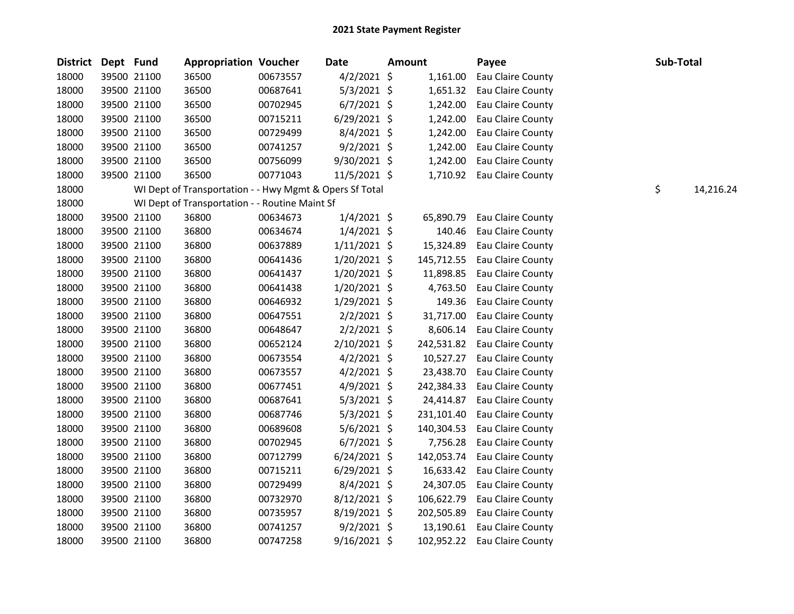| District | Dept Fund |             | <b>Appropriation Voucher</b>                            |          | <b>Date</b>    | <b>Amount</b> | Payee                        | Sub-Total |           |
|----------|-----------|-------------|---------------------------------------------------------|----------|----------------|---------------|------------------------------|-----------|-----------|
| 18000    |           | 39500 21100 | 36500                                                   | 00673557 | $4/2/2021$ \$  | 1,161.00      | Eau Claire County            |           |           |
| 18000    |           | 39500 21100 | 36500                                                   | 00687641 | $5/3/2021$ \$  | 1,651.32      | Eau Claire County            |           |           |
| 18000    |           | 39500 21100 | 36500                                                   | 00702945 | $6/7/2021$ \$  | 1,242.00      | Eau Claire County            |           |           |
| 18000    |           | 39500 21100 | 36500                                                   | 00715211 | $6/29/2021$ \$ | 1,242.00      | Eau Claire County            |           |           |
| 18000    |           | 39500 21100 | 36500                                                   | 00729499 | 8/4/2021 \$    | 1,242.00      | Eau Claire County            |           |           |
| 18000    |           | 39500 21100 | 36500                                                   | 00741257 | $9/2/2021$ \$  | 1,242.00      | Eau Claire County            |           |           |
| 18000    |           | 39500 21100 | 36500                                                   | 00756099 | $9/30/2021$ \$ | 1,242.00      | Eau Claire County            |           |           |
| 18000    |           | 39500 21100 | 36500                                                   | 00771043 | $11/5/2021$ \$ |               | 1,710.92 Eau Claire County   |           |           |
| 18000    |           |             | WI Dept of Transportation - - Hwy Mgmt & Opers Sf Total |          |                |               |                              | \$        | 14,216.24 |
| 18000    |           |             | WI Dept of Transportation - - Routine Maint Sf          |          |                |               |                              |           |           |
| 18000    |           | 39500 21100 | 36800                                                   | 00634673 | $1/4/2021$ \$  | 65,890.79     | Eau Claire County            |           |           |
| 18000    |           | 39500 21100 | 36800                                                   | 00634674 | $1/4/2021$ \$  | 140.46        | Eau Claire County            |           |           |
| 18000    |           | 39500 21100 | 36800                                                   | 00637889 | $1/11/2021$ \$ | 15,324.89     | Eau Claire County            |           |           |
| 18000    |           | 39500 21100 | 36800                                                   | 00641436 | $1/20/2021$ \$ | 145,712.55    | Eau Claire County            |           |           |
| 18000    |           | 39500 21100 | 36800                                                   | 00641437 | $1/20/2021$ \$ | 11,898.85     | Eau Claire County            |           |           |
| 18000    |           | 39500 21100 | 36800                                                   | 00641438 | $1/20/2021$ \$ | 4,763.50      | Eau Claire County            |           |           |
| 18000    |           | 39500 21100 | 36800                                                   | 00646932 | 1/29/2021 \$   | 149.36        | Eau Claire County            |           |           |
| 18000    |           | 39500 21100 | 36800                                                   | 00647551 | $2/2/2021$ \$  | 31,717.00     | Eau Claire County            |           |           |
| 18000    |           | 39500 21100 | 36800                                                   | 00648647 | $2/2/2021$ \$  | 8,606.14      | Eau Claire County            |           |           |
| 18000    |           | 39500 21100 | 36800                                                   | 00652124 | $2/10/2021$ \$ |               | 242,531.82 Eau Claire County |           |           |
| 18000    |           | 39500 21100 | 36800                                                   | 00673554 | $4/2/2021$ \$  | 10,527.27     | Eau Claire County            |           |           |
| 18000    |           | 39500 21100 | 36800                                                   | 00673557 | $4/2/2021$ \$  | 23,438.70     | Eau Claire County            |           |           |
| 18000    |           | 39500 21100 | 36800                                                   | 00677451 | $4/9/2021$ \$  | 242,384.33    | Eau Claire County            |           |           |
| 18000    |           | 39500 21100 | 36800                                                   | 00687641 | $5/3/2021$ \$  | 24,414.87     | Eau Claire County            |           |           |
| 18000    |           | 39500 21100 | 36800                                                   | 00687746 | $5/3/2021$ \$  | 231,101.40    | Eau Claire County            |           |           |
| 18000    |           | 39500 21100 | 36800                                                   | 00689608 | 5/6/2021 \$    | 140,304.53    | Eau Claire County            |           |           |
| 18000    |           | 39500 21100 | 36800                                                   | 00702945 | $6/7/2021$ \$  | 7,756.28      | Eau Claire County            |           |           |
| 18000    |           | 39500 21100 | 36800                                                   | 00712799 | $6/24/2021$ \$ | 142,053.74    | Eau Claire County            |           |           |
| 18000    |           | 39500 21100 | 36800                                                   | 00715211 | $6/29/2021$ \$ | 16,633.42     | Eau Claire County            |           |           |
| 18000    |           | 39500 21100 | 36800                                                   | 00729499 | 8/4/2021 \$    | 24,307.05     | Eau Claire County            |           |           |
| 18000    |           | 39500 21100 | 36800                                                   | 00732970 | $8/12/2021$ \$ | 106,622.79    | Eau Claire County            |           |           |
| 18000    |           | 39500 21100 | 36800                                                   | 00735957 | 8/19/2021 \$   | 202,505.89    | Eau Claire County            |           |           |
| 18000    |           | 39500 21100 | 36800                                                   | 00741257 | $9/2/2021$ \$  |               | 13,190.61 Eau Claire County  |           |           |
| 18000    |           | 39500 21100 | 36800                                                   | 00747258 | 9/16/2021 \$   | 102,952.22    | Eau Claire County            |           |           |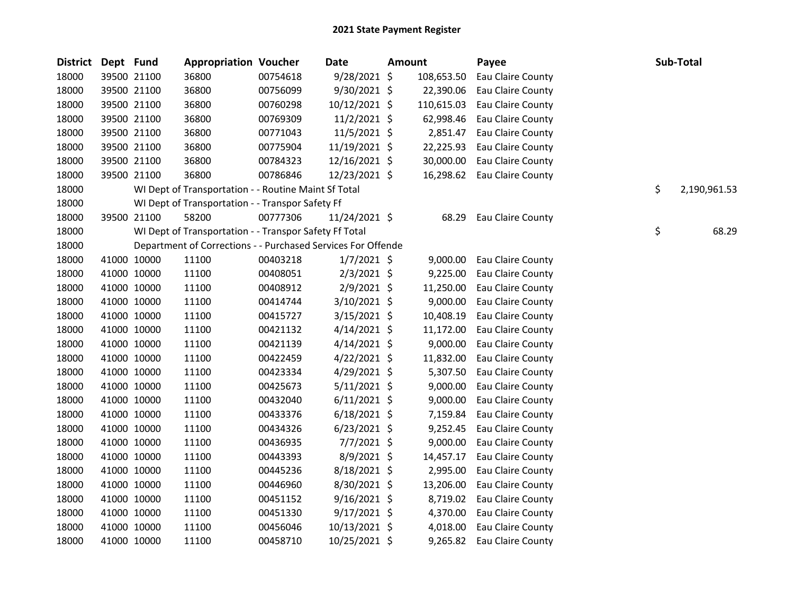| <b>District</b> | Dept Fund |             | <b>Appropriation Voucher</b>                                 |          | Date           | <b>Amount</b> |            | Payee             | Sub-Total          |
|-----------------|-----------|-------------|--------------------------------------------------------------|----------|----------------|---------------|------------|-------------------|--------------------|
| 18000           |           | 39500 21100 | 36800                                                        | 00754618 | 9/28/2021 \$   |               | 108,653.50 | Eau Claire County |                    |
| 18000           |           | 39500 21100 | 36800                                                        | 00756099 | 9/30/2021 \$   |               | 22,390.06  | Eau Claire County |                    |
| 18000           |           | 39500 21100 | 36800                                                        | 00760298 | 10/12/2021 \$  |               | 110,615.03 | Eau Claire County |                    |
| 18000           |           | 39500 21100 | 36800                                                        | 00769309 | $11/2/2021$ \$ |               | 62,998.46  | Eau Claire County |                    |
| 18000           |           | 39500 21100 | 36800                                                        | 00771043 | 11/5/2021 \$   |               | 2,851.47   | Eau Claire County |                    |
| 18000           |           | 39500 21100 | 36800                                                        | 00775904 | 11/19/2021 \$  |               | 22,225.93  | Eau Claire County |                    |
| 18000           |           | 39500 21100 | 36800                                                        | 00784323 | 12/16/2021 \$  |               | 30,000.00  | Eau Claire County |                    |
| 18000           |           | 39500 21100 | 36800                                                        | 00786846 | 12/23/2021 \$  |               | 16,298.62  | Eau Claire County |                    |
| 18000           |           |             | WI Dept of Transportation - - Routine Maint Sf Total         |          |                |               |            |                   | \$<br>2,190,961.53 |
| 18000           |           |             | WI Dept of Transportation - - Transpor Safety Ff             |          |                |               |            |                   |                    |
| 18000           |           | 39500 21100 | 58200                                                        | 00777306 | 11/24/2021 \$  |               | 68.29      | Eau Claire County |                    |
| 18000           |           |             | WI Dept of Transportation - - Transpor Safety Ff Total       |          |                |               |            |                   | \$<br>68.29        |
| 18000           |           |             | Department of Corrections - - Purchased Services For Offende |          |                |               |            |                   |                    |
| 18000           |           | 41000 10000 | 11100                                                        | 00403218 | $1/7/2021$ \$  |               | 9,000.00   | Eau Claire County |                    |
| 18000           |           | 41000 10000 | 11100                                                        | 00408051 | $2/3/2021$ \$  |               | 9,225.00   | Eau Claire County |                    |
| 18000           |           | 41000 10000 | 11100                                                        | 00408912 | $2/9/2021$ \$  |               | 11,250.00  | Eau Claire County |                    |
| 18000           |           | 41000 10000 | 11100                                                        | 00414744 | 3/10/2021 \$   |               | 9,000.00   | Eau Claire County |                    |
| 18000           |           | 41000 10000 | 11100                                                        | 00415727 | $3/15/2021$ \$ |               | 10,408.19  | Eau Claire County |                    |
| 18000           |           | 41000 10000 | 11100                                                        | 00421132 | $4/14/2021$ \$ |               | 11,172.00  | Eau Claire County |                    |
| 18000           |           | 41000 10000 | 11100                                                        | 00421139 | $4/14/2021$ \$ |               | 9,000.00   | Eau Claire County |                    |
| 18000           |           | 41000 10000 | 11100                                                        | 00422459 | $4/22/2021$ \$ |               | 11,832.00  | Eau Claire County |                    |
| 18000           |           | 41000 10000 | 11100                                                        | 00423334 | 4/29/2021 \$   |               | 5,307.50   | Eau Claire County |                    |
| 18000           |           | 41000 10000 | 11100                                                        | 00425673 | $5/11/2021$ \$ |               | 9,000.00   | Eau Claire County |                    |
| 18000           |           | 41000 10000 | 11100                                                        | 00432040 | $6/11/2021$ \$ |               | 9,000.00   | Eau Claire County |                    |
| 18000           |           | 41000 10000 | 11100                                                        | 00433376 | $6/18/2021$ \$ |               | 7,159.84   | Eau Claire County |                    |
| 18000           |           | 41000 10000 | 11100                                                        | 00434326 | $6/23/2021$ \$ |               | 9,252.45   | Eau Claire County |                    |
| 18000           |           | 41000 10000 | 11100                                                        | 00436935 | $7/7/2021$ \$  |               | 9,000.00   | Eau Claire County |                    |
| 18000           |           | 41000 10000 | 11100                                                        | 00443393 | 8/9/2021 \$    |               | 14,457.17  | Eau Claire County |                    |
| 18000           |           | 41000 10000 | 11100                                                        | 00445236 | 8/18/2021 \$   |               | 2,995.00   | Eau Claire County |                    |
| 18000           |           | 41000 10000 | 11100                                                        | 00446960 | 8/30/2021 \$   |               | 13,206.00  | Eau Claire County |                    |
| 18000           |           | 41000 10000 | 11100                                                        | 00451152 | $9/16/2021$ \$ |               | 8,719.02   | Eau Claire County |                    |
| 18000           |           | 41000 10000 | 11100                                                        | 00451330 | $9/17/2021$ \$ |               | 4,370.00   | Eau Claire County |                    |
| 18000           |           | 41000 10000 | 11100                                                        | 00456046 | 10/13/2021 \$  |               | 4,018.00   | Eau Claire County |                    |
| 18000           |           | 41000 10000 | 11100                                                        | 00458710 | 10/25/2021 \$  |               | 9,265.82   | Eau Claire County |                    |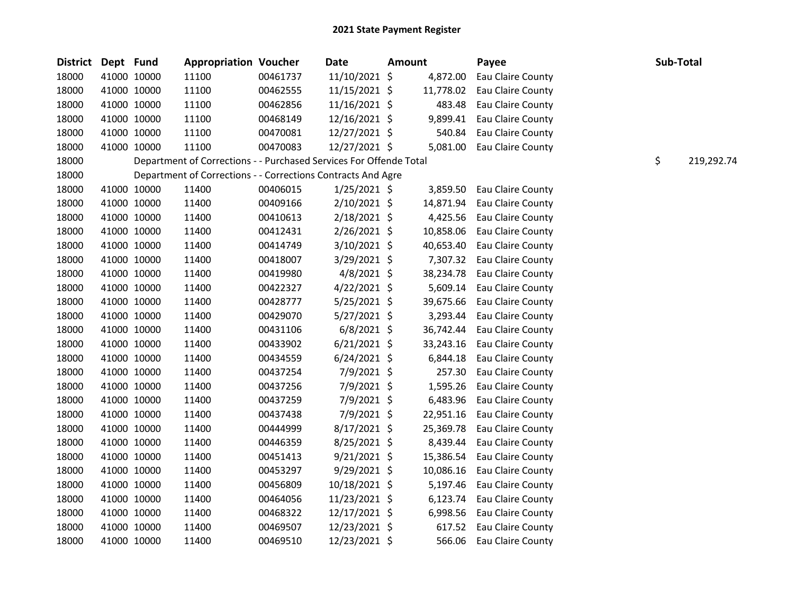| <b>District</b> | Dept Fund   |             | <b>Appropriation Voucher</b>                                       |          | <b>Date</b>    | <b>Amount</b> |           | Payee                      | Sub-Total |            |
|-----------------|-------------|-------------|--------------------------------------------------------------------|----------|----------------|---------------|-----------|----------------------------|-----------|------------|
| 18000           |             | 41000 10000 | 11100                                                              | 00461737 | 11/10/2021 \$  |               | 4,872.00  | Eau Claire County          |           |            |
| 18000           |             | 41000 10000 | 11100                                                              | 00462555 | 11/15/2021 \$  |               | 11,778.02 | Eau Claire County          |           |            |
| 18000           |             | 41000 10000 | 11100                                                              | 00462856 | 11/16/2021 \$  |               | 483.48    | Eau Claire County          |           |            |
| 18000           |             | 41000 10000 | 11100                                                              | 00468149 | 12/16/2021 \$  |               | 9,899.41  | Eau Claire County          |           |            |
| 18000           |             | 41000 10000 | 11100                                                              | 00470081 | 12/27/2021 \$  |               | 540.84    | Eau Claire County          |           |            |
| 18000           | 41000 10000 |             | 11100                                                              | 00470083 | 12/27/2021 \$  |               | 5,081.00  | Eau Claire County          |           |            |
| 18000           |             |             | Department of Corrections - - Purchased Services For Offende Total |          |                |               |           |                            | \$        | 219,292.74 |
| 18000           |             |             | Department of Corrections - - Corrections Contracts And Agre       |          |                |               |           |                            |           |            |
| 18000           |             | 41000 10000 | 11400                                                              | 00406015 | $1/25/2021$ \$ |               | 3,859.50  | Eau Claire County          |           |            |
| 18000           |             | 41000 10000 | 11400                                                              | 00409166 | 2/10/2021 \$   |               | 14,871.94 | Eau Claire County          |           |            |
| 18000           |             | 41000 10000 | 11400                                                              | 00410613 | 2/18/2021 \$   |               | 4,425.56  | Eau Claire County          |           |            |
| 18000           |             | 41000 10000 | 11400                                                              | 00412431 | $2/26/2021$ \$ |               | 10,858.06 | Eau Claire County          |           |            |
| 18000           |             | 41000 10000 | 11400                                                              | 00414749 | 3/10/2021 \$   |               | 40,653.40 | Eau Claire County          |           |            |
| 18000           |             | 41000 10000 | 11400                                                              | 00418007 | 3/29/2021 \$   |               |           | 7,307.32 Eau Claire County |           |            |
| 18000           |             | 41000 10000 | 11400                                                              | 00419980 | $4/8/2021$ \$  |               | 38,234.78 | Eau Claire County          |           |            |
| 18000           |             | 41000 10000 | 11400                                                              | 00422327 | $4/22/2021$ \$ |               | 5,609.14  | Eau Claire County          |           |            |
| 18000           | 41000 10000 |             | 11400                                                              | 00428777 | $5/25/2021$ \$ |               | 39,675.66 | Eau Claire County          |           |            |
| 18000           |             | 41000 10000 | 11400                                                              | 00429070 | $5/27/2021$ \$ |               | 3,293.44  | Eau Claire County          |           |            |
| 18000           | 41000 10000 |             | 11400                                                              | 00431106 | $6/8/2021$ \$  |               | 36,742.44 | Eau Claire County          |           |            |
| 18000           |             | 41000 10000 | 11400                                                              | 00433902 | $6/21/2021$ \$ |               | 33,243.16 | Eau Claire County          |           |            |
| 18000           |             | 41000 10000 | 11400                                                              | 00434559 | $6/24/2021$ \$ |               | 6,844.18  | Eau Claire County          |           |            |
| 18000           |             | 41000 10000 | 11400                                                              | 00437254 | 7/9/2021 \$    |               | 257.30    | Eau Claire County          |           |            |
| 18000           |             | 41000 10000 | 11400                                                              | 00437256 | 7/9/2021 \$    |               | 1,595.26  | Eau Claire County          |           |            |
| 18000           |             | 41000 10000 | 11400                                                              | 00437259 | 7/9/2021 \$    |               | 6,483.96  | Eau Claire County          |           |            |
| 18000           |             | 41000 10000 | 11400                                                              | 00437438 | 7/9/2021 \$    |               | 22,951.16 | Eau Claire County          |           |            |
| 18000           | 41000 10000 |             | 11400                                                              | 00444999 | $8/17/2021$ \$ |               | 25,369.78 | Eau Claire County          |           |            |
| 18000           |             | 41000 10000 | 11400                                                              | 00446359 | 8/25/2021 \$   |               | 8,439.44  | Eau Claire County          |           |            |
| 18000           |             | 41000 10000 | 11400                                                              | 00451413 | $9/21/2021$ \$ |               | 15,386.54 | Eau Claire County          |           |            |
| 18000           |             | 41000 10000 | 11400                                                              | 00453297 | 9/29/2021 \$   |               | 10,086.16 | Eau Claire County          |           |            |
| 18000           |             | 41000 10000 | 11400                                                              | 00456809 | 10/18/2021 \$  |               | 5,197.46  | Eau Claire County          |           |            |
| 18000           |             | 41000 10000 | 11400                                                              | 00464056 | 11/23/2021 \$  |               | 6,123.74  | Eau Claire County          |           |            |
| 18000           | 41000 10000 |             | 11400                                                              | 00468322 | 12/17/2021 \$  |               | 6,998.56  | Eau Claire County          |           |            |
| 18000           | 41000 10000 |             | 11400                                                              | 00469507 | 12/23/2021 \$  |               | 617.52    | Eau Claire County          |           |            |
| 18000           |             | 41000 10000 | 11400                                                              | 00469510 | 12/23/2021 \$  |               | 566.06    | Eau Claire County          |           |            |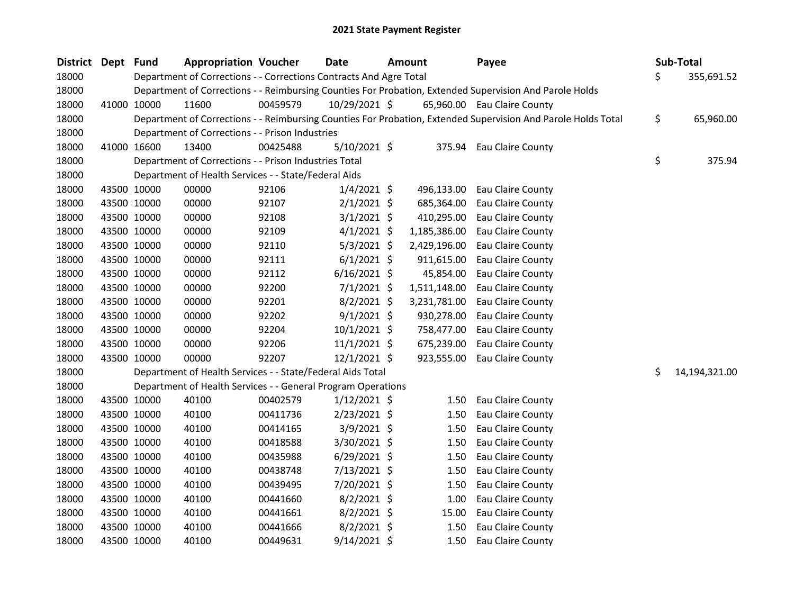| District Dept Fund |             | <b>Appropriation Voucher</b>                                       |          | <b>Date</b>    | <b>Amount</b> | Payee                                                                                                         |     | Sub-Total     |
|--------------------|-------------|--------------------------------------------------------------------|----------|----------------|---------------|---------------------------------------------------------------------------------------------------------------|-----|---------------|
| 18000              |             | Department of Corrections - - Corrections Contracts And Agre Total |          |                |               |                                                                                                               | \$. | 355,691.52    |
| 18000              |             |                                                                    |          |                |               | Department of Corrections - - Reimbursing Counties For Probation, Extended Supervision And Parole Holds       |     |               |
| 18000              | 41000 10000 | 11600                                                              | 00459579 | 10/29/2021 \$  |               | 65,960.00 Eau Claire County                                                                                   |     |               |
| 18000              |             |                                                                    |          |                |               | Department of Corrections - - Reimbursing Counties For Probation, Extended Supervision And Parole Holds Total | \$  | 65,960.00     |
| 18000              |             | Department of Corrections - - Prison Industries                    |          |                |               |                                                                                                               |     |               |
| 18000              | 41000 16600 | 13400                                                              | 00425488 | $5/10/2021$ \$ |               | 375.94 Eau Claire County                                                                                      |     |               |
| 18000              |             | Department of Corrections - - Prison Industries Total              |          |                |               |                                                                                                               | \$  | 375.94        |
| 18000              |             | Department of Health Services - - State/Federal Aids               |          |                |               |                                                                                                               |     |               |
| 18000              | 43500 10000 | 00000                                                              | 92106    | $1/4/2021$ \$  | 496,133.00    | Eau Claire County                                                                                             |     |               |
| 18000              | 43500 10000 | 00000                                                              | 92107    | $2/1/2021$ \$  | 685,364.00    | Eau Claire County                                                                                             |     |               |
| 18000              | 43500 10000 | 00000                                                              | 92108    | $3/1/2021$ \$  | 410,295.00    | Eau Claire County                                                                                             |     |               |
| 18000              | 43500 10000 | 00000                                                              | 92109    | $4/1/2021$ \$  | 1,185,386.00  | Eau Claire County                                                                                             |     |               |
| 18000              | 43500 10000 | 00000                                                              | 92110    | $5/3/2021$ \$  | 2,429,196.00  | Eau Claire County                                                                                             |     |               |
| 18000              | 43500 10000 | 00000                                                              | 92111    | $6/1/2021$ \$  | 911,615.00    | Eau Claire County                                                                                             |     |               |
| 18000              | 43500 10000 | 00000                                                              | 92112    | $6/16/2021$ \$ | 45,854.00     | Eau Claire County                                                                                             |     |               |
| 18000              | 43500 10000 | 00000                                                              | 92200    | $7/1/2021$ \$  | 1,511,148.00  | Eau Claire County                                                                                             |     |               |
| 18000              | 43500 10000 | 00000                                                              | 92201    | $8/2/2021$ \$  | 3,231,781.00  | Eau Claire County                                                                                             |     |               |
| 18000              | 43500 10000 | 00000                                                              | 92202    | $9/1/2021$ \$  | 930,278.00    | Eau Claire County                                                                                             |     |               |
| 18000              | 43500 10000 | 00000                                                              | 92204    | $10/1/2021$ \$ | 758,477.00    | Eau Claire County                                                                                             |     |               |
| 18000              | 43500 10000 | 00000                                                              | 92206    | $11/1/2021$ \$ | 675,239.00    | Eau Claire County                                                                                             |     |               |
| 18000              | 43500 10000 | 00000                                                              | 92207    | $12/1/2021$ \$ | 923,555.00    | Eau Claire County                                                                                             |     |               |
| 18000              |             | Department of Health Services - - State/Federal Aids Total         |          |                |               |                                                                                                               | \$  | 14,194,321.00 |
| 18000              |             | Department of Health Services - - General Program Operations       |          |                |               |                                                                                                               |     |               |
| 18000              | 43500 10000 | 40100                                                              | 00402579 | $1/12/2021$ \$ | 1.50          | Eau Claire County                                                                                             |     |               |
| 18000              | 43500 10000 | 40100                                                              | 00411736 | $2/23/2021$ \$ | 1.50          | Eau Claire County                                                                                             |     |               |
| 18000              | 43500 10000 | 40100                                                              | 00414165 | $3/9/2021$ \$  | 1.50          | Eau Claire County                                                                                             |     |               |
| 18000              | 43500 10000 | 40100                                                              | 00418588 | 3/30/2021 \$   | 1.50          | Eau Claire County                                                                                             |     |               |
| 18000              | 43500 10000 | 40100                                                              | 00435988 | $6/29/2021$ \$ | 1.50          | Eau Claire County                                                                                             |     |               |
| 18000              | 43500 10000 | 40100                                                              | 00438748 | 7/13/2021 \$   | 1.50          | Eau Claire County                                                                                             |     |               |
| 18000              | 43500 10000 | 40100                                                              | 00439495 | 7/20/2021 \$   | 1.50          | Eau Claire County                                                                                             |     |               |
| 18000              | 43500 10000 | 40100                                                              | 00441660 | $8/2/2021$ \$  | 1.00          | Eau Claire County                                                                                             |     |               |
| 18000              | 43500 10000 | 40100                                                              | 00441661 | $8/2/2021$ \$  | 15.00         | Eau Claire County                                                                                             |     |               |
| 18000              | 43500 10000 | 40100                                                              | 00441666 | $8/2/2021$ \$  | 1.50          | Eau Claire County                                                                                             |     |               |
| 18000              | 43500 10000 | 40100                                                              | 00449631 | $9/14/2021$ \$ | 1.50          | Eau Claire County                                                                                             |     |               |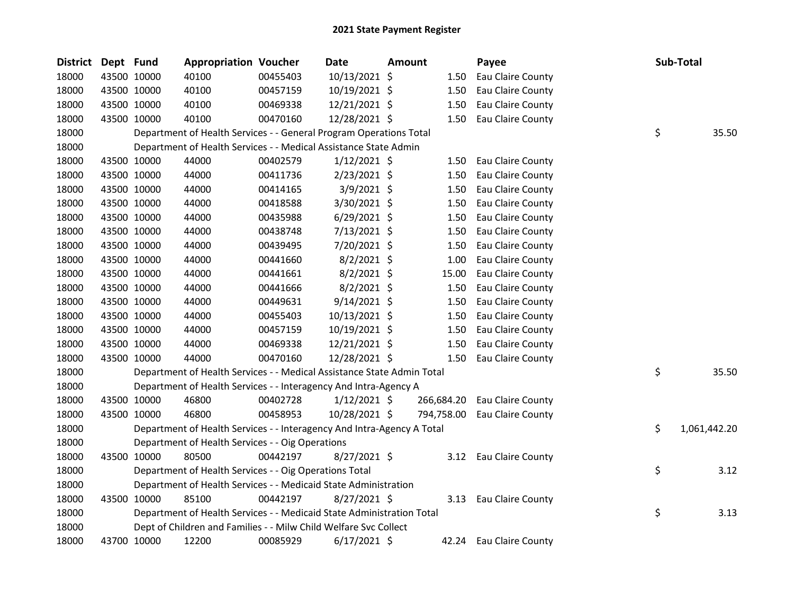| District | Dept Fund |             | <b>Appropriation Voucher</b>                                           |          | Date           | Amount |            | Payee             | Sub-Total          |
|----------|-----------|-------------|------------------------------------------------------------------------|----------|----------------|--------|------------|-------------------|--------------------|
| 18000    |           | 43500 10000 | 40100                                                                  | 00455403 | 10/13/2021 \$  |        | 1.50       | Eau Claire County |                    |
| 18000    |           | 43500 10000 | 40100                                                                  | 00457159 | 10/19/2021 \$  |        | 1.50       | Eau Claire County |                    |
| 18000    |           | 43500 10000 | 40100                                                                  | 00469338 | 12/21/2021 \$  |        | 1.50       | Eau Claire County |                    |
| 18000    |           | 43500 10000 | 40100                                                                  | 00470160 | 12/28/2021 \$  |        | 1.50       | Eau Claire County |                    |
| 18000    |           |             | Department of Health Services - - General Program Operations Total     |          |                |        |            |                   | \$<br>35.50        |
| 18000    |           |             | Department of Health Services - - Medical Assistance State Admin       |          |                |        |            |                   |                    |
| 18000    |           | 43500 10000 | 44000                                                                  | 00402579 | $1/12/2021$ \$ |        | 1.50       | Eau Claire County |                    |
| 18000    |           | 43500 10000 | 44000                                                                  | 00411736 | $2/23/2021$ \$ |        | 1.50       | Eau Claire County |                    |
| 18000    |           | 43500 10000 | 44000                                                                  | 00414165 | 3/9/2021 \$    |        | 1.50       | Eau Claire County |                    |
| 18000    |           | 43500 10000 | 44000                                                                  | 00418588 | $3/30/2021$ \$ |        | 1.50       | Eau Claire County |                    |
| 18000    |           | 43500 10000 | 44000                                                                  | 00435988 | 6/29/2021 \$   |        | 1.50       | Eau Claire County |                    |
| 18000    |           | 43500 10000 | 44000                                                                  | 00438748 | 7/13/2021 \$   |        | 1.50       | Eau Claire County |                    |
| 18000    |           | 43500 10000 | 44000                                                                  | 00439495 | 7/20/2021 \$   |        | 1.50       | Eau Claire County |                    |
| 18000    |           | 43500 10000 | 44000                                                                  | 00441660 | $8/2/2021$ \$  |        | 1.00       | Eau Claire County |                    |
| 18000    |           | 43500 10000 | 44000                                                                  | 00441661 | $8/2/2021$ \$  |        | 15.00      | Eau Claire County |                    |
| 18000    |           | 43500 10000 | 44000                                                                  | 00441666 | $8/2/2021$ \$  |        | 1.50       | Eau Claire County |                    |
| 18000    |           | 43500 10000 | 44000                                                                  | 00449631 | $9/14/2021$ \$ |        | 1.50       | Eau Claire County |                    |
| 18000    |           | 43500 10000 | 44000                                                                  | 00455403 | 10/13/2021 \$  |        | 1.50       | Eau Claire County |                    |
| 18000    |           | 43500 10000 | 44000                                                                  | 00457159 | 10/19/2021 \$  |        | 1.50       | Eau Claire County |                    |
| 18000    |           | 43500 10000 | 44000                                                                  | 00469338 | 12/21/2021 \$  |        | 1.50       | Eau Claire County |                    |
| 18000    |           | 43500 10000 | 44000                                                                  | 00470160 | 12/28/2021 \$  |        | 1.50       | Eau Claire County |                    |
| 18000    |           |             | Department of Health Services - - Medical Assistance State Admin Total |          |                |        |            |                   | \$<br>35.50        |
| 18000    |           |             | Department of Health Services - - Interagency And Intra-Agency A       |          |                |        |            |                   |                    |
| 18000    |           | 43500 10000 | 46800                                                                  | 00402728 | $1/12/2021$ \$ |        | 266,684.20 | Eau Claire County |                    |
| 18000    |           | 43500 10000 | 46800                                                                  | 00458953 | 10/28/2021 \$  |        | 794,758.00 | Eau Claire County |                    |
| 18000    |           |             | Department of Health Services - - Interagency And Intra-Agency A Total |          |                |        |            |                   | \$<br>1,061,442.20 |
| 18000    |           |             | Department of Health Services - - Oig Operations                       |          |                |        |            |                   |                    |
| 18000    |           | 43500 10000 | 80500                                                                  | 00442197 | 8/27/2021 \$   |        | 3.12       | Eau Claire County |                    |
| 18000    |           |             | Department of Health Services - - Oig Operations Total                 |          |                |        |            |                   | \$<br>3.12         |
| 18000    |           |             | Department of Health Services - - Medicaid State Administration        |          |                |        |            |                   |                    |
| 18000    |           | 43500 10000 | 85100                                                                  | 00442197 | 8/27/2021 \$   |        | 3.13       | Eau Claire County |                    |
| 18000    |           |             | Department of Health Services - - Medicaid State Administration Total  |          |                |        |            |                   | \$<br>3.13         |
| 18000    |           |             | Dept of Children and Families - - Milw Child Welfare Svc Collect       |          |                |        |            |                   |                    |
| 18000    |           | 43700 10000 | 12200                                                                  | 00085929 | $6/17/2021$ \$ |        | 42.24      | Eau Claire County |                    |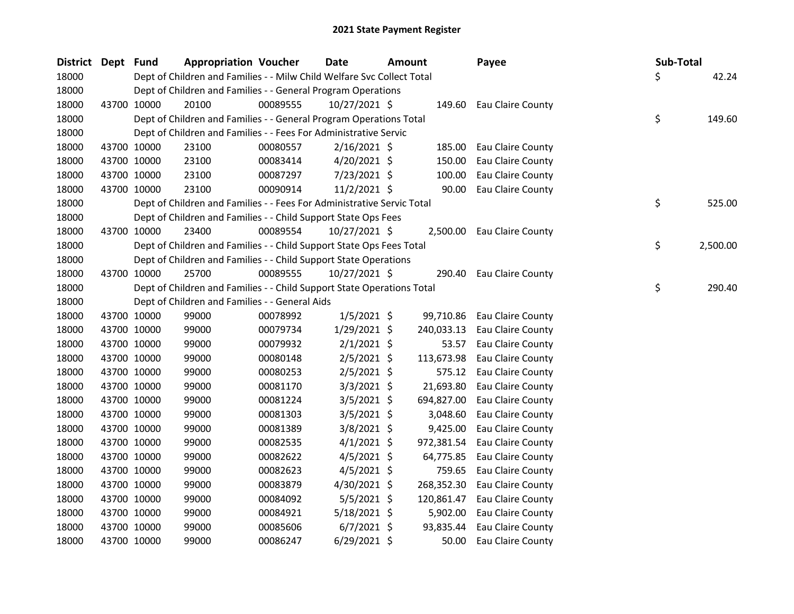| <b>District</b> | Dept Fund |             | <b>Appropriation Voucher</b>                                           |          | <b>Date</b>    | <b>Amount</b> | Payee                      | <b>Sub-Total</b> |          |
|-----------------|-----------|-------------|------------------------------------------------------------------------|----------|----------------|---------------|----------------------------|------------------|----------|
| 18000           |           |             | Dept of Children and Families - - Milw Child Welfare Svc Collect Total |          |                |               |                            | Ś.               | 42.24    |
| 18000           |           |             | Dept of Children and Families - - General Program Operations           |          |                |               |                            |                  |          |
| 18000           |           | 43700 10000 | 20100                                                                  | 00089555 | 10/27/2021 \$  |               | 149.60 Eau Claire County   |                  |          |
| 18000           |           |             | Dept of Children and Families - - General Program Operations Total     |          |                |               |                            | \$               | 149.60   |
| 18000           |           |             | Dept of Children and Families - - Fees For Administrative Servic       |          |                |               |                            |                  |          |
| 18000           |           | 43700 10000 | 23100                                                                  | 00080557 | $2/16/2021$ \$ | 185.00        | Eau Claire County          |                  |          |
| 18000           |           | 43700 10000 | 23100                                                                  | 00083414 | $4/20/2021$ \$ | 150.00        | Eau Claire County          |                  |          |
| 18000           |           | 43700 10000 | 23100                                                                  | 00087297 | 7/23/2021 \$   | 100.00        | Eau Claire County          |                  |          |
| 18000           |           | 43700 10000 | 23100                                                                  | 00090914 | $11/2/2021$ \$ | 90.00         | Eau Claire County          |                  |          |
| 18000           |           |             | Dept of Children and Families - - Fees For Administrative Servic Total |          |                |               |                            | \$               | 525.00   |
| 18000           |           |             | Dept of Children and Families - - Child Support State Ops Fees         |          |                |               |                            |                  |          |
| 18000           |           | 43700 10000 | 23400                                                                  | 00089554 | 10/27/2021 \$  |               | 2,500.00 Eau Claire County |                  |          |
| 18000           |           |             | Dept of Children and Families - - Child Support State Ops Fees Total   |          |                |               |                            | \$               | 2,500.00 |
| 18000           |           |             | Dept of Children and Families - - Child Support State Operations       |          |                |               |                            |                  |          |
| 18000           |           | 43700 10000 | 25700                                                                  | 00089555 | 10/27/2021 \$  | 290.40        | Eau Claire County          |                  |          |
| 18000           |           |             | Dept of Children and Families - - Child Support State Operations Total |          |                |               |                            | \$               | 290.40   |
| 18000           |           |             | Dept of Children and Families - - General Aids                         |          |                |               |                            |                  |          |
| 18000           |           | 43700 10000 | 99000                                                                  | 00078992 | $1/5/2021$ \$  | 99,710.86     | Eau Claire County          |                  |          |
| 18000           |           | 43700 10000 | 99000                                                                  | 00079734 | $1/29/2021$ \$ | 240,033.13    | Eau Claire County          |                  |          |
| 18000           |           | 43700 10000 | 99000                                                                  | 00079932 | $2/1/2021$ \$  | 53.57         | Eau Claire County          |                  |          |
| 18000           |           | 43700 10000 | 99000                                                                  | 00080148 | $2/5/2021$ \$  | 113,673.98    | Eau Claire County          |                  |          |
| 18000           |           | 43700 10000 | 99000                                                                  | 00080253 | $2/5/2021$ \$  | 575.12        | Eau Claire County          |                  |          |
| 18000           |           | 43700 10000 | 99000                                                                  | 00081170 | $3/3/2021$ \$  | 21,693.80     | Eau Claire County          |                  |          |
| 18000           |           | 43700 10000 | 99000                                                                  | 00081224 | $3/5/2021$ \$  | 694,827.00    | Eau Claire County          |                  |          |
| 18000           |           | 43700 10000 | 99000                                                                  | 00081303 | $3/5/2021$ \$  | 3,048.60      | Eau Claire County          |                  |          |
| 18000           |           | 43700 10000 | 99000                                                                  | 00081389 | $3/8/2021$ \$  | 9,425.00      | Eau Claire County          |                  |          |
| 18000           |           | 43700 10000 | 99000                                                                  | 00082535 | $4/1/2021$ \$  | 972,381.54    | Eau Claire County          |                  |          |
| 18000           |           | 43700 10000 | 99000                                                                  | 00082622 | $4/5/2021$ \$  | 64,775.85     | Eau Claire County          |                  |          |
| 18000           |           | 43700 10000 | 99000                                                                  | 00082623 | $4/5/2021$ \$  | 759.65        | Eau Claire County          |                  |          |
| 18000           |           | 43700 10000 | 99000                                                                  | 00083879 | 4/30/2021 \$   | 268,352.30    | Eau Claire County          |                  |          |
| 18000           |           | 43700 10000 | 99000                                                                  | 00084092 | $5/5/2021$ \$  | 120,861.47    | Eau Claire County          |                  |          |
| 18000           |           | 43700 10000 | 99000                                                                  | 00084921 | 5/18/2021 \$   | 5,902.00      | Eau Claire County          |                  |          |
| 18000           |           | 43700 10000 | 99000                                                                  | 00085606 | $6/7/2021$ \$  | 93,835.44     | Eau Claire County          |                  |          |
| 18000           |           | 43700 10000 | 99000                                                                  | 00086247 | $6/29/2021$ \$ | 50.00         | Eau Claire County          |                  |          |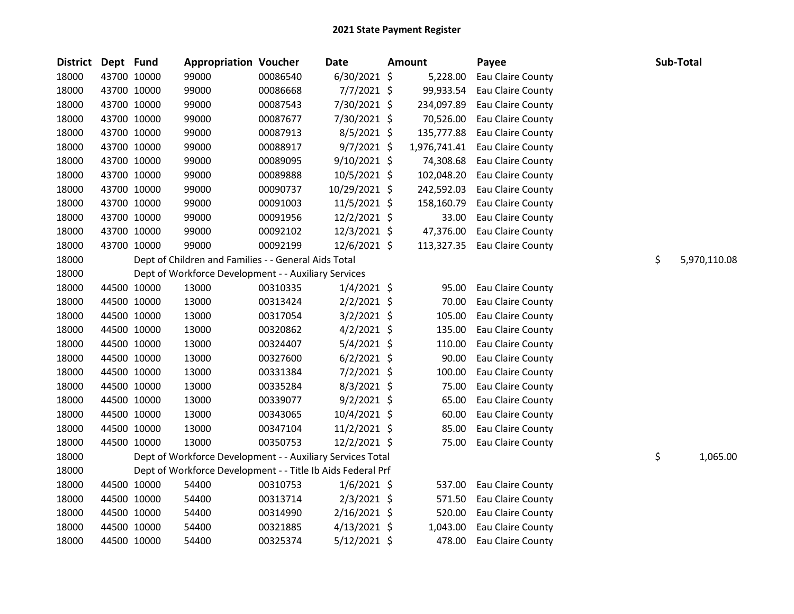| <b>District</b> | Dept Fund |             | <b>Appropriation Voucher</b>                                |          | Date           | <b>Amount</b> | Payee                        | Sub-Total          |
|-----------------|-----------|-------------|-------------------------------------------------------------|----------|----------------|---------------|------------------------------|--------------------|
| 18000           |           | 43700 10000 | 99000                                                       | 00086540 | $6/30/2021$ \$ | 5,228.00      | Eau Claire County            |                    |
| 18000           |           | 43700 10000 | 99000                                                       | 00086668 | 7/7/2021 \$    | 99,933.54     | Eau Claire County            |                    |
| 18000           |           | 43700 10000 | 99000                                                       | 00087543 | 7/30/2021 \$   | 234,097.89    | Eau Claire County            |                    |
| 18000           |           | 43700 10000 | 99000                                                       | 00087677 | 7/30/2021 \$   | 70,526.00     | Eau Claire County            |                    |
| 18000           |           | 43700 10000 | 99000                                                       | 00087913 | $8/5/2021$ \$  | 135,777.88    | Eau Claire County            |                    |
| 18000           |           | 43700 10000 | 99000                                                       | 00088917 | 9/7/2021 \$    | 1,976,741.41  | Eau Claire County            |                    |
| 18000           |           | 43700 10000 | 99000                                                       | 00089095 | $9/10/2021$ \$ | 74,308.68     | Eau Claire County            |                    |
| 18000           |           | 43700 10000 | 99000                                                       | 00089888 | 10/5/2021 \$   | 102,048.20    | Eau Claire County            |                    |
| 18000           |           | 43700 10000 | 99000                                                       | 00090737 | 10/29/2021 \$  | 242,592.03    | Eau Claire County            |                    |
| 18000           |           | 43700 10000 | 99000                                                       | 00091003 | 11/5/2021 \$   | 158,160.79    | Eau Claire County            |                    |
| 18000           |           | 43700 10000 | 99000                                                       | 00091956 | 12/2/2021 \$   | 33.00         | Eau Claire County            |                    |
| 18000           |           | 43700 10000 | 99000                                                       | 00092102 | 12/3/2021 \$   | 47,376.00     | Eau Claire County            |                    |
| 18000           |           | 43700 10000 | 99000                                                       | 00092199 | $12/6/2021$ \$ |               | 113,327.35 Eau Claire County |                    |
| 18000           |           |             | Dept of Children and Families - - General Aids Total        |          |                |               |                              | \$<br>5,970,110.08 |
| 18000           |           |             | Dept of Workforce Development - - Auxiliary Services        |          |                |               |                              |                    |
| 18000           |           | 44500 10000 | 13000                                                       | 00310335 | $1/4/2021$ \$  | 95.00         | Eau Claire County            |                    |
| 18000           |           | 44500 10000 | 13000                                                       | 00313424 | $2/2/2021$ \$  | 70.00         | Eau Claire County            |                    |
| 18000           |           | 44500 10000 | 13000                                                       | 00317054 | $3/2/2021$ \$  | 105.00        | Eau Claire County            |                    |
| 18000           |           | 44500 10000 | 13000                                                       | 00320862 | $4/2/2021$ \$  | 135.00        | Eau Claire County            |                    |
| 18000           |           | 44500 10000 | 13000                                                       | 00324407 | $5/4/2021$ \$  | 110.00        | Eau Claire County            |                    |
| 18000           |           | 44500 10000 | 13000                                                       | 00327600 | $6/2/2021$ \$  | 90.00         | Eau Claire County            |                    |
| 18000           |           | 44500 10000 | 13000                                                       | 00331384 | $7/2/2021$ \$  | 100.00        | Eau Claire County            |                    |
| 18000           |           | 44500 10000 | 13000                                                       | 00335284 | $8/3/2021$ \$  | 75.00         | Eau Claire County            |                    |
| 18000           |           | 44500 10000 | 13000                                                       | 00339077 | $9/2/2021$ \$  | 65.00         | Eau Claire County            |                    |
| 18000           |           | 44500 10000 | 13000                                                       | 00343065 | 10/4/2021 \$   | 60.00         | Eau Claire County            |                    |
| 18000           |           | 44500 10000 | 13000                                                       | 00347104 | 11/2/2021 \$   | 85.00         | Eau Claire County            |                    |
| 18000           |           | 44500 10000 | 13000                                                       | 00350753 | 12/2/2021 \$   | 75.00         | Eau Claire County            |                    |
| 18000           |           |             | Dept of Workforce Development - - Auxiliary Services Total  |          |                |               |                              | \$<br>1,065.00     |
| 18000           |           |             | Dept of Workforce Development - - Title Ib Aids Federal Prf |          |                |               |                              |                    |
| 18000           |           | 44500 10000 | 54400                                                       | 00310753 | $1/6/2021$ \$  | 537.00        | Eau Claire County            |                    |
| 18000           |           | 44500 10000 | 54400                                                       | 00313714 | $2/3/2021$ \$  | 571.50        | Eau Claire County            |                    |
| 18000           |           | 44500 10000 | 54400                                                       | 00314990 | $2/16/2021$ \$ | 520.00        | Eau Claire County            |                    |
| 18000           |           | 44500 10000 | 54400                                                       | 00321885 | $4/13/2021$ \$ | 1,043.00      | Eau Claire County            |                    |
| 18000           |           | 44500 10000 | 54400                                                       | 00325374 | $5/12/2021$ \$ | 478.00        | Eau Claire County            |                    |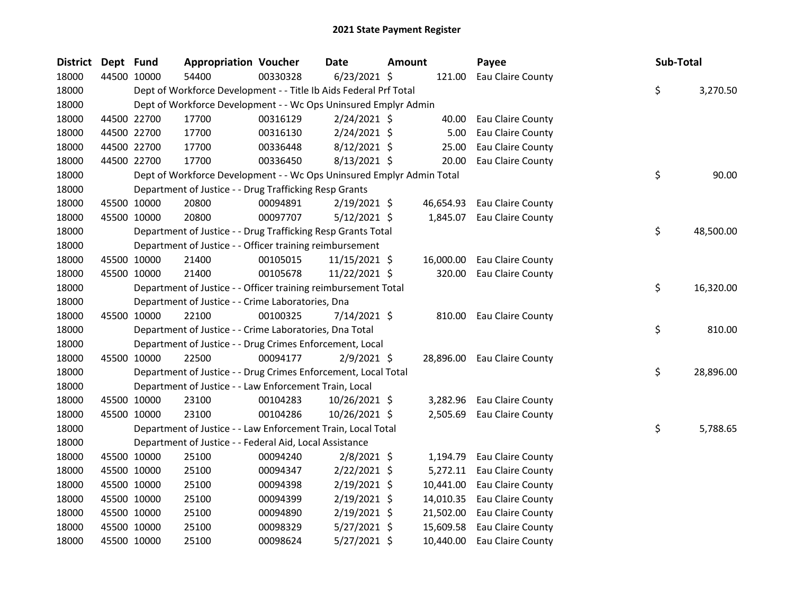| <b>District</b> | Dept Fund |             | <b>Appropriation Voucher</b>                                          |          | <b>Date</b>    | <b>Amount</b> |           | Payee                       | Sub-Total       |
|-----------------|-----------|-------------|-----------------------------------------------------------------------|----------|----------------|---------------|-----------|-----------------------------|-----------------|
| 18000           |           | 44500 10000 | 54400                                                                 | 00330328 | $6/23/2021$ \$ |               |           | 121.00 Eau Claire County    |                 |
| 18000           |           |             | Dept of Workforce Development - - Title Ib Aids Federal Prf Total     |          |                |               |           |                             | \$<br>3,270.50  |
| 18000           |           |             | Dept of Workforce Development - - Wc Ops Uninsured Emplyr Admin       |          |                |               |           |                             |                 |
| 18000           |           | 44500 22700 | 17700                                                                 | 00316129 | $2/24/2021$ \$ |               | 40.00     | Eau Claire County           |                 |
| 18000           |           | 44500 22700 | 17700                                                                 | 00316130 | $2/24/2021$ \$ |               | 5.00      | Eau Claire County           |                 |
| 18000           |           | 44500 22700 | 17700                                                                 | 00336448 | $8/12/2021$ \$ |               | 25.00     | Eau Claire County           |                 |
| 18000           |           | 44500 22700 | 17700                                                                 | 00336450 | $8/13/2021$ \$ |               | 20.00     | Eau Claire County           |                 |
| 18000           |           |             | Dept of Workforce Development - - Wc Ops Uninsured Emplyr Admin Total |          |                |               |           |                             | \$<br>90.00     |
| 18000           |           |             | Department of Justice - - Drug Trafficking Resp Grants                |          |                |               |           |                             |                 |
| 18000           |           | 45500 10000 | 20800                                                                 | 00094891 | 2/19/2021 \$   |               | 46,654.93 | Eau Claire County           |                 |
| 18000           |           | 45500 10000 | 20800                                                                 | 00097707 | $5/12/2021$ \$ |               | 1,845.07  | Eau Claire County           |                 |
| 18000           |           |             | Department of Justice - - Drug Trafficking Resp Grants Total          |          |                |               |           |                             | \$<br>48,500.00 |
| 18000           |           |             | Department of Justice - - Officer training reimbursement              |          |                |               |           |                             |                 |
| 18000           |           | 45500 10000 | 21400                                                                 | 00105015 | 11/15/2021 \$  |               | 16,000.00 | Eau Claire County           |                 |
| 18000           |           | 45500 10000 | 21400                                                                 | 00105678 | 11/22/2021 \$  |               | 320.00    | Eau Claire County           |                 |
| 18000           |           |             | Department of Justice - - Officer training reimbursement Total        |          |                |               |           |                             | \$<br>16,320.00 |
| 18000           |           |             | Department of Justice - - Crime Laboratories, Dna                     |          |                |               |           |                             |                 |
| 18000           |           | 45500 10000 | 22100                                                                 | 00100325 | 7/14/2021 \$   |               |           | 810.00 Eau Claire County    |                 |
| 18000           |           |             | Department of Justice - - Crime Laboratories, Dna Total               |          |                |               |           |                             | \$<br>810.00    |
| 18000           |           |             | Department of Justice - - Drug Crimes Enforcement, Local              |          |                |               |           |                             |                 |
| 18000           |           | 45500 10000 | 22500                                                                 | 00094177 | $2/9/2021$ \$  |               |           | 28,896.00 Eau Claire County |                 |
| 18000           |           |             | Department of Justice - - Drug Crimes Enforcement, Local Total        |          |                |               |           |                             | \$<br>28,896.00 |
| 18000           |           |             | Department of Justice - - Law Enforcement Train, Local                |          |                |               |           |                             |                 |
| 18000           |           | 45500 10000 | 23100                                                                 | 00104283 | 10/26/2021 \$  |               | 3,282.96  | Eau Claire County           |                 |
| 18000           |           | 45500 10000 | 23100                                                                 | 00104286 | 10/26/2021 \$  |               | 2,505.69  | Eau Claire County           |                 |
| 18000           |           |             | Department of Justice - - Law Enforcement Train, Local Total          |          |                |               |           |                             | \$<br>5,788.65  |
| 18000           |           |             | Department of Justice - - Federal Aid, Local Assistance               |          |                |               |           |                             |                 |
| 18000           |           | 45500 10000 | 25100                                                                 | 00094240 | $2/8/2021$ \$  |               | 1,194.79  | Eau Claire County           |                 |
| 18000           |           | 45500 10000 | 25100                                                                 | 00094347 | $2/22/2021$ \$ |               |           | 5,272.11 Eau Claire County  |                 |
| 18000           |           | 45500 10000 | 25100                                                                 | 00094398 | 2/19/2021 \$   |               | 10,441.00 | Eau Claire County           |                 |
| 18000           |           | 45500 10000 | 25100                                                                 | 00094399 | 2/19/2021 \$   |               | 14,010.35 | Eau Claire County           |                 |
| 18000           |           | 45500 10000 | 25100                                                                 | 00094890 | 2/19/2021 \$   |               | 21,502.00 | Eau Claire County           |                 |
| 18000           |           | 45500 10000 | 25100                                                                 | 00098329 | 5/27/2021 \$   |               | 15,609.58 | Eau Claire County           |                 |
| 18000           |           | 45500 10000 | 25100                                                                 | 00098624 | 5/27/2021 \$   |               | 10,440.00 | Eau Claire County           |                 |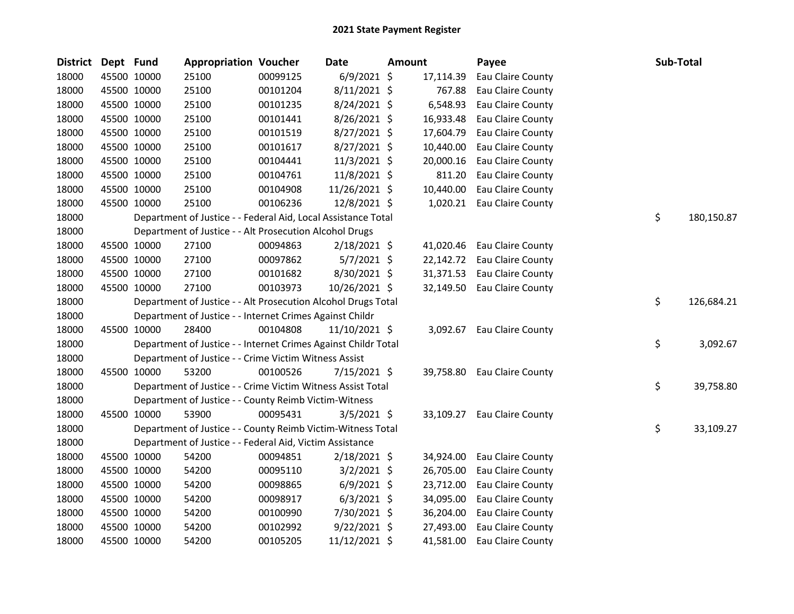| <b>District</b> | Dept Fund |             | <b>Appropriation Voucher</b>                                   |          | <b>Date</b>    | Amount |           | Payee             | Sub-Total |            |
|-----------------|-----------|-------------|----------------------------------------------------------------|----------|----------------|--------|-----------|-------------------|-----------|------------|
| 18000           |           | 45500 10000 | 25100                                                          | 00099125 | $6/9/2021$ \$  |        | 17,114.39 | Eau Claire County |           |            |
| 18000           |           | 45500 10000 | 25100                                                          | 00101204 | 8/11/2021 \$   |        | 767.88    | Eau Claire County |           |            |
| 18000           |           | 45500 10000 | 25100                                                          | 00101235 | 8/24/2021 \$   |        | 6,548.93  | Eau Claire County |           |            |
| 18000           |           | 45500 10000 | 25100                                                          | 00101441 | $8/26/2021$ \$ |        | 16,933.48 | Eau Claire County |           |            |
| 18000           |           | 45500 10000 | 25100                                                          | 00101519 | 8/27/2021 \$   |        | 17,604.79 | Eau Claire County |           |            |
| 18000           |           | 45500 10000 | 25100                                                          | 00101617 | 8/27/2021 \$   |        | 10,440.00 | Eau Claire County |           |            |
| 18000           |           | 45500 10000 | 25100                                                          | 00104441 | 11/3/2021 \$   |        | 20,000.16 | Eau Claire County |           |            |
| 18000           |           | 45500 10000 | 25100                                                          | 00104761 | 11/8/2021 \$   |        | 811.20    | Eau Claire County |           |            |
| 18000           |           | 45500 10000 | 25100                                                          | 00104908 | 11/26/2021 \$  |        | 10,440.00 | Eau Claire County |           |            |
| 18000           |           | 45500 10000 | 25100                                                          | 00106236 | 12/8/2021 \$   |        | 1,020.21  | Eau Claire County |           |            |
| 18000           |           |             | Department of Justice - - Federal Aid, Local Assistance Total  |          |                |        |           |                   | \$        | 180,150.87 |
| 18000           |           |             | Department of Justice - - Alt Prosecution Alcohol Drugs        |          |                |        |           |                   |           |            |
| 18000           |           | 45500 10000 | 27100                                                          | 00094863 | $2/18/2021$ \$ |        | 41,020.46 | Eau Claire County |           |            |
| 18000           |           | 45500 10000 | 27100                                                          | 00097862 | $5/7/2021$ \$  |        | 22,142.72 | Eau Claire County |           |            |
| 18000           |           | 45500 10000 | 27100                                                          | 00101682 | 8/30/2021 \$   |        | 31,371.53 | Eau Claire County |           |            |
| 18000           |           | 45500 10000 | 27100                                                          | 00103973 | 10/26/2021 \$  |        | 32,149.50 | Eau Claire County |           |            |
| 18000           |           |             | Department of Justice - - Alt Prosecution Alcohol Drugs Total  |          |                |        |           |                   | \$        | 126,684.21 |
| 18000           |           |             | Department of Justice - - Internet Crimes Against Childr       |          |                |        |           |                   |           |            |
| 18000           |           | 45500 10000 | 28400                                                          | 00104808 | 11/10/2021 \$  |        | 3,092.67  | Eau Claire County |           |            |
| 18000           |           |             | Department of Justice - - Internet Crimes Against Childr Total |          |                |        |           |                   | \$        | 3,092.67   |
| 18000           |           |             | Department of Justice - - Crime Victim Witness Assist          |          |                |        |           |                   |           |            |
| 18000           |           | 45500 10000 | 53200                                                          | 00100526 | 7/15/2021 \$   |        | 39,758.80 | Eau Claire County |           |            |
| 18000           |           |             | Department of Justice - - Crime Victim Witness Assist Total    |          |                |        |           |                   | \$        | 39,758.80  |
| 18000           |           |             | Department of Justice - - County Reimb Victim-Witness          |          |                |        |           |                   |           |            |
| 18000           |           | 45500 10000 | 53900                                                          | 00095431 | $3/5/2021$ \$  |        | 33,109.27 | Eau Claire County |           |            |
| 18000           |           |             | Department of Justice - - County Reimb Victim-Witness Total    |          |                |        |           |                   | \$        | 33,109.27  |
| 18000           |           |             | Department of Justice - - Federal Aid, Victim Assistance       |          |                |        |           |                   |           |            |
| 18000           |           | 45500 10000 | 54200                                                          | 00094851 | $2/18/2021$ \$ |        | 34,924.00 | Eau Claire County |           |            |
| 18000           |           | 45500 10000 | 54200                                                          | 00095110 | $3/2/2021$ \$  |        | 26,705.00 | Eau Claire County |           |            |
| 18000           |           | 45500 10000 | 54200                                                          | 00098865 | $6/9/2021$ \$  |        | 23,712.00 | Eau Claire County |           |            |
| 18000           |           | 45500 10000 | 54200                                                          | 00098917 | $6/3/2021$ \$  |        | 34,095.00 | Eau Claire County |           |            |
| 18000           |           | 45500 10000 | 54200                                                          | 00100990 | 7/30/2021 \$   |        | 36,204.00 | Eau Claire County |           |            |
| 18000           |           | 45500 10000 | 54200                                                          | 00102992 | $9/22/2021$ \$ |        | 27,493.00 | Eau Claire County |           |            |
| 18000           |           | 45500 10000 | 54200                                                          | 00105205 | 11/12/2021 \$  |        | 41,581.00 | Eau Claire County |           |            |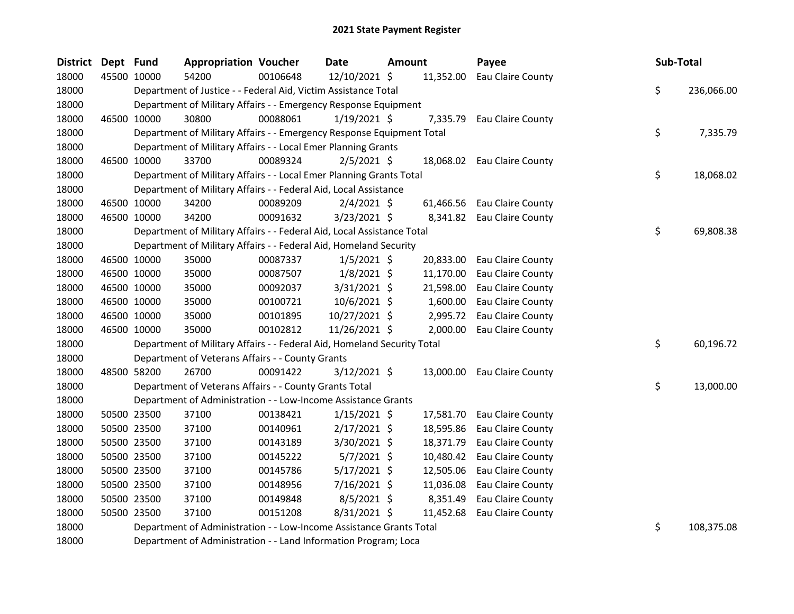| <b>District</b> | Dept Fund |             | <b>Appropriation Voucher</b>                                            |          | Date           | Amount |           | Payee                       | Sub-Total |            |
|-----------------|-----------|-------------|-------------------------------------------------------------------------|----------|----------------|--------|-----------|-----------------------------|-----------|------------|
| 18000           |           | 45500 10000 | 54200                                                                   | 00106648 | 12/10/2021 \$  |        | 11,352.00 | Eau Claire County           |           |            |
| 18000           |           |             | Department of Justice - - Federal Aid, Victim Assistance Total          |          |                |        |           |                             | \$        | 236,066.00 |
| 18000           |           |             | Department of Military Affairs - - Emergency Response Equipment         |          |                |        |           |                             |           |            |
| 18000           |           | 46500 10000 | 30800                                                                   | 00088061 | $1/19/2021$ \$ |        | 7,335.79  | Eau Claire County           |           |            |
| 18000           |           |             | Department of Military Affairs - - Emergency Response Equipment Total   |          |                |        |           |                             | \$        | 7,335.79   |
| 18000           |           |             | Department of Military Affairs - - Local Emer Planning Grants           |          |                |        |           |                             |           |            |
| 18000           |           | 46500 10000 | 33700                                                                   | 00089324 | $2/5/2021$ \$  |        |           | 18,068.02 Eau Claire County |           |            |
| 18000           |           |             | Department of Military Affairs - - Local Emer Planning Grants Total     |          |                |        |           |                             | \$        | 18,068.02  |
| 18000           |           |             | Department of Military Affairs - - Federal Aid, Local Assistance        |          |                |        |           |                             |           |            |
| 18000           |           | 46500 10000 | 34200                                                                   | 00089209 | $2/4/2021$ \$  |        | 61,466.56 | Eau Claire County           |           |            |
| 18000           |           | 46500 10000 | 34200                                                                   | 00091632 | $3/23/2021$ \$ |        |           | 8,341.82 Eau Claire County  |           |            |
| 18000           |           |             | Department of Military Affairs - - Federal Aid, Local Assistance Total  |          |                |        |           |                             | \$.       | 69,808.38  |
| 18000           |           |             | Department of Military Affairs - - Federal Aid, Homeland Security       |          |                |        |           |                             |           |            |
| 18000           |           | 46500 10000 | 35000                                                                   | 00087337 | $1/5/2021$ \$  |        | 20,833.00 | Eau Claire County           |           |            |
| 18000           |           | 46500 10000 | 35000                                                                   | 00087507 | $1/8/2021$ \$  |        | 11,170.00 | Eau Claire County           |           |            |
| 18000           |           | 46500 10000 | 35000                                                                   | 00092037 | 3/31/2021 \$   |        | 21,598.00 | Eau Claire County           |           |            |
| 18000           |           | 46500 10000 | 35000                                                                   | 00100721 | 10/6/2021 \$   |        | 1,600.00  | Eau Claire County           |           |            |
| 18000           |           | 46500 10000 | 35000                                                                   | 00101895 | 10/27/2021 \$  |        | 2,995.72  | Eau Claire County           |           |            |
| 18000           |           | 46500 10000 | 35000                                                                   | 00102812 | 11/26/2021 \$  |        | 2,000.00  | Eau Claire County           |           |            |
| 18000           |           |             | Department of Military Affairs - - Federal Aid, Homeland Security Total |          |                |        |           |                             | \$        | 60,196.72  |
| 18000           |           |             | Department of Veterans Affairs - - County Grants                        |          |                |        |           |                             |           |            |
| 18000           |           | 48500 58200 | 26700                                                                   | 00091422 | $3/12/2021$ \$ |        |           | 13,000.00 Eau Claire County |           |            |
| 18000           |           |             | Department of Veterans Affairs - - County Grants Total                  |          |                |        |           |                             | \$        | 13,000.00  |
| 18000           |           |             | Department of Administration - - Low-Income Assistance Grants           |          |                |        |           |                             |           |            |
| 18000           |           | 50500 23500 | 37100                                                                   | 00138421 | $1/15/2021$ \$ |        | 17,581.70 | Eau Claire County           |           |            |
| 18000           |           | 50500 23500 | 37100                                                                   | 00140961 | $2/17/2021$ \$ |        | 18,595.86 | Eau Claire County           |           |            |
| 18000           |           | 50500 23500 | 37100                                                                   | 00143189 | 3/30/2021 \$   |        | 18,371.79 | Eau Claire County           |           |            |
| 18000           |           | 50500 23500 | 37100                                                                   | 00145222 | $5/7/2021$ \$  |        | 10,480.42 | Eau Claire County           |           |            |
| 18000           |           | 50500 23500 | 37100                                                                   | 00145786 | 5/17/2021 \$   |        | 12,505.06 | Eau Claire County           |           |            |
| 18000           |           | 50500 23500 | 37100                                                                   | 00148956 | $7/16/2021$ \$ |        | 11,036.08 | Eau Claire County           |           |            |
| 18000           |           | 50500 23500 | 37100                                                                   | 00149848 | $8/5/2021$ \$  |        | 8,351.49  | Eau Claire County           |           |            |
| 18000           |           | 50500 23500 | 37100                                                                   | 00151208 | 8/31/2021 \$   |        | 11,452.68 | Eau Claire County           |           |            |
| 18000           |           |             | Department of Administration - - Low-Income Assistance Grants Total     |          |                |        |           |                             | \$        | 108,375.08 |
| 18000           |           |             | Department of Administration - - Land Information Program; Loca         |          |                |        |           |                             |           |            |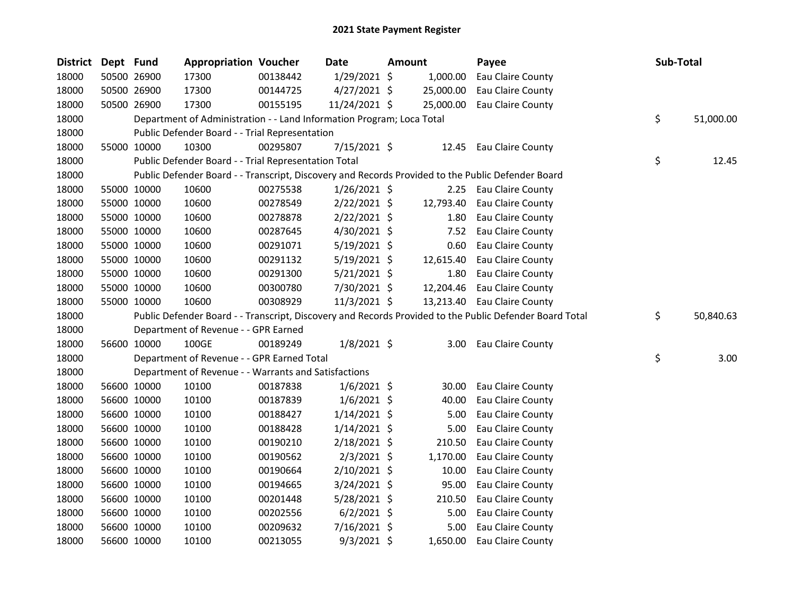| <b>District</b> | Dept Fund |             | <b>Appropriation Voucher</b>                                          |          | Date           | Amount |           | Payee                                                                                                   | Sub-Total       |
|-----------------|-----------|-------------|-----------------------------------------------------------------------|----------|----------------|--------|-----------|---------------------------------------------------------------------------------------------------------|-----------------|
| 18000           |           | 50500 26900 | 17300                                                                 | 00138442 | 1/29/2021 \$   |        | 1,000.00  | Eau Claire County                                                                                       |                 |
| 18000           |           | 50500 26900 | 17300                                                                 | 00144725 | $4/27/2021$ \$ |        | 25,000.00 | Eau Claire County                                                                                       |                 |
| 18000           |           | 50500 26900 | 17300                                                                 | 00155195 | 11/24/2021 \$  |        | 25,000.00 | Eau Claire County                                                                                       |                 |
| 18000           |           |             | Department of Administration - - Land Information Program; Loca Total |          |                |        |           |                                                                                                         | \$<br>51,000.00 |
| 18000           |           |             | Public Defender Board - - Trial Representation                        |          |                |        |           |                                                                                                         |                 |
| 18000           |           | 55000 10000 | 10300                                                                 | 00295807 | 7/15/2021 \$   |        | 12.45     | Eau Claire County                                                                                       |                 |
| 18000           |           |             | Public Defender Board - - Trial Representation Total                  |          |                |        |           |                                                                                                         | \$<br>12.45     |
| 18000           |           |             |                                                                       |          |                |        |           | Public Defender Board - - Transcript, Discovery and Records Provided to the Public Defender Board       |                 |
| 18000           |           | 55000 10000 | 10600                                                                 | 00275538 | $1/26/2021$ \$ |        | 2.25      | Eau Claire County                                                                                       |                 |
| 18000           |           | 55000 10000 | 10600                                                                 | 00278549 | $2/22/2021$ \$ |        | 12,793.40 | Eau Claire County                                                                                       |                 |
| 18000           |           | 55000 10000 | 10600                                                                 | 00278878 | $2/22/2021$ \$ |        | 1.80      | Eau Claire County                                                                                       |                 |
| 18000           |           | 55000 10000 | 10600                                                                 | 00287645 | $4/30/2021$ \$ |        | 7.52      | Eau Claire County                                                                                       |                 |
| 18000           |           | 55000 10000 | 10600                                                                 | 00291071 | $5/19/2021$ \$ |        | 0.60      | Eau Claire County                                                                                       |                 |
| 18000           |           | 55000 10000 | 10600                                                                 | 00291132 | $5/19/2021$ \$ |        | 12,615.40 | Eau Claire County                                                                                       |                 |
| 18000           |           | 55000 10000 | 10600                                                                 | 00291300 | 5/21/2021 \$   |        | 1.80      | Eau Claire County                                                                                       |                 |
| 18000           |           | 55000 10000 | 10600                                                                 | 00300780 | 7/30/2021 \$   |        | 12,204.46 | Eau Claire County                                                                                       |                 |
| 18000           |           | 55000 10000 | 10600                                                                 | 00308929 | 11/3/2021 \$   |        |           | 13,213.40 Eau Claire County                                                                             |                 |
| 18000           |           |             |                                                                       |          |                |        |           | Public Defender Board - - Transcript, Discovery and Records Provided to the Public Defender Board Total | \$<br>50,840.63 |
| 18000           |           |             | Department of Revenue - - GPR Earned                                  |          |                |        |           |                                                                                                         |                 |
| 18000           |           | 56600 10000 | 100GE                                                                 | 00189249 | $1/8/2021$ \$  |        | 3.00      | Eau Claire County                                                                                       |                 |
| 18000           |           |             | Department of Revenue - - GPR Earned Total                            |          |                |        |           |                                                                                                         | \$<br>3.00      |
| 18000           |           |             | Department of Revenue - - Warrants and Satisfactions                  |          |                |        |           |                                                                                                         |                 |
| 18000           |           | 56600 10000 | 10100                                                                 | 00187838 | $1/6/2021$ \$  |        | 30.00     | Eau Claire County                                                                                       |                 |
| 18000           |           | 56600 10000 | 10100                                                                 | 00187839 | $1/6/2021$ \$  |        | 40.00     | Eau Claire County                                                                                       |                 |
| 18000           |           | 56600 10000 | 10100                                                                 | 00188427 | $1/14/2021$ \$ |        | 5.00      | Eau Claire County                                                                                       |                 |
| 18000           |           | 56600 10000 | 10100                                                                 | 00188428 | $1/14/2021$ \$ |        | 5.00      | Eau Claire County                                                                                       |                 |
| 18000           |           | 56600 10000 | 10100                                                                 | 00190210 | 2/18/2021 \$   |        | 210.50    | Eau Claire County                                                                                       |                 |
| 18000           |           | 56600 10000 | 10100                                                                 | 00190562 | $2/3/2021$ \$  |        | 1,170.00  | Eau Claire County                                                                                       |                 |
| 18000           |           | 56600 10000 | 10100                                                                 | 00190664 | 2/10/2021 \$   |        | 10.00     | Eau Claire County                                                                                       |                 |
| 18000           |           | 56600 10000 | 10100                                                                 | 00194665 | 3/24/2021 \$   |        | 95.00     | Eau Claire County                                                                                       |                 |
| 18000           |           | 56600 10000 | 10100                                                                 | 00201448 | $5/28/2021$ \$ |        | 210.50    | Eau Claire County                                                                                       |                 |
| 18000           |           | 56600 10000 | 10100                                                                 | 00202556 | $6/2/2021$ \$  |        | 5.00      | Eau Claire County                                                                                       |                 |
| 18000           |           | 56600 10000 | 10100                                                                 | 00209632 | 7/16/2021 \$   |        | 5.00      | Eau Claire County                                                                                       |                 |
| 18000           |           | 56600 10000 | 10100                                                                 | 00213055 | $9/3/2021$ \$  |        | 1,650.00  | Eau Claire County                                                                                       |                 |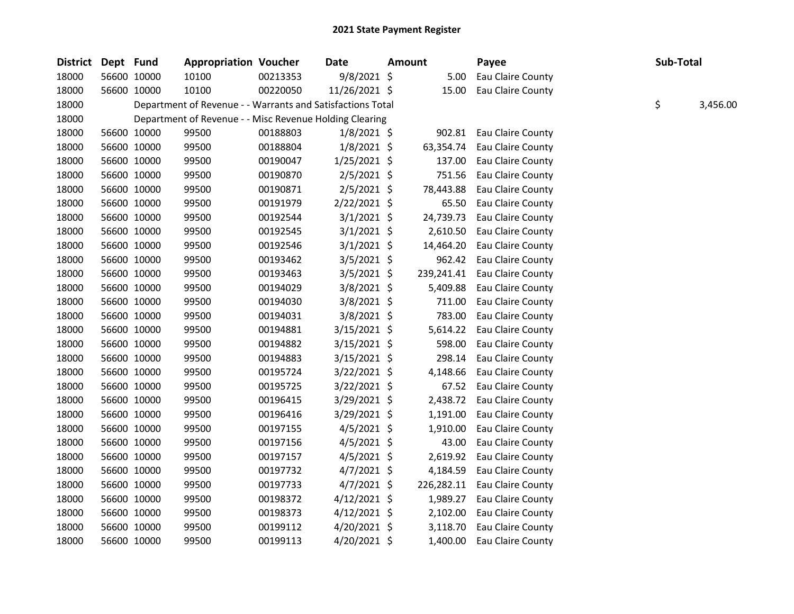| District | Dept Fund |             | <b>Appropriation Voucher</b>                               |          | Date           | <b>Amount</b> | Payee             | Sub-Total |          |
|----------|-----------|-------------|------------------------------------------------------------|----------|----------------|---------------|-------------------|-----------|----------|
| 18000    |           | 56600 10000 | 10100                                                      | 00213353 | 9/8/2021 \$    | 5.00          | Eau Claire County |           |          |
| 18000    |           | 56600 10000 | 10100                                                      | 00220050 | 11/26/2021 \$  | 15.00         | Eau Claire County |           |          |
| 18000    |           |             | Department of Revenue - - Warrants and Satisfactions Total |          |                |               |                   | \$        | 3,456.00 |
| 18000    |           |             | Department of Revenue - - Misc Revenue Holding Clearing    |          |                |               |                   |           |          |
| 18000    |           | 56600 10000 | 99500                                                      | 00188803 | $1/8/2021$ \$  | 902.81        | Eau Claire County |           |          |
| 18000    |           | 56600 10000 | 99500                                                      | 00188804 | $1/8/2021$ \$  | 63,354.74     | Eau Claire County |           |          |
| 18000    |           | 56600 10000 | 99500                                                      | 00190047 | $1/25/2021$ \$ | 137.00        | Eau Claire County |           |          |
| 18000    |           | 56600 10000 | 99500                                                      | 00190870 | $2/5/2021$ \$  | 751.56        | Eau Claire County |           |          |
| 18000    |           | 56600 10000 | 99500                                                      | 00190871 | $2/5/2021$ \$  | 78,443.88     | Eau Claire County |           |          |
| 18000    |           | 56600 10000 | 99500                                                      | 00191979 | 2/22/2021 \$   | 65.50         | Eau Claire County |           |          |
| 18000    |           | 56600 10000 | 99500                                                      | 00192544 | $3/1/2021$ \$  | 24,739.73     | Eau Claire County |           |          |
| 18000    |           | 56600 10000 | 99500                                                      | 00192545 | $3/1/2021$ \$  | 2,610.50      | Eau Claire County |           |          |
| 18000    |           | 56600 10000 | 99500                                                      | 00192546 | $3/1/2021$ \$  | 14,464.20     | Eau Claire County |           |          |
| 18000    |           | 56600 10000 | 99500                                                      | 00193462 | $3/5/2021$ \$  | 962.42        | Eau Claire County |           |          |
| 18000    |           | 56600 10000 | 99500                                                      | 00193463 | $3/5/2021$ \$  | 239,241.41    | Eau Claire County |           |          |
| 18000    |           | 56600 10000 | 99500                                                      | 00194029 | $3/8/2021$ \$  | 5,409.88      | Eau Claire County |           |          |
| 18000    |           | 56600 10000 | 99500                                                      | 00194030 | $3/8/2021$ \$  | 711.00        | Eau Claire County |           |          |
| 18000    |           | 56600 10000 | 99500                                                      | 00194031 | 3/8/2021 \$    | 783.00        | Eau Claire County |           |          |
| 18000    |           | 56600 10000 | 99500                                                      | 00194881 | $3/15/2021$ \$ | 5,614.22      | Eau Claire County |           |          |
| 18000    |           | 56600 10000 | 99500                                                      | 00194882 | $3/15/2021$ \$ | 598.00        | Eau Claire County |           |          |
| 18000    |           | 56600 10000 | 99500                                                      | 00194883 | $3/15/2021$ \$ | 298.14        | Eau Claire County |           |          |
| 18000    |           | 56600 10000 | 99500                                                      | 00195724 | $3/22/2021$ \$ | 4,148.66      | Eau Claire County |           |          |
| 18000    |           | 56600 10000 | 99500                                                      | 00195725 | $3/22/2021$ \$ | 67.52         | Eau Claire County |           |          |
| 18000    |           | 56600 10000 | 99500                                                      | 00196415 | $3/29/2021$ \$ | 2,438.72      | Eau Claire County |           |          |
| 18000    |           | 56600 10000 | 99500                                                      | 00196416 | 3/29/2021 \$   | 1,191.00      | Eau Claire County |           |          |
| 18000    |           | 56600 10000 | 99500                                                      | 00197155 | $4/5/2021$ \$  | 1,910.00      | Eau Claire County |           |          |
| 18000    |           | 56600 10000 | 99500                                                      | 00197156 | $4/5/2021$ \$  | 43.00         | Eau Claire County |           |          |
| 18000    |           | 56600 10000 | 99500                                                      | 00197157 | $4/5/2021$ \$  | 2,619.92      | Eau Claire County |           |          |
| 18000    |           | 56600 10000 | 99500                                                      | 00197732 | $4/7/2021$ \$  | 4,184.59      | Eau Claire County |           |          |
| 18000    |           | 56600 10000 | 99500                                                      | 00197733 | $4/7/2021$ \$  | 226,282.11    | Eau Claire County |           |          |
| 18000    |           | 56600 10000 | 99500                                                      | 00198372 | $4/12/2021$ \$ | 1,989.27      | Eau Claire County |           |          |
| 18000    |           | 56600 10000 | 99500                                                      | 00198373 | $4/12/2021$ \$ | 2,102.00      | Eau Claire County |           |          |
| 18000    |           | 56600 10000 | 99500                                                      | 00199112 | $4/20/2021$ \$ | 3,118.70      | Eau Claire County |           |          |
| 18000    |           | 56600 10000 | 99500                                                      | 00199113 | 4/20/2021 \$   | 1,400.00      | Eau Claire County |           |          |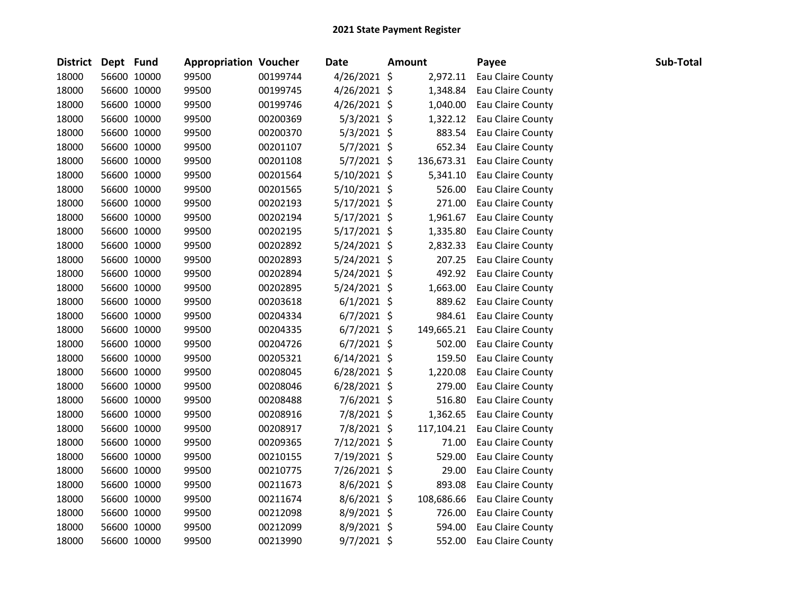| District Dept Fund |             | <b>Appropriation Voucher</b> |          | Date           | <b>Amount</b> | Payee             | Sub-Total |
|--------------------|-------------|------------------------------|----------|----------------|---------------|-------------------|-----------|
| 18000              | 56600 10000 | 99500                        | 00199744 | $4/26/2021$ \$ | 2,972.11      | Eau Claire County |           |
| 18000              | 56600 10000 | 99500                        | 00199745 | $4/26/2021$ \$ | 1,348.84      | Eau Claire County |           |
| 18000              | 56600 10000 | 99500                        | 00199746 | $4/26/2021$ \$ | 1,040.00      | Eau Claire County |           |
| 18000              | 56600 10000 | 99500                        | 00200369 | $5/3/2021$ \$  | 1,322.12      | Eau Claire County |           |
| 18000              | 56600 10000 | 99500                        | 00200370 | $5/3/2021$ \$  | 883.54        | Eau Claire County |           |
| 18000              | 56600 10000 | 99500                        | 00201107 | $5/7/2021$ \$  | 652.34        | Eau Claire County |           |
| 18000              | 56600 10000 | 99500                        | 00201108 | $5/7/2021$ \$  | 136,673.31    | Eau Claire County |           |
| 18000              | 56600 10000 | 99500                        | 00201564 | $5/10/2021$ \$ | 5,341.10      | Eau Claire County |           |
| 18000              | 56600 10000 | 99500                        | 00201565 | $5/10/2021$ \$ | 526.00        | Eau Claire County |           |
| 18000              | 56600 10000 | 99500                        | 00202193 | $5/17/2021$ \$ | 271.00        | Eau Claire County |           |
| 18000              | 56600 10000 | 99500                        | 00202194 | $5/17/2021$ \$ | 1,961.67      | Eau Claire County |           |
| 18000              | 56600 10000 | 99500                        | 00202195 | $5/17/2021$ \$ | 1,335.80      | Eau Claire County |           |
| 18000              | 56600 10000 | 99500                        | 00202892 | $5/24/2021$ \$ | 2,832.33      | Eau Claire County |           |
| 18000              | 56600 10000 | 99500                        | 00202893 | $5/24/2021$ \$ | 207.25        | Eau Claire County |           |
| 18000              | 56600 10000 | 99500                        | 00202894 | $5/24/2021$ \$ | 492.92        | Eau Claire County |           |
| 18000              | 56600 10000 | 99500                        | 00202895 | $5/24/2021$ \$ | 1,663.00      | Eau Claire County |           |
| 18000              | 56600 10000 | 99500                        | 00203618 | $6/1/2021$ \$  | 889.62        | Eau Claire County |           |
| 18000              | 56600 10000 | 99500                        | 00204334 | $6/7/2021$ \$  | 984.61        | Eau Claire County |           |
| 18000              | 56600 10000 | 99500                        | 00204335 | $6/7/2021$ \$  | 149,665.21    | Eau Claire County |           |
| 18000              | 56600 10000 | 99500                        | 00204726 | $6/7/2021$ \$  | 502.00        | Eau Claire County |           |
| 18000              | 56600 10000 | 99500                        | 00205321 | $6/14/2021$ \$ | 159.50        | Eau Claire County |           |
| 18000              | 56600 10000 | 99500                        | 00208045 | $6/28/2021$ \$ | 1,220.08      | Eau Claire County |           |
| 18000              | 56600 10000 | 99500                        | 00208046 | 6/28/2021 \$   | 279.00        | Eau Claire County |           |
| 18000              | 56600 10000 | 99500                        | 00208488 | 7/6/2021 \$    | 516.80        | Eau Claire County |           |
| 18000              | 56600 10000 | 99500                        | 00208916 | 7/8/2021 \$    | 1,362.65      | Eau Claire County |           |
| 18000              | 56600 10000 | 99500                        | 00208917 | 7/8/2021 \$    | 117,104.21    | Eau Claire County |           |
| 18000              | 56600 10000 | 99500                        | 00209365 | 7/12/2021 \$   | 71.00         | Eau Claire County |           |
| 18000              | 56600 10000 | 99500                        | 00210155 | 7/19/2021 \$   | 529.00        | Eau Claire County |           |
| 18000              | 56600 10000 | 99500                        | 00210775 | 7/26/2021 \$   | 29.00         | Eau Claire County |           |
| 18000              | 56600 10000 | 99500                        | 00211673 | $8/6/2021$ \$  | 893.08        | Eau Claire County |           |
| 18000              | 56600 10000 | 99500                        | 00211674 | $8/6/2021$ \$  | 108,686.66    | Eau Claire County |           |
| 18000              | 56600 10000 | 99500                        | 00212098 | 8/9/2021 \$    | 726.00        | Eau Claire County |           |
| 18000              | 56600 10000 | 99500                        | 00212099 | 8/9/2021 \$    | 594.00        | Eau Claire County |           |
| 18000              | 56600 10000 | 99500                        | 00213990 | $9/7/2021$ \$  | 552.00        | Eau Claire County |           |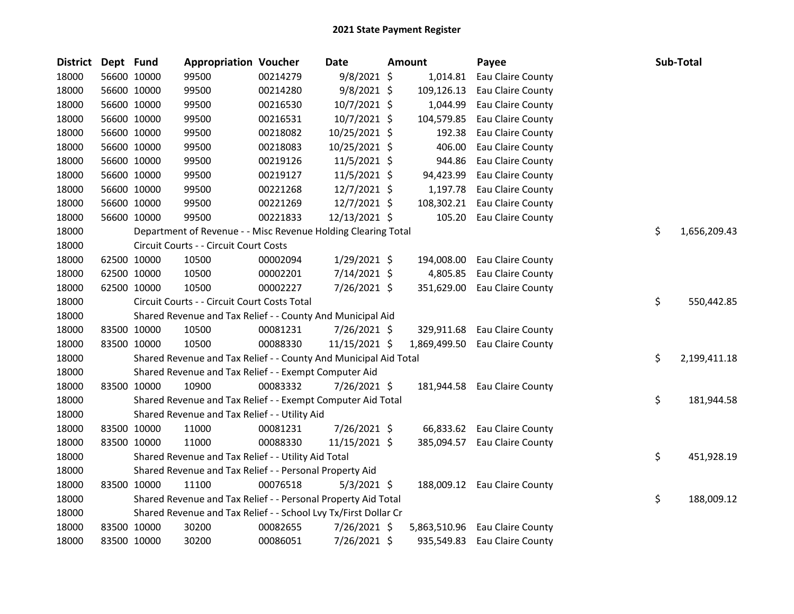| <b>District</b> | Dept Fund |             | <b>Appropriation Voucher</b>                                     |          | <b>Date</b>    | <b>Amount</b> | Payee                        | Sub-Total          |
|-----------------|-----------|-------------|------------------------------------------------------------------|----------|----------------|---------------|------------------------------|--------------------|
| 18000           |           | 56600 10000 | 99500                                                            | 00214279 | $9/8/2021$ \$  | 1,014.81      | Eau Claire County            |                    |
| 18000           |           | 56600 10000 | 99500                                                            | 00214280 | $9/8/2021$ \$  | 109,126.13    | Eau Claire County            |                    |
| 18000           |           | 56600 10000 | 99500                                                            | 00216530 | 10/7/2021 \$   | 1,044.99      | Eau Claire County            |                    |
| 18000           |           | 56600 10000 | 99500                                                            | 00216531 | 10/7/2021 \$   | 104,579.85    | Eau Claire County            |                    |
| 18000           |           | 56600 10000 | 99500                                                            | 00218082 | 10/25/2021 \$  | 192.38        | Eau Claire County            |                    |
| 18000           |           | 56600 10000 | 99500                                                            | 00218083 | 10/25/2021 \$  | 406.00        | Eau Claire County            |                    |
| 18000           |           | 56600 10000 | 99500                                                            | 00219126 | 11/5/2021 \$   | 944.86        | Eau Claire County            |                    |
| 18000           |           | 56600 10000 | 99500                                                            | 00219127 | $11/5/2021$ \$ | 94,423.99     | Eau Claire County            |                    |
| 18000           |           | 56600 10000 | 99500                                                            | 00221268 | 12/7/2021 \$   | 1,197.78      | Eau Claire County            |                    |
| 18000           |           | 56600 10000 | 99500                                                            | 00221269 | 12/7/2021 \$   | 108,302.21    | Eau Claire County            |                    |
| 18000           |           | 56600 10000 | 99500                                                            | 00221833 | 12/13/2021 \$  | 105.20        | Eau Claire County            |                    |
| 18000           |           |             | Department of Revenue - - Misc Revenue Holding Clearing Total    |          |                |               |                              | \$<br>1,656,209.43 |
| 18000           |           |             | Circuit Courts - - Circuit Court Costs                           |          |                |               |                              |                    |
| 18000           |           | 62500 10000 | 10500                                                            | 00002094 | $1/29/2021$ \$ | 194,008.00    | Eau Claire County            |                    |
| 18000           |           | 62500 10000 | 10500                                                            | 00002201 | 7/14/2021 \$   | 4,805.85      | Eau Claire County            |                    |
| 18000           |           | 62500 10000 | 10500                                                            | 00002227 | 7/26/2021 \$   | 351,629.00    | Eau Claire County            |                    |
| 18000           |           |             | Circuit Courts - - Circuit Court Costs Total                     |          |                |               |                              | \$<br>550,442.85   |
| 18000           |           |             | Shared Revenue and Tax Relief - - County And Municipal Aid       |          |                |               |                              |                    |
| 18000           |           | 83500 10000 | 10500                                                            | 00081231 | 7/26/2021 \$   | 329,911.68    | Eau Claire County            |                    |
| 18000           |           | 83500 10000 | 10500                                                            | 00088330 | 11/15/2021 \$  | 1,869,499.50  | Eau Claire County            |                    |
| 18000           |           |             | Shared Revenue and Tax Relief - - County And Municipal Aid Total |          |                |               |                              | \$<br>2,199,411.18 |
| 18000           |           |             | Shared Revenue and Tax Relief - - Exempt Computer Aid            |          |                |               |                              |                    |
| 18000           |           | 83500 10000 | 10900                                                            | 00083332 | 7/26/2021 \$   | 181,944.58    | Eau Claire County            |                    |
| 18000           |           |             | Shared Revenue and Tax Relief - - Exempt Computer Aid Total      |          |                |               |                              | \$<br>181,944.58   |
| 18000           |           |             | Shared Revenue and Tax Relief - - Utility Aid                    |          |                |               |                              |                    |
| 18000           |           | 83500 10000 | 11000                                                            | 00081231 | 7/26/2021 \$   |               | 66,833.62 Eau Claire County  |                    |
| 18000           |           | 83500 10000 | 11000                                                            | 00088330 | 11/15/2021 \$  |               | 385,094.57 Eau Claire County |                    |
| 18000           |           |             | Shared Revenue and Tax Relief - - Utility Aid Total              |          |                |               |                              | \$<br>451,928.19   |
| 18000           |           |             | Shared Revenue and Tax Relief - - Personal Property Aid          |          |                |               |                              |                    |
| 18000           |           | 83500 10000 | 11100                                                            | 00076518 | $5/3/2021$ \$  |               | 188,009.12 Eau Claire County |                    |
| 18000           |           |             | Shared Revenue and Tax Relief - - Personal Property Aid Total    |          |                |               |                              | \$<br>188,009.12   |
| 18000           |           |             | Shared Revenue and Tax Relief - - School Lvy Tx/First Dollar Cr  |          |                |               |                              |                    |
| 18000           |           | 83500 10000 | 30200                                                            | 00082655 | 7/26/2021 \$   | 5,863,510.96  | Eau Claire County            |                    |
| 18000           |           | 83500 10000 | 30200                                                            | 00086051 | 7/26/2021 \$   | 935,549.83    | Eau Claire County            |                    |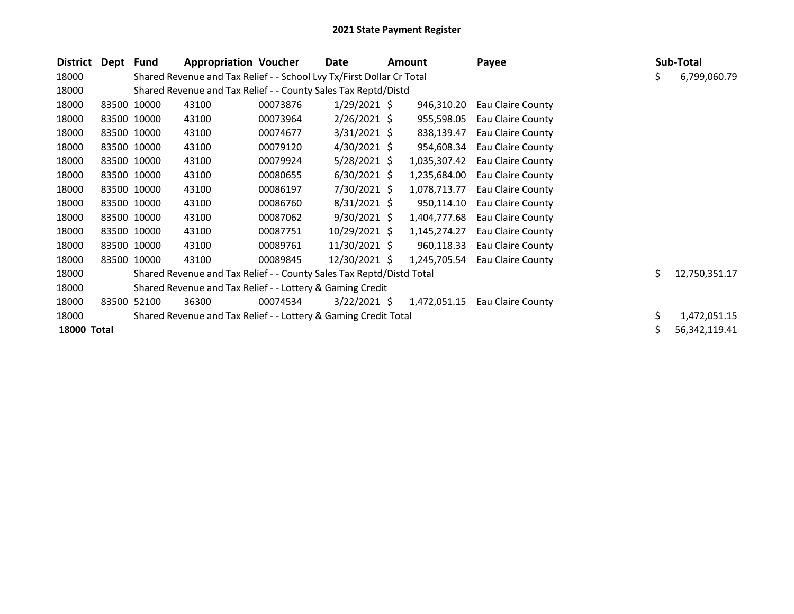| District           | Dept Fund   |                                                           | <b>Appropriation Voucher</b>                                          |          | Date           |            | <b>Amount</b> | Payee             |    | Sub-Total     |
|--------------------|-------------|-----------------------------------------------------------|-----------------------------------------------------------------------|----------|----------------|------------|---------------|-------------------|----|---------------|
| 18000              |             |                                                           | Shared Revenue and Tax Relief - - School Lvy Tx/First Dollar Cr Total |          |                |            |               |                   | Ş  | 6,799,060.79  |
| 18000              |             |                                                           | Shared Revenue and Tax Relief - - County Sales Tax Reptd/Distd        |          |                |            |               |                   |    |               |
| 18000              | 83500 10000 |                                                           | 43100                                                                 | 00073876 | $1/29/2021$ \$ |            | 946,310.20    | Eau Claire County |    |               |
| 18000              |             | 83500 10000                                               | 43100                                                                 | 00073964 | $2/26/2021$ \$ | 955,598.05 |               | Eau Claire County |    |               |
| 18000              |             | 83500 10000                                               | 43100                                                                 | 00074677 | $3/31/2021$ \$ | 838,139.47 |               | Eau Claire County |    |               |
| 18000              |             | 83500 10000                                               | 43100                                                                 | 00079120 | $4/30/2021$ \$ | 954,608.34 |               | Eau Claire County |    |               |
| 18000              | 83500 10000 |                                                           | 43100                                                                 | 00079924 | $5/28/2021$ \$ |            | 1,035,307.42  | Eau Claire County |    |               |
| 18000              |             | 83500 10000                                               | 43100                                                                 | 00080655 | $6/30/2021$ \$ |            | 1,235,684.00  | Eau Claire County |    |               |
| 18000              |             | 83500 10000                                               | 43100                                                                 | 00086197 | 7/30/2021 \$   |            | 1,078,713.77  | Eau Claire County |    |               |
| 18000              | 83500 10000 |                                                           | 43100                                                                 | 00086760 | $8/31/2021$ \$ |            | 950,114.10    | Eau Claire County |    |               |
| 18000              |             | 83500 10000                                               | 43100                                                                 | 00087062 | $9/30/2021$ \$ |            | 1,404,777.68  | Eau Claire County |    |               |
| 18000              | 83500 10000 |                                                           | 43100                                                                 | 00087751 | 10/29/2021 \$  |            | 1,145,274.27  | Eau Claire County |    |               |
| 18000              |             | 83500 10000                                               | 43100                                                                 | 00089761 | 11/30/2021 \$  |            | 960,118.33    | Eau Claire County |    |               |
| 18000              |             | 83500 10000                                               | 43100                                                                 | 00089845 | 12/30/2021 \$  |            | 1,245,705.54  | Eau Claire County |    |               |
| 18000              |             |                                                           | Shared Revenue and Tax Relief - - County Sales Tax Reptd/Distd Total  |          |                |            |               |                   | \$ | 12,750,351.17 |
| 18000              |             | Shared Revenue and Tax Relief - - Lottery & Gaming Credit |                                                                       |          |                |            |               |                   |    |               |
| 18000              | 83500       | 52100                                                     | 36300                                                                 | 00074534 | $3/22/2021$ \$ |            | 1,472,051.15  | Eau Claire County |    |               |
| 18000              |             |                                                           | Shared Revenue and Tax Relief - - Lottery & Gaming Credit Total       |          |                |            |               |                   | \$ | 1,472,051.15  |
| <b>18000 Total</b> |             |                                                           |                                                                       |          |                |            |               |                   |    | 56,342,119.41 |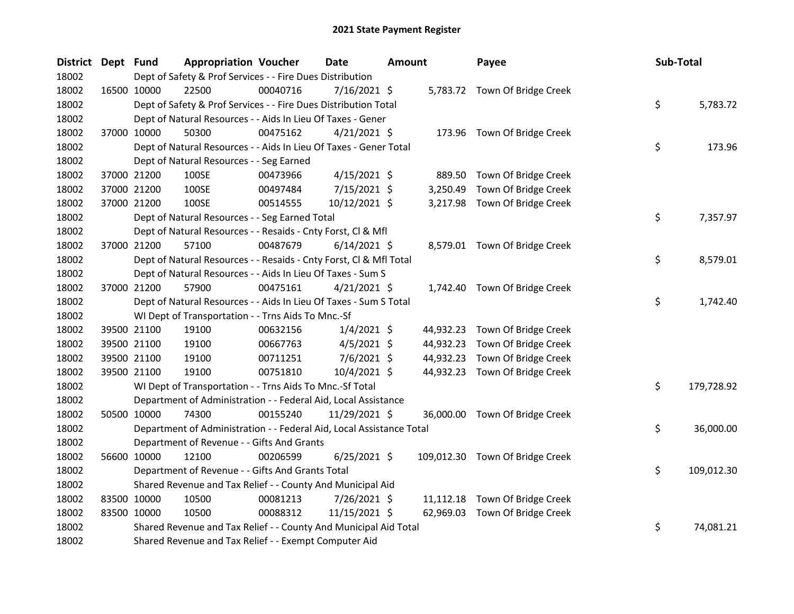| District Dept Fund | <b>Appropriation Voucher</b>                                         |          | <b>Date</b>    | <b>Amount</b> |           | Payee                           | Sub-Total |            |
|--------------------|----------------------------------------------------------------------|----------|----------------|---------------|-----------|---------------------------------|-----------|------------|
| 18002              | Dept of Safety & Prof Services - - Fire Dues Distribution            |          |                |               |           |                                 |           |            |
| 18002              | 22500<br>16500 10000                                                 | 00040716 | 7/16/2021 \$   |               |           | 5,783.72 Town Of Bridge Creek   |           |            |
| 18002              | Dept of Safety & Prof Services - - Fire Dues Distribution Total      |          |                |               |           |                                 | \$        | 5,783.72   |
| 18002              | Dept of Natural Resources - - Aids In Lieu Of Taxes - Gener          |          |                |               |           |                                 |           |            |
| 18002              | 37000 10000<br>50300                                                 | 00475162 | $4/21/2021$ \$ |               |           | 173.96 Town Of Bridge Creek     |           |            |
| 18002              | Dept of Natural Resources - - Aids In Lieu Of Taxes - Gener Total    |          |                |               |           |                                 | \$        | 173.96     |
| 18002              | Dept of Natural Resources - - Seg Earned                             |          |                |               |           |                                 |           |            |
| 18002              | 37000 21200<br>100SE                                                 | 00473966 | $4/15/2021$ \$ |               |           | 889.50 Town Of Bridge Creek     |           |            |
| 18002              | 100SE<br>37000 21200                                                 | 00497484 | 7/15/2021 \$   |               | 3,250.49  | Town Of Bridge Creek            |           |            |
| 18002              | 37000 21200<br>100SE                                                 | 00514555 | 10/12/2021 \$  |               |           | 3,217.98 Town Of Bridge Creek   |           |            |
| 18002              | Dept of Natural Resources - - Seg Earned Total                       |          |                |               |           |                                 | \$        | 7,357.97   |
| 18002              | Dept of Natural Resources - - Resaids - Cnty Forst, Cl & Mfl         |          |                |               |           |                                 |           |            |
| 18002              | 37000 21200<br>57100                                                 | 00487679 | $6/14/2021$ \$ |               |           | 8,579.01 Town Of Bridge Creek   |           |            |
| 18002              | Dept of Natural Resources - - Resaids - Cnty Forst, Cl & Mfl Total   |          |                |               |           |                                 | \$        | 8,579.01   |
| 18002              | Dept of Natural Resources - - Aids In Lieu Of Taxes - Sum S          |          |                |               |           |                                 |           |            |
| 18002              | 37000 21200<br>57900                                                 | 00475161 | $4/21/2021$ \$ |               |           | 1,742.40 Town Of Bridge Creek   |           |            |
| 18002              | Dept of Natural Resources - - Aids In Lieu Of Taxes - Sum S Total    |          |                |               |           |                                 | \$        | 1,742.40   |
| 18002              | WI Dept of Transportation - - Trns Aids To Mnc.-Sf                   |          |                |               |           |                                 |           |            |
| 18002              | 39500 21100<br>19100                                                 | 00632156 | $1/4/2021$ \$  |               |           | 44,932.23 Town Of Bridge Creek  |           |            |
| 18002              | 39500 21100<br>19100                                                 | 00667763 | $4/5/2021$ \$  |               | 44,932.23 | Town Of Bridge Creek            |           |            |
| 18002              | 39500 21100<br>19100                                                 | 00711251 | $7/6/2021$ \$  |               | 44,932.23 | Town Of Bridge Creek            |           |            |
| 18002              | 19100<br>39500 21100                                                 | 00751810 | $10/4/2021$ \$ |               |           | 44,932.23 Town Of Bridge Creek  |           |            |
| 18002              | WI Dept of Transportation - - Trns Aids To Mnc.-Sf Total             |          |                |               |           |                                 | \$        | 179,728.92 |
| 18002              | Department of Administration - - Federal Aid, Local Assistance       |          |                |               |           |                                 |           |            |
| 18002              | 50500 10000<br>74300                                                 | 00155240 | 11/29/2021 \$  |               |           | 36,000.00 Town Of Bridge Creek  |           |            |
| 18002              | Department of Administration - - Federal Aid, Local Assistance Total |          |                |               |           |                                 | \$        | 36,000.00  |
| 18002              | Department of Revenue - - Gifts And Grants                           |          |                |               |           |                                 |           |            |
| 18002              | 56600 10000<br>12100                                                 | 00206599 | $6/25/2021$ \$ |               |           | 109,012.30 Town Of Bridge Creek |           |            |
| 18002              | Department of Revenue - - Gifts And Grants Total                     |          |                |               |           |                                 | \$        | 109,012.30 |
| 18002              | Shared Revenue and Tax Relief - - County And Municipal Aid           |          |                |               |           |                                 |           |            |
| 18002              | 83500 10000<br>10500                                                 | 00081213 | 7/26/2021 \$   |               |           | 11,112.18 Town Of Bridge Creek  |           |            |
| 18002              | 83500 10000<br>10500                                                 | 00088312 | 11/15/2021 \$  |               | 62,969.03 | Town Of Bridge Creek            |           |            |
| 18002              | Shared Revenue and Tax Relief - - County And Municipal Aid Total     |          |                |               |           |                                 | \$        | 74,081.21  |
| 18002              | Shared Revenue and Tax Relief - - Exempt Computer Aid                |          |                |               |           |                                 |           |            |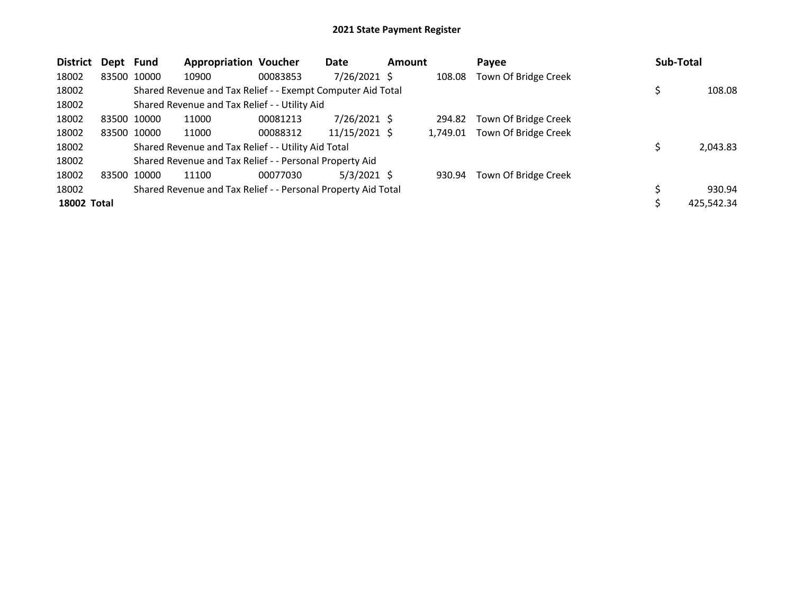| <b>District</b>    | Dept Fund |             | <b>Appropriation Voucher</b>                                  |          | Date           | <b>Amount</b> |          | Payee                | Sub-Total  |
|--------------------|-----------|-------------|---------------------------------------------------------------|----------|----------------|---------------|----------|----------------------|------------|
| 18002              |           | 83500 10000 | 10900                                                         | 00083853 | $7/26/2021$ \$ |               | 108.08   | Town Of Bridge Creek |            |
| 18002              |           |             | Shared Revenue and Tax Relief - - Exempt Computer Aid Total   |          |                |               |          |                      | 108.08     |
| 18002              |           |             | Shared Revenue and Tax Relief - - Utility Aid                 |          |                |               |          |                      |            |
| 18002              |           | 83500 10000 | 11000                                                         | 00081213 | $7/26/2021$ \$ |               | 294.82   | Town Of Bridge Creek |            |
| 18002              |           | 83500 10000 | 11000                                                         | 00088312 | 11/15/2021 \$  |               | 1.749.01 | Town Of Bridge Creek |            |
| 18002              |           |             | Shared Revenue and Tax Relief - - Utility Aid Total           |          |                |               |          |                      | 2,043.83   |
| 18002              |           |             | Shared Revenue and Tax Relief - - Personal Property Aid       |          |                |               |          |                      |            |
| 18002              |           | 83500 10000 | 11100                                                         | 00077030 | $5/3/2021$ \$  |               | 930.94   | Town Of Bridge Creek |            |
| 18002              |           |             | Shared Revenue and Tax Relief - - Personal Property Aid Total |          |                |               |          |                      | 930.94     |
| <b>18002 Total</b> |           |             |                                                               |          |                |               |          |                      | 425,542.34 |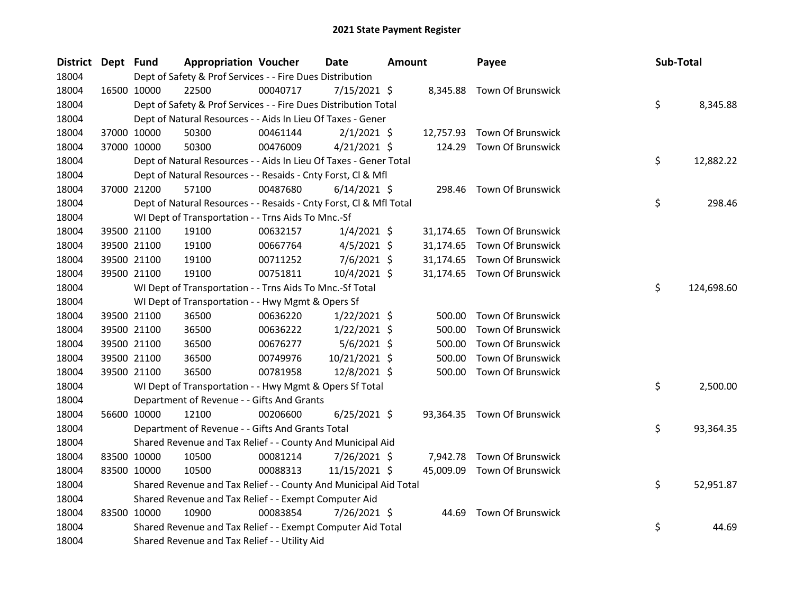| District Dept Fund |             | <b>Appropriation Voucher</b>                                       |          | <b>Date</b>    | <b>Amount</b> |           | Payee                       | Sub-Total |            |
|--------------------|-------------|--------------------------------------------------------------------|----------|----------------|---------------|-----------|-----------------------------|-----------|------------|
| 18004              |             | Dept of Safety & Prof Services - - Fire Dues Distribution          |          |                |               |           |                             |           |            |
| 18004              | 16500 10000 | 22500                                                              | 00040717 | $7/15/2021$ \$ |               | 8,345.88  | Town Of Brunswick           |           |            |
| 18004              |             | Dept of Safety & Prof Services - - Fire Dues Distribution Total    |          |                |               |           |                             | \$        | 8,345.88   |
| 18004              |             | Dept of Natural Resources - - Aids In Lieu Of Taxes - Gener        |          |                |               |           |                             |           |            |
| 18004              | 37000 10000 | 50300                                                              | 00461144 | $2/1/2021$ \$  |               | 12,757.93 | Town Of Brunswick           |           |            |
| 18004              | 37000 10000 | 50300                                                              | 00476009 | $4/21/2021$ \$ |               | 124.29    | <b>Town Of Brunswick</b>    |           |            |
| 18004              |             | Dept of Natural Resources - - Aids In Lieu Of Taxes - Gener Total  |          |                |               |           |                             | \$        | 12,882.22  |
| 18004              |             | Dept of Natural Resources - - Resaids - Cnty Forst, Cl & Mfl       |          |                |               |           |                             |           |            |
| 18004              | 37000 21200 | 57100                                                              | 00487680 | $6/14/2021$ \$ |               | 298.46    | Town Of Brunswick           |           |            |
| 18004              |             | Dept of Natural Resources - - Resaids - Cnty Forst, Cl & Mfl Total |          |                |               |           |                             | \$        | 298.46     |
| 18004              |             | WI Dept of Transportation - - Trns Aids To Mnc.-Sf                 |          |                |               |           |                             |           |            |
| 18004              | 39500 21100 | 19100                                                              | 00632157 | $1/4/2021$ \$  |               |           | 31,174.65 Town Of Brunswick |           |            |
| 18004              | 39500 21100 | 19100                                                              | 00667764 | $4/5/2021$ \$  |               |           | 31,174.65 Town Of Brunswick |           |            |
| 18004              | 39500 21100 | 19100                                                              | 00711252 | $7/6/2021$ \$  |               | 31,174.65 | Town Of Brunswick           |           |            |
| 18004              | 39500 21100 | 19100                                                              | 00751811 | 10/4/2021 \$   |               |           | 31,174.65 Town Of Brunswick |           |            |
| 18004              |             | WI Dept of Transportation - - Trns Aids To Mnc.-Sf Total           |          |                |               |           |                             | \$        | 124,698.60 |
| 18004              |             | WI Dept of Transportation - - Hwy Mgmt & Opers Sf                  |          |                |               |           |                             |           |            |
| 18004              | 39500 21100 | 36500                                                              | 00636220 | $1/22/2021$ \$ |               | 500.00    | <b>Town Of Brunswick</b>    |           |            |
| 18004              | 39500 21100 | 36500                                                              | 00636222 | $1/22/2021$ \$ |               | 500.00    | Town Of Brunswick           |           |            |
| 18004              | 39500 21100 | 36500                                                              | 00676277 | 5/6/2021 \$    |               | 500.00    | Town Of Brunswick           |           |            |
| 18004              | 39500 21100 | 36500                                                              | 00749976 | 10/21/2021 \$  |               | 500.00    | <b>Town Of Brunswick</b>    |           |            |
| 18004              | 39500 21100 | 36500                                                              | 00781958 | 12/8/2021 \$   |               | 500.00    | Town Of Brunswick           |           |            |
| 18004              |             | WI Dept of Transportation - - Hwy Mgmt & Opers Sf Total            |          |                |               |           |                             | \$        | 2,500.00   |
| 18004              |             | Department of Revenue - - Gifts And Grants                         |          |                |               |           |                             |           |            |
| 18004              | 56600 10000 | 12100                                                              | 00206600 | $6/25/2021$ \$ |               |           | 93,364.35 Town Of Brunswick |           |            |
| 18004              |             | Department of Revenue - - Gifts And Grants Total                   |          |                |               |           |                             | \$        | 93,364.35  |
| 18004              |             | Shared Revenue and Tax Relief - - County And Municipal Aid         |          |                |               |           |                             |           |            |
| 18004              | 83500 10000 | 10500                                                              | 00081214 | 7/26/2021 \$   |               | 7,942.78  | <b>Town Of Brunswick</b>    |           |            |
| 18004              | 83500 10000 | 10500                                                              | 00088313 | 11/15/2021 \$  |               |           | 45,009.09 Town Of Brunswick |           |            |
| 18004              |             | Shared Revenue and Tax Relief - - County And Municipal Aid Total   |          |                |               |           |                             | \$        | 52,951.87  |
| 18004              |             | Shared Revenue and Tax Relief - - Exempt Computer Aid              |          |                |               |           |                             |           |            |
| 18004              | 83500 10000 | 10900                                                              | 00083854 | 7/26/2021 \$   |               |           | 44.69 Town Of Brunswick     |           |            |
| 18004              |             | Shared Revenue and Tax Relief - - Exempt Computer Aid Total        |          |                |               |           |                             | \$        | 44.69      |
| 18004              |             | Shared Revenue and Tax Relief - - Utility Aid                      |          |                |               |           |                             |           |            |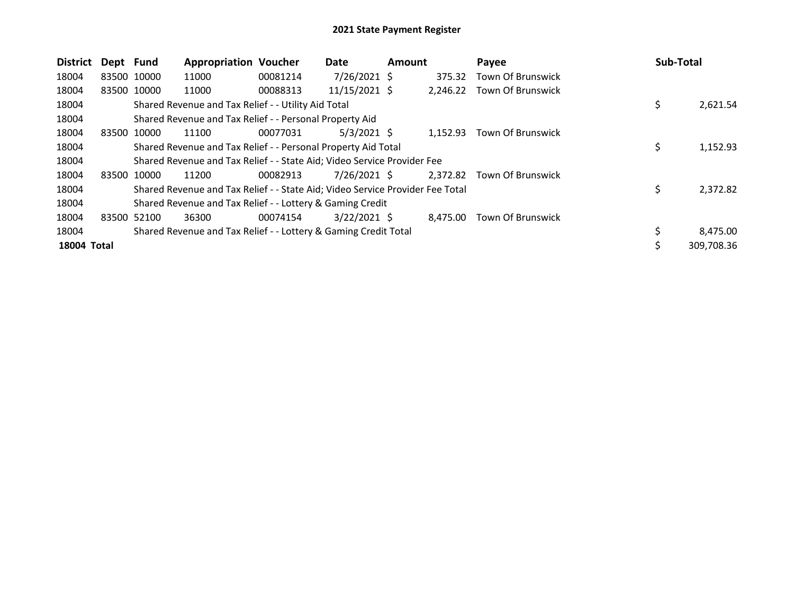| <b>District</b> | Dept Fund   |             | <b>Appropriation Voucher</b>                                                  |          | Date           | <b>Amount</b> |          | Payee                      |     | Sub-Total  |
|-----------------|-------------|-------------|-------------------------------------------------------------------------------|----------|----------------|---------------|----------|----------------------------|-----|------------|
| 18004           |             | 83500 10000 | 11000                                                                         | 00081214 | $7/26/2021$ \$ |               | 375.32   | Town Of Brunswick          |     |            |
| 18004           | 83500 10000 |             | 11000                                                                         | 00088313 | 11/15/2021 \$  |               | 2,246.22 | Town Of Brunswick          |     |            |
| 18004           |             |             | Shared Revenue and Tax Relief - - Utility Aid Total                           |          |                |               |          |                            | \$  | 2,621.54   |
| 18004           |             |             | Shared Revenue and Tax Relief - - Personal Property Aid                       |          |                |               |          |                            |     |            |
| 18004           |             | 83500 10000 | 11100                                                                         | 00077031 | $5/3/2021$ \$  |               | 1.152.93 | Town Of Brunswick          |     |            |
| 18004           |             |             | Shared Revenue and Tax Relief - - Personal Property Aid Total                 |          |                |               |          |                            | \$. | 1,152.93   |
| 18004           |             |             | Shared Revenue and Tax Relief - - State Aid; Video Service Provider Fee       |          |                |               |          |                            |     |            |
| 18004           |             | 83500 10000 | 11200                                                                         | 00082913 | 7/26/2021 \$   |               |          | 2,372.82 Town Of Brunswick |     |            |
| 18004           |             |             | Shared Revenue and Tax Relief - - State Aid; Video Service Provider Fee Total |          |                |               |          |                            | \$. | 2,372.82   |
| 18004           |             |             | Shared Revenue and Tax Relief - - Lottery & Gaming Credit                     |          |                |               |          |                            |     |            |
| 18004           |             | 83500 52100 | 36300                                                                         | 00074154 | $3/22/2021$ \$ |               | 8,475.00 | Town Of Brunswick          |     |            |
| 18004           |             |             | Shared Revenue and Tax Relief - - Lottery & Gaming Credit Total               |          |                |               |          |                            |     | 8,475.00   |
| 18004 Total     |             |             |                                                                               |          |                |               |          |                            |     | 309,708.36 |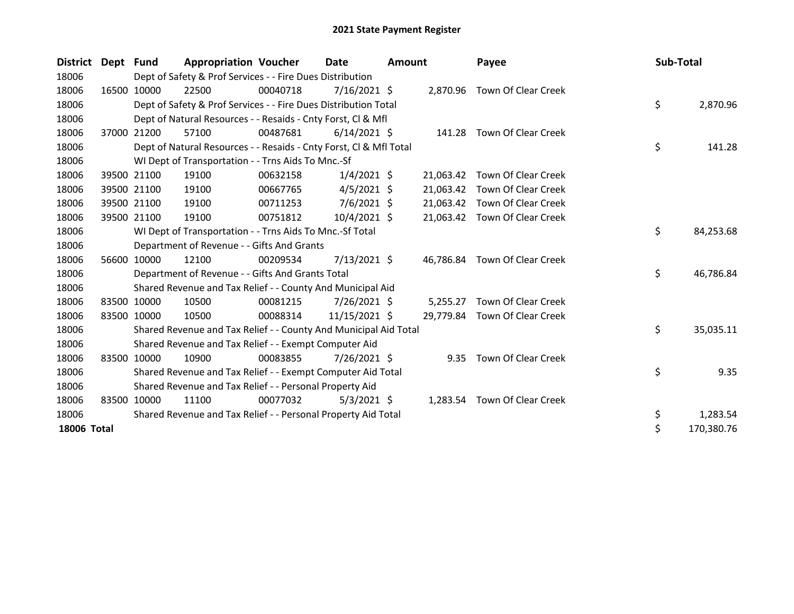| <b>District</b> | Dept  | <b>Fund</b> | <b>Appropriation Voucher</b>                                       |          | <b>Date</b>    | <b>Amount</b> |           | Payee                         | Sub-Total |            |
|-----------------|-------|-------------|--------------------------------------------------------------------|----------|----------------|---------------|-----------|-------------------------------|-----------|------------|
| 18006           |       |             | Dept of Safety & Prof Services - - Fire Dues Distribution          |          |                |               |           |                               |           |            |
| 18006           |       | 16500 10000 | 22500                                                              | 00040718 | $7/16/2021$ \$ |               |           | 2,870.96 Town Of Clear Creek  |           |            |
| 18006           |       |             | Dept of Safety & Prof Services - - Fire Dues Distribution Total    |          |                |               |           |                               | \$        | 2,870.96   |
| 18006           |       |             | Dept of Natural Resources - - Resaids - Cnty Forst, CI & Mfl       |          |                |               |           |                               |           |            |
| 18006           |       | 37000 21200 | 57100                                                              | 00487681 | $6/14/2021$ \$ |               |           | 141.28 Town Of Clear Creek    |           |            |
| 18006           |       |             | Dept of Natural Resources - - Resaids - Cnty Forst, Cl & Mfl Total |          |                |               |           |                               | \$        | 141.28     |
| 18006           |       |             | WI Dept of Transportation - - Trns Aids To Mnc.-Sf                 |          |                |               |           |                               |           |            |
| 18006           |       | 39500 21100 | 19100                                                              | 00632158 | $1/4/2021$ \$  |               | 21,063.42 | Town Of Clear Creek           |           |            |
| 18006           |       | 39500 21100 | 19100                                                              | 00667765 | $4/5/2021$ \$  |               | 21,063.42 | Town Of Clear Creek           |           |            |
| 18006           |       | 39500 21100 | 19100                                                              | 00711253 | $7/6/2021$ \$  |               | 21,063.42 | Town Of Clear Creek           |           |            |
| 18006           |       | 39500 21100 | 19100                                                              | 00751812 | 10/4/2021 \$   |               |           | 21,063.42 Town Of Clear Creek |           |            |
| 18006           |       |             | WI Dept of Transportation - - Trns Aids To Mnc.-Sf Total           |          |                |               |           |                               | \$        | 84,253.68  |
| 18006           |       |             | Department of Revenue - - Gifts And Grants                         |          |                |               |           |                               |           |            |
| 18006           |       | 56600 10000 | 12100                                                              | 00209534 | 7/13/2021 \$   |               | 46,786.84 | Town Of Clear Creek           |           |            |
| 18006           |       |             | Department of Revenue - - Gifts And Grants Total                   |          |                |               |           |                               | \$        | 46,786.84  |
| 18006           |       |             | Shared Revenue and Tax Relief - - County And Municipal Aid         |          |                |               |           |                               |           |            |
| 18006           |       | 83500 10000 | 10500                                                              | 00081215 | 7/26/2021 \$   |               | 5,255.27  | Town Of Clear Creek           |           |            |
| 18006           |       | 83500 10000 | 10500                                                              | 00088314 | 11/15/2021 \$  |               |           | 29,779.84 Town Of Clear Creek |           |            |
| 18006           |       |             | Shared Revenue and Tax Relief - - County And Municipal Aid Total   |          |                |               |           |                               | \$        | 35,035.11  |
| 18006           |       |             | Shared Revenue and Tax Relief - - Exempt Computer Aid              |          |                |               |           |                               |           |            |
| 18006           |       | 83500 10000 | 10900                                                              | 00083855 | 7/26/2021 \$   |               | 9.35      | <b>Town Of Clear Creek</b>    |           |            |
| 18006           |       |             | Shared Revenue and Tax Relief - - Exempt Computer Aid Total        |          |                |               |           |                               | \$        | 9.35       |
| 18006           |       |             | Shared Revenue and Tax Relief - - Personal Property Aid            |          |                |               |           |                               |           |            |
| 18006           | 83500 | 10000       | 11100                                                              | 00077032 | $5/3/2021$ \$  |               | 1,283.54  | Town Of Clear Creek           |           |            |
| 18006           |       |             | Shared Revenue and Tax Relief - - Personal Property Aid Total      |          |                |               |           |                               | \$        | 1,283.54   |
| 18006 Total     |       |             |                                                                    |          |                |               |           |                               | \$        | 170,380.76 |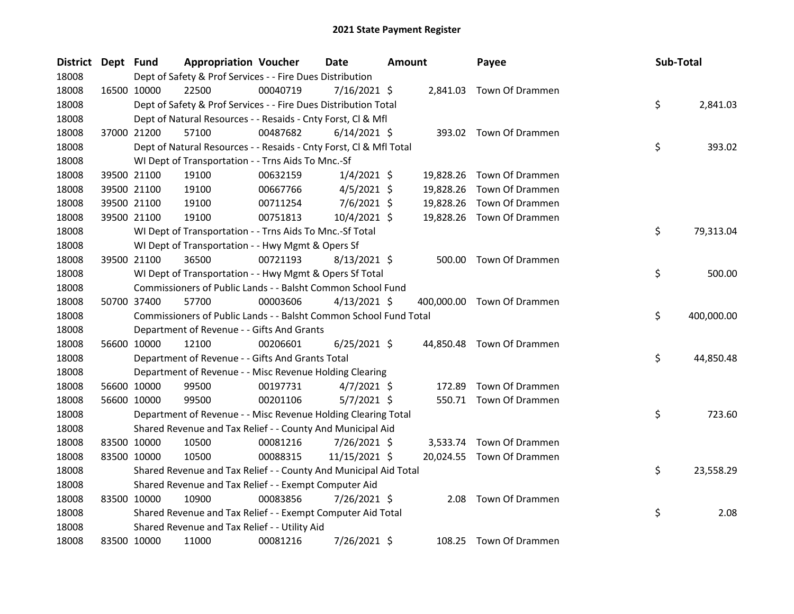| District Dept Fund |             | <b>Appropriation Voucher</b>                                       |          | Date           | <b>Amount</b> |           | Payee                      | Sub-Total |            |
|--------------------|-------------|--------------------------------------------------------------------|----------|----------------|---------------|-----------|----------------------------|-----------|------------|
| 18008              |             | Dept of Safety & Prof Services - - Fire Dues Distribution          |          |                |               |           |                            |           |            |
| 18008              | 16500 10000 | 22500                                                              | 00040719 | $7/16/2021$ \$ |               |           | 2,841.03 Town Of Drammen   |           |            |
| 18008              |             | Dept of Safety & Prof Services - - Fire Dues Distribution Total    |          |                |               |           |                            | \$        | 2,841.03   |
| 18008              |             | Dept of Natural Resources - - Resaids - Cnty Forst, Cl & Mfl       |          |                |               |           |                            |           |            |
| 18008              | 37000 21200 | 57100                                                              | 00487682 | $6/14/2021$ \$ |               |           | 393.02 Town Of Drammen     |           |            |
| 18008              |             | Dept of Natural Resources - - Resaids - Cnty Forst, CI & Mfl Total |          |                |               |           |                            | \$        | 393.02     |
| 18008              |             | WI Dept of Transportation - - Trns Aids To Mnc.-Sf                 |          |                |               |           |                            |           |            |
| 18008              | 39500 21100 | 19100                                                              | 00632159 | $1/4/2021$ \$  |               | 19,828.26 | Town Of Drammen            |           |            |
| 18008              | 39500 21100 | 19100                                                              | 00667766 | $4/5/2021$ \$  |               | 19,828.26 | Town Of Drammen            |           |            |
| 18008              | 39500 21100 | 19100                                                              | 00711254 | 7/6/2021 \$    |               | 19,828.26 | Town Of Drammen            |           |            |
| 18008              | 39500 21100 | 19100                                                              | 00751813 | 10/4/2021 \$   |               |           | 19,828.26 Town Of Drammen  |           |            |
| 18008              |             | WI Dept of Transportation - - Trns Aids To Mnc.-Sf Total           |          |                |               |           |                            | \$        | 79,313.04  |
| 18008              |             | WI Dept of Transportation - - Hwy Mgmt & Opers Sf                  |          |                |               |           |                            |           |            |
| 18008              | 39500 21100 | 36500                                                              | 00721193 | $8/13/2021$ \$ |               |           | 500.00 Town Of Drammen     |           |            |
| 18008              |             | WI Dept of Transportation - - Hwy Mgmt & Opers Sf Total            |          |                |               |           |                            | \$        | 500.00     |
| 18008              |             | Commissioners of Public Lands - - Balsht Common School Fund        |          |                |               |           |                            |           |            |
| 18008              | 50700 37400 | 57700                                                              | 00003606 | $4/13/2021$ \$ |               |           | 400,000.00 Town Of Drammen |           |            |
| 18008              |             | Commissioners of Public Lands - - Balsht Common School Fund Total  |          |                |               |           |                            | \$        | 400,000.00 |
| 18008              |             | Department of Revenue - - Gifts And Grants                         |          |                |               |           |                            |           |            |
| 18008              | 56600 10000 | 12100                                                              | 00206601 | $6/25/2021$ \$ |               |           | 44,850.48 Town Of Drammen  |           |            |
| 18008              |             | Department of Revenue - - Gifts And Grants Total                   |          |                |               |           |                            | \$        | 44,850.48  |
| 18008              |             | Department of Revenue - - Misc Revenue Holding Clearing            |          |                |               |           |                            |           |            |
| 18008              | 56600 10000 | 99500                                                              | 00197731 | $4/7/2021$ \$  |               | 172.89    | Town Of Drammen            |           |            |
| 18008              | 56600 10000 | 99500                                                              | 00201106 | $5/7/2021$ \$  |               |           | 550.71 Town Of Drammen     |           |            |
| 18008              |             | Department of Revenue - - Misc Revenue Holding Clearing Total      |          |                |               |           |                            | \$        | 723.60     |
| 18008              |             | Shared Revenue and Tax Relief - - County And Municipal Aid         |          |                |               |           |                            |           |            |
| 18008              | 83500 10000 | 10500                                                              | 00081216 | 7/26/2021 \$   |               | 3,533.74  | Town Of Drammen            |           |            |
| 18008              | 83500 10000 | 10500                                                              | 00088315 | 11/15/2021 \$  |               |           | 20,024.55 Town Of Drammen  |           |            |
| 18008              |             | Shared Revenue and Tax Relief - - County And Municipal Aid Total   |          |                |               |           |                            | \$        | 23,558.29  |
| 18008              |             | Shared Revenue and Tax Relief - - Exempt Computer Aid              |          |                |               |           |                            |           |            |
| 18008              | 83500 10000 | 10900                                                              | 00083856 | 7/26/2021 \$   |               | 2.08      | Town Of Drammen            |           |            |
| 18008              |             | Shared Revenue and Tax Relief - - Exempt Computer Aid Total        |          |                |               |           |                            | \$        | 2.08       |
| 18008              |             | Shared Revenue and Tax Relief - - Utility Aid                      |          |                |               |           |                            |           |            |
| 18008              | 83500 10000 | 11000                                                              | 00081216 | 7/26/2021 \$   |               |           | 108.25 Town Of Drammen     |           |            |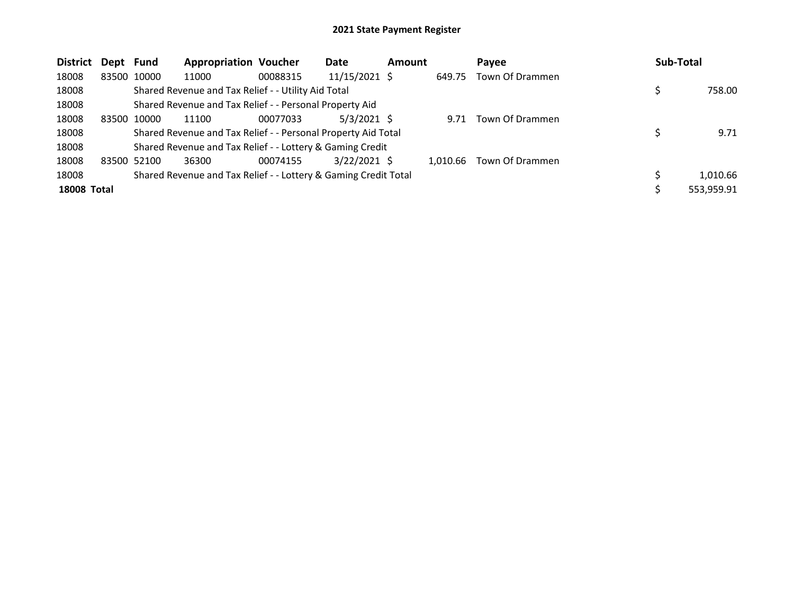| District           | Dept Fund   |             | <b>Appropriation Voucher</b>                                    |          | <b>Date</b>    | <b>Amount</b> |          | Pavee           | <b>Sub-Total</b> |            |
|--------------------|-------------|-------------|-----------------------------------------------------------------|----------|----------------|---------------|----------|-----------------|------------------|------------|
| 18008              |             | 83500 10000 | 11000                                                           | 00088315 | 11/15/2021 \$  |               | 649.75   | Town Of Drammen |                  |            |
| 18008              |             |             | Shared Revenue and Tax Relief - - Utility Aid Total             |          |                |               |          |                 |                  | 758.00     |
| 18008              |             |             | Shared Revenue and Tax Relief - - Personal Property Aid         |          |                |               |          |                 |                  |            |
| 18008              | 83500 10000 |             | 11100                                                           | 00077033 | $5/3/2021$ \$  |               | 9.71     | Town Of Drammen |                  |            |
| 18008              |             |             | Shared Revenue and Tax Relief - - Personal Property Aid Total   |          |                |               |          |                 |                  | 9.71       |
| 18008              |             |             | Shared Revenue and Tax Relief - - Lottery & Gaming Credit       |          |                |               |          |                 |                  |            |
| 18008              | 83500 52100 |             | 36300                                                           | 00074155 | $3/22/2021$ \$ |               | 1.010.66 | Town Of Drammen |                  |            |
| 18008              |             |             | Shared Revenue and Tax Relief - - Lottery & Gaming Credit Total |          |                |               |          |                 |                  | 1,010.66   |
| <b>18008 Total</b> |             |             |                                                                 |          |                |               |          |                 |                  | 553.959.91 |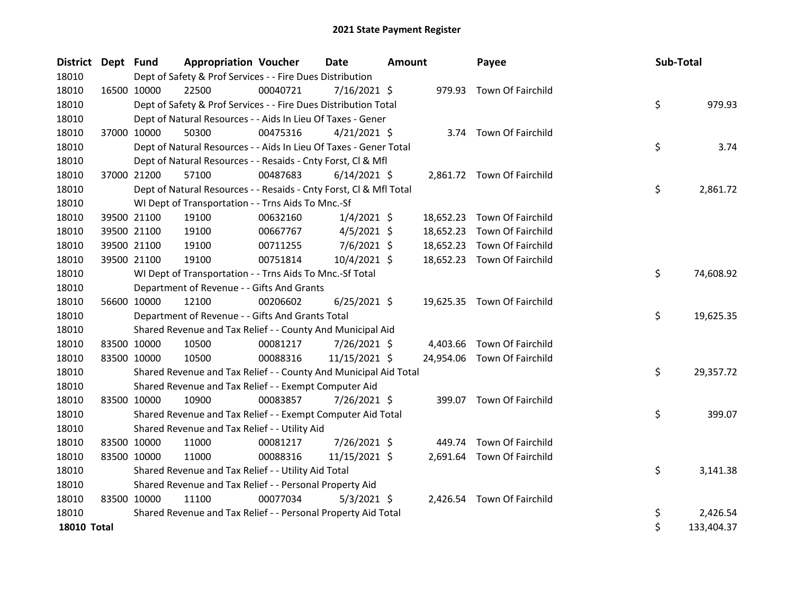| <b>District</b>    | Dept Fund   |             | <b>Appropriation Voucher</b>                                       |          | <b>Date</b>    | <b>Amount</b> |           | Payee                       | Sub-Total |            |
|--------------------|-------------|-------------|--------------------------------------------------------------------|----------|----------------|---------------|-----------|-----------------------------|-----------|------------|
| 18010              |             |             | Dept of Safety & Prof Services - - Fire Dues Distribution          |          |                |               |           |                             |           |            |
| 18010              | 16500 10000 |             | 22500                                                              | 00040721 | $7/16/2021$ \$ |               |           | 979.93 Town Of Fairchild    |           |            |
| 18010              |             |             | Dept of Safety & Prof Services - - Fire Dues Distribution Total    |          |                |               |           |                             | \$        | 979.93     |
| 18010              |             |             | Dept of Natural Resources - - Aids In Lieu Of Taxes - Gener        |          |                |               |           |                             |           |            |
| 18010              | 37000 10000 |             | 50300                                                              | 00475316 | $4/21/2021$ \$ |               |           | 3.74 Town Of Fairchild      |           |            |
| 18010              |             |             | Dept of Natural Resources - - Aids In Lieu Of Taxes - Gener Total  |          |                |               |           |                             | \$        | 3.74       |
| 18010              |             |             | Dept of Natural Resources - - Resaids - Cnty Forst, Cl & Mfl       |          |                |               |           |                             |           |            |
| 18010              |             | 37000 21200 | 57100                                                              | 00487683 | $6/14/2021$ \$ |               |           | 2,861.72 Town Of Fairchild  |           |            |
| 18010              |             |             | Dept of Natural Resources - - Resaids - Cnty Forst, CI & Mfl Total |          |                |               |           |                             | \$        | 2,861.72   |
| 18010              |             |             | WI Dept of Transportation - - Trns Aids To Mnc.-Sf                 |          |                |               |           |                             |           |            |
| 18010              |             | 39500 21100 | 19100                                                              | 00632160 | $1/4/2021$ \$  |               | 18,652.23 | Town Of Fairchild           |           |            |
| 18010              |             | 39500 21100 | 19100                                                              | 00667767 | $4/5/2021$ \$  |               | 18,652.23 | Town Of Fairchild           |           |            |
| 18010              |             | 39500 21100 | 19100                                                              | 00711255 | 7/6/2021 \$    |               | 18,652.23 | Town Of Fairchild           |           |            |
| 18010              | 39500 21100 |             | 19100                                                              | 00751814 | 10/4/2021 \$   |               |           | 18,652.23 Town Of Fairchild |           |            |
| 18010              |             |             | WI Dept of Transportation - - Trns Aids To Mnc.-Sf Total           |          |                |               |           |                             | \$        | 74,608.92  |
| 18010              |             |             | Department of Revenue - - Gifts And Grants                         |          |                |               |           |                             |           |            |
| 18010              |             | 56600 10000 | 12100                                                              | 00206602 | $6/25/2021$ \$ |               |           | 19,625.35 Town Of Fairchild |           |            |
| 18010              |             |             | Department of Revenue - - Gifts And Grants Total                   |          |                |               |           |                             | \$        | 19,625.35  |
| 18010              |             |             | Shared Revenue and Tax Relief - - County And Municipal Aid         |          |                |               |           |                             |           |            |
| 18010              |             | 83500 10000 | 10500                                                              | 00081217 | 7/26/2021 \$   |               |           | 4,403.66 Town Of Fairchild  |           |            |
| 18010              | 83500 10000 |             | 10500                                                              | 00088316 | 11/15/2021 \$  |               |           | 24,954.06 Town Of Fairchild |           |            |
| 18010              |             |             | Shared Revenue and Tax Relief - - County And Municipal Aid Total   |          |                |               |           |                             | \$        | 29,357.72  |
| 18010              |             |             | Shared Revenue and Tax Relief - - Exempt Computer Aid              |          |                |               |           |                             |           |            |
| 18010              |             | 83500 10000 | 10900                                                              | 00083857 | 7/26/2021 \$   |               |           | 399.07 Town Of Fairchild    |           |            |
| 18010              |             |             | Shared Revenue and Tax Relief - - Exempt Computer Aid Total        |          |                |               |           |                             | \$        | 399.07     |
| 18010              |             |             | Shared Revenue and Tax Relief - - Utility Aid                      |          |                |               |           |                             |           |            |
| 18010              | 83500 10000 |             | 11000                                                              | 00081217 | 7/26/2021 \$   |               | 449.74    | Town Of Fairchild           |           |            |
| 18010              |             | 83500 10000 | 11000                                                              | 00088316 | 11/15/2021 \$  |               |           | 2,691.64 Town Of Fairchild  |           |            |
| 18010              |             |             | Shared Revenue and Tax Relief - - Utility Aid Total                |          |                |               |           |                             | \$        | 3,141.38   |
| 18010              |             |             | Shared Revenue and Tax Relief - - Personal Property Aid            |          |                |               |           |                             |           |            |
| 18010              | 83500 10000 |             | 11100                                                              | 00077034 | $5/3/2021$ \$  |               |           | 2,426.54 Town Of Fairchild  |           |            |
| 18010              |             |             | Shared Revenue and Tax Relief - - Personal Property Aid Total      |          |                |               |           |                             | \$        | 2,426.54   |
| <b>18010 Total</b> |             |             |                                                                    |          |                |               |           |                             | \$        | 133,404.37 |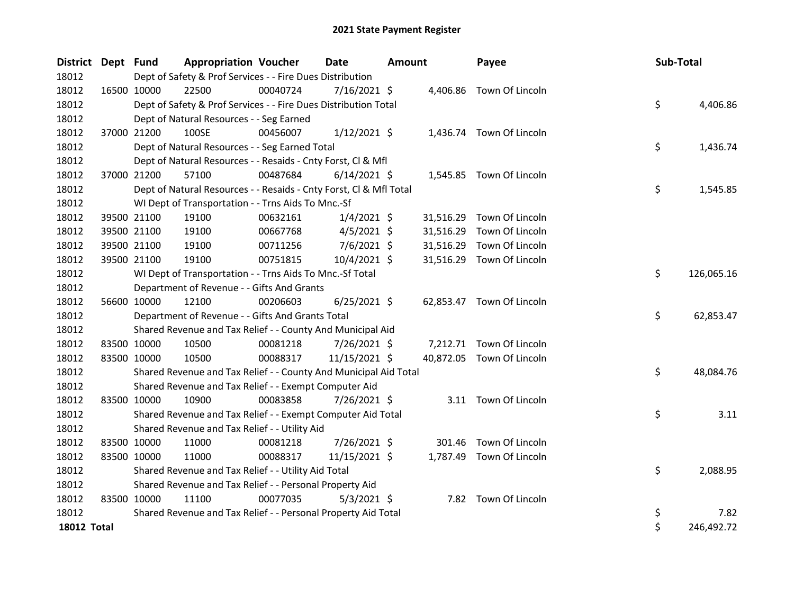| District Dept Fund |             |                                                                                                                                           | <b>Appropriation Voucher</b>                                       |          | <b>Date</b><br><b>Amount</b> |  |           | Payee                     |  | Sub-Total |            |
|--------------------|-------------|-------------------------------------------------------------------------------------------------------------------------------------------|--------------------------------------------------------------------|----------|------------------------------|--|-----------|---------------------------|--|-----------|------------|
| 18012              |             | Dept of Safety & Prof Services - - Fire Dues Distribution<br>00040724<br>16500 10000<br>22500<br>7/16/2021 \$<br>4,406.86 Town Of Lincoln |                                                                    |          |                              |  |           |                           |  |           |            |
| 18012              |             |                                                                                                                                           |                                                                    |          |                              |  |           |                           |  |           |            |
| 18012              |             |                                                                                                                                           | Dept of Safety & Prof Services - - Fire Dues Distribution Total    |          |                              |  |           |                           |  | \$        | 4,406.86   |
| 18012              |             |                                                                                                                                           | Dept of Natural Resources - - Seg Earned                           |          |                              |  |           |                           |  |           |            |
| 18012              | 37000 21200 |                                                                                                                                           | 100SE                                                              | 00456007 | $1/12/2021$ \$               |  |           | 1,436.74 Town Of Lincoln  |  |           |            |
| 18012              |             |                                                                                                                                           | Dept of Natural Resources - - Seg Earned Total                     |          |                              |  |           |                           |  | \$        | 1,436.74   |
| 18012              |             |                                                                                                                                           | Dept of Natural Resources - - Resaids - Cnty Forst, Cl & Mfl       |          |                              |  |           |                           |  |           |            |
| 18012              |             | 37000 21200                                                                                                                               | 57100                                                              | 00487684 | $6/14/2021$ \$               |  |           | 1,545.85 Town Of Lincoln  |  |           |            |
| 18012              |             |                                                                                                                                           | Dept of Natural Resources - - Resaids - Cnty Forst, Cl & Mfl Total |          |                              |  |           |                           |  | \$        | 1,545.85   |
| 18012              |             |                                                                                                                                           | WI Dept of Transportation - - Trns Aids To Mnc.-Sf                 |          |                              |  |           |                           |  |           |            |
| 18012              | 39500 21100 |                                                                                                                                           | 19100                                                              | 00632161 | $1/4/2021$ \$                |  | 31,516.29 | Town Of Lincoln           |  |           |            |
| 18012              |             | 39500 21100                                                                                                                               | 19100                                                              | 00667768 | $4/5/2021$ \$                |  | 31,516.29 | Town Of Lincoln           |  |           |            |
| 18012              |             | 39500 21100                                                                                                                               | 19100                                                              | 00711256 | $7/6/2021$ \$                |  | 31,516.29 | Town Of Lincoln           |  |           |            |
| 18012              | 39500 21100 |                                                                                                                                           | 19100                                                              | 00751815 | 10/4/2021 \$                 |  | 31,516.29 | Town Of Lincoln           |  |           |            |
| 18012              |             |                                                                                                                                           | WI Dept of Transportation - - Trns Aids To Mnc.-Sf Total           |          |                              |  |           |                           |  | \$        | 126,065.16 |
| 18012              |             |                                                                                                                                           | Department of Revenue - - Gifts And Grants                         |          |                              |  |           |                           |  |           |            |
| 18012              |             | 56600 10000                                                                                                                               | 12100                                                              | 00206603 | $6/25/2021$ \$               |  |           | 62,853.47 Town Of Lincoln |  |           |            |
| 18012              |             |                                                                                                                                           | Department of Revenue - - Gifts And Grants Total                   |          |                              |  |           |                           |  | \$        | 62,853.47  |
| 18012              |             |                                                                                                                                           | Shared Revenue and Tax Relief - - County And Municipal Aid         |          |                              |  |           |                           |  |           |            |
| 18012              |             | 83500 10000                                                                                                                               | 10500                                                              | 00081218 | $7/26/2021$ \$               |  |           | 7,212.71 Town Of Lincoln  |  |           |            |
| 18012              |             | 83500 10000                                                                                                                               | 10500                                                              | 00088317 | 11/15/2021 \$                |  |           | 40,872.05 Town Of Lincoln |  |           |            |
| 18012              |             |                                                                                                                                           | Shared Revenue and Tax Relief - - County And Municipal Aid Total   |          |                              |  |           |                           |  | \$        | 48,084.76  |
| 18012              |             |                                                                                                                                           | Shared Revenue and Tax Relief - - Exempt Computer Aid              |          |                              |  |           |                           |  |           |            |
| 18012              |             | 83500 10000                                                                                                                               | 10900                                                              | 00083858 | 7/26/2021 \$                 |  |           | 3.11 Town Of Lincoln      |  |           |            |
| 18012              |             |                                                                                                                                           | Shared Revenue and Tax Relief - - Exempt Computer Aid Total        |          |                              |  |           |                           |  | \$        | 3.11       |
| 18012              |             |                                                                                                                                           | Shared Revenue and Tax Relief - - Utility Aid                      |          |                              |  |           |                           |  |           |            |
| 18012              | 83500 10000 |                                                                                                                                           | 11000                                                              | 00081218 | 7/26/2021 \$                 |  | 301.46    | Town Of Lincoln           |  |           |            |
| 18012              |             | 83500 10000                                                                                                                               | 11000                                                              | 00088317 | 11/15/2021 \$                |  |           | 1,787.49 Town Of Lincoln  |  |           |            |
| 18012              |             |                                                                                                                                           | Shared Revenue and Tax Relief - - Utility Aid Total                |          |                              |  |           |                           |  | \$        | 2,088.95   |
| 18012              |             |                                                                                                                                           | Shared Revenue and Tax Relief - - Personal Property Aid            |          |                              |  |           |                           |  |           |            |
| 18012              | 83500 10000 |                                                                                                                                           | 11100                                                              | 00077035 | $5/3/2021$ \$                |  |           | 7.82 Town Of Lincoln      |  |           |            |
| 18012              |             |                                                                                                                                           | Shared Revenue and Tax Relief - - Personal Property Aid Total      |          |                              |  |           |                           |  | \$        | 7.82       |
| <b>18012 Total</b> |             |                                                                                                                                           |                                                                    |          |                              |  |           |                           |  | \$        | 246,492.72 |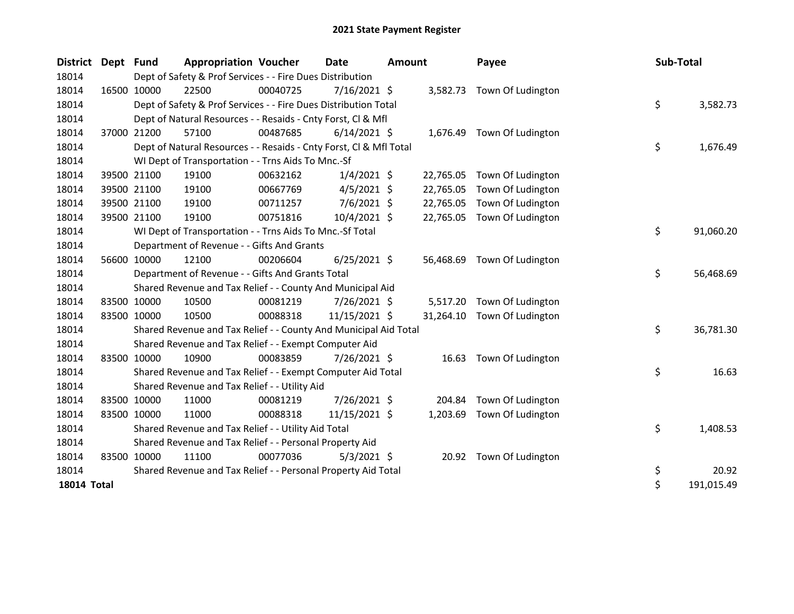| <b>District</b>    | Dept Fund |             | <b>Appropriation Voucher</b>                                                                                                 |          | Date<br><b>Amount</b> |  |           | Payee                       |  | Sub-Total |            |  |  |
|--------------------|-----------|-------------|------------------------------------------------------------------------------------------------------------------------------|----------|-----------------------|--|-----------|-----------------------------|--|-----------|------------|--|--|
| 18014              |           |             | Dept of Safety & Prof Services - - Fire Dues Distribution<br>22500<br>7/16/2021 \$<br>00040725<br>3,582.73 Town Of Ludington |          |                       |  |           |                             |  |           |            |  |  |
| 18014              |           | 16500 10000 |                                                                                                                              |          |                       |  |           |                             |  |           |            |  |  |
| 18014              |           |             | Dept of Safety & Prof Services - - Fire Dues Distribution Total                                                              |          |                       |  |           |                             |  | \$        | 3,582.73   |  |  |
| 18014              |           |             | Dept of Natural Resources - - Resaids - Cnty Forst, Cl & Mfl                                                                 |          |                       |  |           |                             |  |           |            |  |  |
| 18014              |           | 37000 21200 | 57100                                                                                                                        | 00487685 | $6/14/2021$ \$        |  |           | 1,676.49 Town Of Ludington  |  |           |            |  |  |
| 18014              |           |             | Dept of Natural Resources - - Resaids - Cnty Forst, Cl & Mfl Total                                                           |          |                       |  |           |                             |  | \$        | 1,676.49   |  |  |
| 18014              |           |             | WI Dept of Transportation - - Trns Aids To Mnc.-Sf                                                                           |          |                       |  |           |                             |  |           |            |  |  |
| 18014              |           | 39500 21100 | 19100                                                                                                                        | 00632162 | $1/4/2021$ \$         |  | 22,765.05 | Town Of Ludington           |  |           |            |  |  |
| 18014              |           | 39500 21100 | 19100                                                                                                                        | 00667769 | $4/5/2021$ \$         |  | 22,765.05 | Town Of Ludington           |  |           |            |  |  |
| 18014              |           | 39500 21100 | 19100                                                                                                                        | 00711257 | $7/6/2021$ \$         |  | 22,765.05 | Town Of Ludington           |  |           |            |  |  |
| 18014              |           | 39500 21100 | 19100                                                                                                                        | 00751816 | 10/4/2021 \$          |  |           | 22,765.05 Town Of Ludington |  |           |            |  |  |
| 18014              |           |             | WI Dept of Transportation - - Trns Aids To Mnc.-Sf Total                                                                     |          |                       |  |           |                             |  | \$        | 91,060.20  |  |  |
| 18014              |           |             | Department of Revenue - - Gifts And Grants                                                                                   |          |                       |  |           |                             |  |           |            |  |  |
| 18014              |           | 56600 10000 | 12100                                                                                                                        | 00206604 | $6/25/2021$ \$        |  | 56,468.69 | Town Of Ludington           |  |           |            |  |  |
| 18014              |           |             | Department of Revenue - - Gifts And Grants Total                                                                             |          |                       |  |           |                             |  | \$        | 56,468.69  |  |  |
| 18014              |           |             | Shared Revenue and Tax Relief - - County And Municipal Aid                                                                   |          |                       |  |           |                             |  |           |            |  |  |
| 18014              |           | 83500 10000 | 10500                                                                                                                        | 00081219 | 7/26/2021 \$          |  | 5,517.20  | Town Of Ludington           |  |           |            |  |  |
| 18014              |           | 83500 10000 | 10500                                                                                                                        | 00088318 | 11/15/2021 \$         |  | 31,264.10 | Town Of Ludington           |  |           |            |  |  |
| 18014              |           |             | Shared Revenue and Tax Relief - - County And Municipal Aid Total                                                             |          |                       |  |           |                             |  | \$        | 36,781.30  |  |  |
| 18014              |           |             | Shared Revenue and Tax Relief - - Exempt Computer Aid                                                                        |          |                       |  |           |                             |  |           |            |  |  |
| 18014              |           | 83500 10000 | 10900                                                                                                                        | 00083859 | 7/26/2021 \$          |  |           | 16.63 Town Of Ludington     |  |           |            |  |  |
| 18014              |           |             | Shared Revenue and Tax Relief - - Exempt Computer Aid Total                                                                  |          |                       |  |           |                             |  | \$        | 16.63      |  |  |
| 18014              |           |             | Shared Revenue and Tax Relief - - Utility Aid                                                                                |          |                       |  |           |                             |  |           |            |  |  |
| 18014              |           | 83500 10000 | 11000                                                                                                                        | 00081219 | 7/26/2021 \$          |  | 204.84    | Town Of Ludington           |  |           |            |  |  |
| 18014              |           | 83500 10000 | 11000                                                                                                                        | 00088318 | 11/15/2021 \$         |  | 1,203.69  | Town Of Ludington           |  |           |            |  |  |
| 18014              |           |             | Shared Revenue and Tax Relief - - Utility Aid Total                                                                          |          |                       |  |           |                             |  | \$        | 1,408.53   |  |  |
| 18014              |           |             | Shared Revenue and Tax Relief - - Personal Property Aid                                                                      |          |                       |  |           |                             |  |           |            |  |  |
| 18014              |           | 83500 10000 | 11100                                                                                                                        | 00077036 | $5/3/2021$ \$         |  |           | 20.92 Town Of Ludington     |  |           |            |  |  |
| 18014              |           |             | Shared Revenue and Tax Relief - - Personal Property Aid Total                                                                |          |                       |  |           |                             |  | \$        | 20.92      |  |  |
| <b>18014 Total</b> |           |             |                                                                                                                              |          |                       |  |           |                             |  | \$        | 191,015.49 |  |  |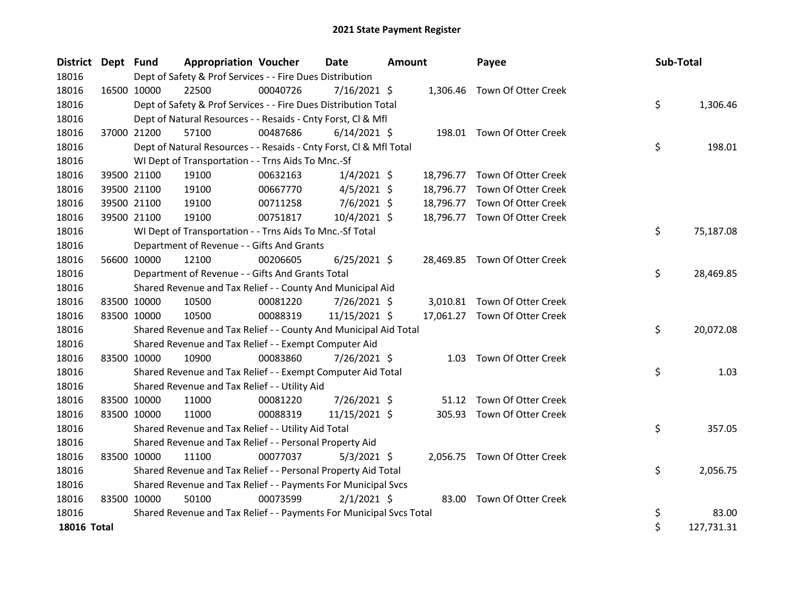| District Dept Fund |             | <b>Appropriation Voucher</b>                                        |          | <b>Date</b>    | <b>Amount</b> |           | Payee                         |  | Sub-Total |            |
|--------------------|-------------|---------------------------------------------------------------------|----------|----------------|---------------|-----------|-------------------------------|--|-----------|------------|
| 18016              |             | Dept of Safety & Prof Services - - Fire Dues Distribution           |          |                |               |           |                               |  |           |            |
| 18016              | 16500 10000 | 22500                                                               | 00040726 | 7/16/2021 \$   |               |           | 1,306.46 Town Of Otter Creek  |  |           |            |
| 18016              |             | Dept of Safety & Prof Services - - Fire Dues Distribution Total     |          |                |               |           |                               |  | \$        | 1,306.46   |
| 18016              |             | Dept of Natural Resources - - Resaids - Cnty Forst, Cl & Mfl        |          |                |               |           |                               |  |           |            |
| 18016              | 37000 21200 | 57100                                                               | 00487686 | $6/14/2021$ \$ |               |           | 198.01 Town Of Otter Creek    |  |           |            |
| 18016              |             | Dept of Natural Resources - - Resaids - Cnty Forst, Cl & Mfl Total  |          |                |               |           |                               |  | \$        | 198.01     |
| 18016              |             | WI Dept of Transportation - - Trns Aids To Mnc.-Sf                  |          |                |               |           |                               |  |           |            |
| 18016              | 39500 21100 | 19100                                                               | 00632163 | $1/4/2021$ \$  |               |           | 18,796.77 Town Of Otter Creek |  |           |            |
| 18016              | 39500 21100 | 19100                                                               | 00667770 | $4/5/2021$ \$  |               | 18,796.77 | Town Of Otter Creek           |  |           |            |
| 18016              | 39500 21100 | 19100                                                               | 00711258 | $7/6/2021$ \$  |               | 18,796.77 | Town Of Otter Creek           |  |           |            |
| 18016              | 39500 21100 | 19100                                                               | 00751817 | 10/4/2021 \$   |               |           | 18,796.77 Town Of Otter Creek |  |           |            |
| 18016              |             | WI Dept of Transportation - - Trns Aids To Mnc.-Sf Total            |          |                |               |           |                               |  | \$        | 75,187.08  |
| 18016              |             | Department of Revenue - - Gifts And Grants                          |          |                |               |           |                               |  |           |            |
| 18016              | 56600 10000 | 12100                                                               | 00206605 | $6/25/2021$ \$ |               |           | 28,469.85 Town Of Otter Creek |  |           |            |
| 18016              |             | Department of Revenue - - Gifts And Grants Total                    |          |                |               |           |                               |  | \$        | 28,469.85  |
| 18016              |             | Shared Revenue and Tax Relief - - County And Municipal Aid          |          |                |               |           |                               |  |           |            |
| 18016              | 83500 10000 | 10500                                                               | 00081220 | 7/26/2021 \$   |               |           | 3,010.81 Town Of Otter Creek  |  |           |            |
| 18016              | 83500 10000 | 10500                                                               | 00088319 | 11/15/2021 \$  |               |           | 17,061.27 Town Of Otter Creek |  |           |            |
| 18016              |             | Shared Revenue and Tax Relief - - County And Municipal Aid Total    |          |                |               |           |                               |  | \$        | 20,072.08  |
| 18016              |             | Shared Revenue and Tax Relief - - Exempt Computer Aid               |          |                |               |           |                               |  |           |            |
| 18016              | 83500 10000 | 10900                                                               | 00083860 | 7/26/2021 \$   |               |           | 1.03 Town Of Otter Creek      |  |           |            |
| 18016              |             | Shared Revenue and Tax Relief - - Exempt Computer Aid Total         |          |                |               |           |                               |  | \$        | 1.03       |
| 18016              |             | Shared Revenue and Tax Relief - - Utility Aid                       |          |                |               |           |                               |  |           |            |
| 18016              | 83500 10000 | 11000                                                               | 00081220 | 7/26/2021 \$   |               | 51.12     | Town Of Otter Creek           |  |           |            |
| 18016              | 83500 10000 | 11000                                                               | 00088319 | 11/15/2021 \$  |               | 305.93    | Town Of Otter Creek           |  |           |            |
| 18016              |             | Shared Revenue and Tax Relief - - Utility Aid Total                 |          |                |               |           |                               |  | \$        | 357.05     |
| 18016              |             | Shared Revenue and Tax Relief - - Personal Property Aid             |          |                |               |           |                               |  |           |            |
| 18016              | 83500 10000 | 11100                                                               | 00077037 | $5/3/2021$ \$  |               |           | 2,056.75 Town Of Otter Creek  |  |           |            |
| 18016              |             | Shared Revenue and Tax Relief - - Personal Property Aid Total       |          |                |               |           |                               |  | \$        | 2,056.75   |
| 18016              |             | Shared Revenue and Tax Relief - - Payments For Municipal Svcs       |          |                |               |           |                               |  |           |            |
| 18016              | 83500 10000 | 50100                                                               | 00073599 | $2/1/2021$ \$  |               |           | 83.00 Town Of Otter Creek     |  |           |            |
| 18016              |             | Shared Revenue and Tax Relief - - Payments For Municipal Svcs Total |          |                |               |           |                               |  | \$        | 83.00      |
| 18016 Total        |             |                                                                     |          |                |               |           |                               |  | \$        | 127,731.31 |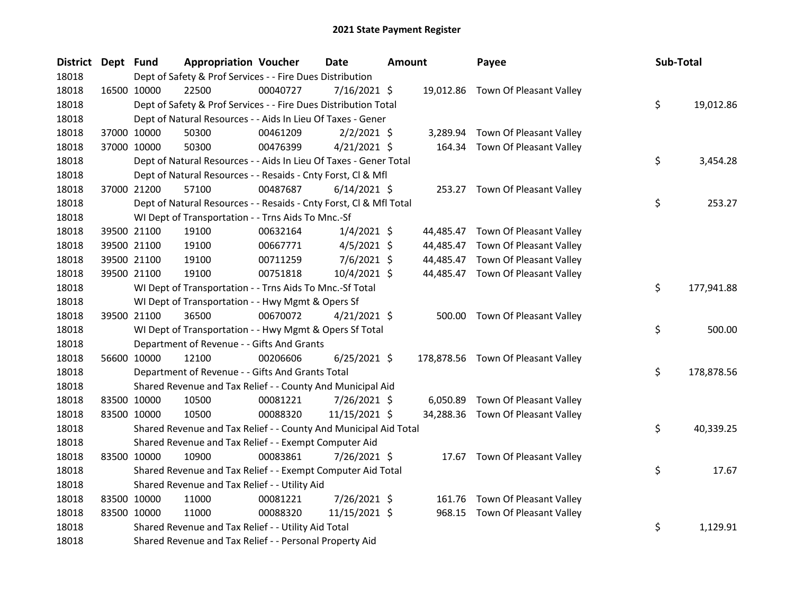| District Dept Fund |             | <b>Appropriation Voucher</b>                                       |          | <b>Date</b>    | <b>Amount</b> |          | Payee                              | Sub-Total |            |
|--------------------|-------------|--------------------------------------------------------------------|----------|----------------|---------------|----------|------------------------------------|-----------|------------|
| 18018              |             | Dept of Safety & Prof Services - - Fire Dues Distribution          |          |                |               |          |                                    |           |            |
| 18018              | 16500 10000 | 22500                                                              | 00040727 | $7/16/2021$ \$ |               |          | 19,012.86 Town Of Pleasant Valley  |           |            |
| 18018              |             | Dept of Safety & Prof Services - - Fire Dues Distribution Total    |          |                |               |          |                                    | \$        | 19,012.86  |
| 18018              |             | Dept of Natural Resources - - Aids In Lieu Of Taxes - Gener        |          |                |               |          |                                    |           |            |
| 18018              | 37000 10000 | 50300                                                              | 00461209 | $2/2/2021$ \$  |               | 3,289.94 | Town Of Pleasant Valley            |           |            |
| 18018              | 37000 10000 | 50300                                                              | 00476399 | $4/21/2021$ \$ |               | 164.34   | Town Of Pleasant Valley            |           |            |
| 18018              |             | Dept of Natural Resources - - Aids In Lieu Of Taxes - Gener Total  |          |                |               |          |                                    | \$        | 3,454.28   |
| 18018              |             | Dept of Natural Resources - - Resaids - Cnty Forst, Cl & Mfl       |          |                |               |          |                                    |           |            |
| 18018              | 37000 21200 | 57100                                                              | 00487687 | $6/14/2021$ \$ |               |          | 253.27 Town Of Pleasant Valley     |           |            |
| 18018              |             | Dept of Natural Resources - - Resaids - Cnty Forst, Cl & Mfl Total |          |                |               |          |                                    | \$        | 253.27     |
| 18018              |             | WI Dept of Transportation - - Trns Aids To Mnc.-Sf                 |          |                |               |          |                                    |           |            |
| 18018              | 39500 21100 | 19100                                                              | 00632164 | $1/4/2021$ \$  |               |          | 44,485.47 Town Of Pleasant Valley  |           |            |
| 18018              | 39500 21100 | 19100                                                              | 00667771 | $4/5/2021$ \$  |               |          | 44,485.47 Town Of Pleasant Valley  |           |            |
| 18018              | 39500 21100 | 19100                                                              | 00711259 | $7/6/2021$ \$  |               |          | 44,485.47 Town Of Pleasant Valley  |           |            |
| 18018              | 39500 21100 | 19100                                                              | 00751818 | 10/4/2021 \$   |               |          | 44,485.47 Town Of Pleasant Valley  |           |            |
| 18018              |             | WI Dept of Transportation - - Trns Aids To Mnc.-Sf Total           |          |                |               |          |                                    | \$        | 177,941.88 |
| 18018              |             | WI Dept of Transportation - - Hwy Mgmt & Opers Sf                  |          |                |               |          |                                    |           |            |
| 18018              | 39500 21100 | 36500                                                              | 00670072 | $4/21/2021$ \$ |               |          | 500.00 Town Of Pleasant Valley     |           |            |
| 18018              |             | WI Dept of Transportation - - Hwy Mgmt & Opers Sf Total            |          |                |               |          |                                    | \$        | 500.00     |
| 18018              |             | Department of Revenue - - Gifts And Grants                         |          |                |               |          |                                    |           |            |
| 18018              | 56600 10000 | 12100                                                              | 00206606 | $6/25/2021$ \$ |               |          | 178,878.56 Town Of Pleasant Valley |           |            |
| 18018              |             | Department of Revenue - - Gifts And Grants Total                   |          |                |               |          |                                    | \$        | 178,878.56 |
| 18018              |             | Shared Revenue and Tax Relief - - County And Municipal Aid         |          |                |               |          |                                    |           |            |
| 18018              | 83500 10000 | 10500                                                              | 00081221 | 7/26/2021 \$   |               | 6,050.89 | Town Of Pleasant Valley            |           |            |
| 18018              | 83500 10000 | 10500                                                              | 00088320 | 11/15/2021 \$  |               |          | 34,288.36 Town Of Pleasant Valley  |           |            |
| 18018              |             | Shared Revenue and Tax Relief - - County And Municipal Aid Total   |          |                |               |          |                                    | \$        | 40,339.25  |
| 18018              |             | Shared Revenue and Tax Relief - - Exempt Computer Aid              |          |                |               |          |                                    |           |            |
| 18018              | 83500 10000 | 10900                                                              | 00083861 | 7/26/2021 \$   |               |          | 17.67 Town Of Pleasant Valley      |           |            |
| 18018              |             | Shared Revenue and Tax Relief - - Exempt Computer Aid Total        |          |                |               |          |                                    | \$        | 17.67      |
| 18018              |             | Shared Revenue and Tax Relief - - Utility Aid                      |          |                |               |          |                                    |           |            |
| 18018              | 83500 10000 | 11000                                                              | 00081221 | 7/26/2021 \$   |               | 161.76   | Town Of Pleasant Valley            |           |            |
| 18018              | 83500 10000 | 11000                                                              | 00088320 | 11/15/2021 \$  |               | 968.15   | Town Of Pleasant Valley            |           |            |
| 18018              |             | Shared Revenue and Tax Relief - - Utility Aid Total                |          |                |               |          |                                    | \$        | 1,129.91   |
| 18018              |             | Shared Revenue and Tax Relief - - Personal Property Aid            |          |                |               |          |                                    |           |            |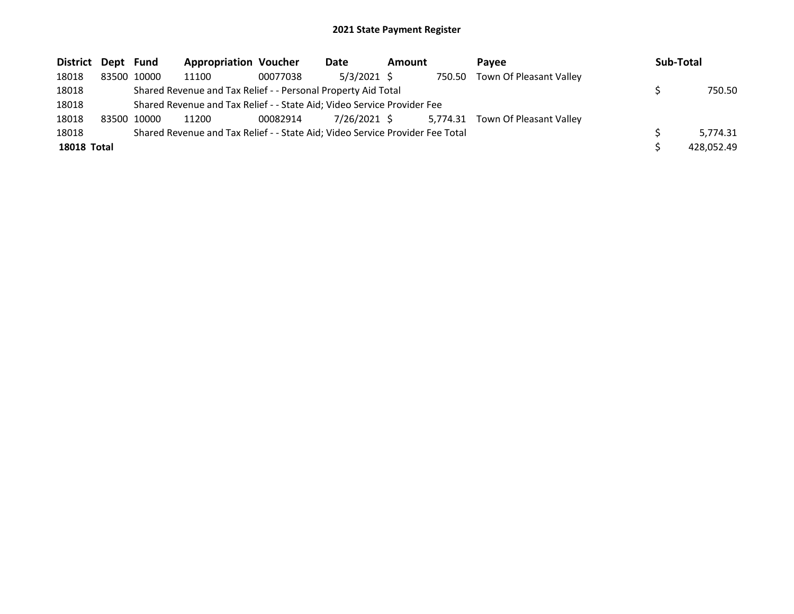| District Dept Fund |             | <b>Appropriation Voucher</b>                                                  |          | Date         | <b>Amount</b> |          | Pavee                          | Sub-Total  |
|--------------------|-------------|-------------------------------------------------------------------------------|----------|--------------|---------------|----------|--------------------------------|------------|
| 18018              | 83500 10000 | 11100                                                                         | 00077038 | 5/3/2021 \$  |               |          | 750.50 Town Of Pleasant Valley |            |
| 18018              |             | Shared Revenue and Tax Relief - - Personal Property Aid Total                 |          |              |               |          |                                | 750.50     |
| 18018              |             | Shared Revenue and Tax Relief - - State Aid; Video Service Provider Fee       |          |              |               |          |                                |            |
| 18018              | 83500 10000 | 11200                                                                         | 00082914 | 7/26/2021 \$ |               | 5.774.31 | Town Of Pleasant Valley        |            |
| 18018              |             | Shared Revenue and Tax Relief - - State Aid; Video Service Provider Fee Total |          |              |               |          |                                | 5.774.31   |
| <b>18018 Total</b> |             |                                                                               |          |              |               |          |                                | 428,052.49 |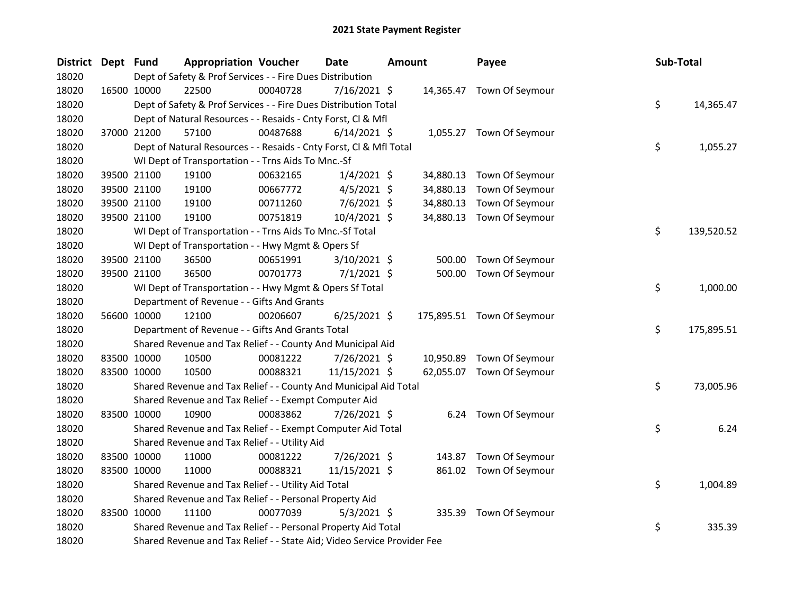| District Dept Fund |             | <b>Appropriation Voucher</b>                                            |          | Date           | <b>Amount</b> |           | Payee                      | Sub-Total |            |
|--------------------|-------------|-------------------------------------------------------------------------|----------|----------------|---------------|-----------|----------------------------|-----------|------------|
| 18020              |             | Dept of Safety & Prof Services - - Fire Dues Distribution               |          |                |               |           |                            |           |            |
| 18020              | 16500 10000 | 22500                                                                   | 00040728 | 7/16/2021 \$   |               |           | 14,365.47 Town Of Seymour  |           |            |
| 18020              |             | Dept of Safety & Prof Services - - Fire Dues Distribution Total         |          |                |               |           |                            | \$        | 14,365.47  |
| 18020              |             | Dept of Natural Resources - - Resaids - Cnty Forst, Cl & Mfl            |          |                |               |           |                            |           |            |
| 18020              | 37000 21200 | 57100                                                                   | 00487688 | $6/14/2021$ \$ |               |           | 1,055.27 Town Of Seymour   |           |            |
| 18020              |             | Dept of Natural Resources - - Resaids - Cnty Forst, CI & Mfl Total      |          |                |               |           |                            | \$        | 1,055.27   |
| 18020              |             | WI Dept of Transportation - - Trns Aids To Mnc.-Sf                      |          |                |               |           |                            |           |            |
| 18020              | 39500 21100 | 19100                                                                   | 00632165 | $1/4/2021$ \$  |               | 34,880.13 | Town Of Seymour            |           |            |
| 18020              | 39500 21100 | 19100                                                                   | 00667772 | $4/5/2021$ \$  |               | 34,880.13 | Town Of Seymour            |           |            |
| 18020              | 39500 21100 | 19100                                                                   | 00711260 | 7/6/2021 \$    |               | 34,880.13 | Town Of Seymour            |           |            |
| 18020              | 39500 21100 | 19100                                                                   | 00751819 | 10/4/2021 \$   |               | 34,880.13 | Town Of Seymour            |           |            |
| 18020              |             | WI Dept of Transportation - - Trns Aids To Mnc.-Sf Total                |          |                |               |           |                            | \$        | 139,520.52 |
| 18020              |             | WI Dept of Transportation - - Hwy Mgmt & Opers Sf                       |          |                |               |           |                            |           |            |
| 18020              | 39500 21100 | 36500                                                                   | 00651991 | 3/10/2021 \$   |               | 500.00    | Town Of Seymour            |           |            |
| 18020              | 39500 21100 | 36500                                                                   | 00701773 | $7/1/2021$ \$  |               | 500.00    | Town Of Seymour            |           |            |
| 18020              |             | WI Dept of Transportation - - Hwy Mgmt & Opers Sf Total                 |          |                |               |           |                            | \$        | 1,000.00   |
| 18020              |             | Department of Revenue - - Gifts And Grants                              |          |                |               |           |                            |           |            |
| 18020              | 56600 10000 | 12100                                                                   | 00206607 | $6/25/2021$ \$ |               |           | 175,895.51 Town Of Seymour |           |            |
| 18020              |             | Department of Revenue - - Gifts And Grants Total                        |          |                |               |           |                            | \$        | 175,895.51 |
| 18020              |             | Shared Revenue and Tax Relief - - County And Municipal Aid              |          |                |               |           |                            |           |            |
| 18020              | 83500 10000 | 10500                                                                   | 00081222 | 7/26/2021 \$   |               | 10,950.89 | Town Of Seymour            |           |            |
| 18020              | 83500 10000 | 10500                                                                   | 00088321 | 11/15/2021 \$  |               | 62,055.07 | Town Of Seymour            |           |            |
| 18020              |             | Shared Revenue and Tax Relief - - County And Municipal Aid Total        |          |                |               |           |                            | \$        | 73,005.96  |
| 18020              |             | Shared Revenue and Tax Relief - - Exempt Computer Aid                   |          |                |               |           |                            |           |            |
| 18020              | 83500 10000 | 10900                                                                   | 00083862 | 7/26/2021 \$   |               | 6.24      | Town Of Seymour            |           |            |
| 18020              |             | Shared Revenue and Tax Relief - - Exempt Computer Aid Total             |          |                |               |           |                            | \$        | 6.24       |
| 18020              |             | Shared Revenue and Tax Relief - - Utility Aid                           |          |                |               |           |                            |           |            |
| 18020              | 83500 10000 | 11000                                                                   | 00081222 | 7/26/2021 \$   |               | 143.87    | Town Of Seymour            |           |            |
| 18020              | 83500 10000 | 11000                                                                   | 00088321 | 11/15/2021 \$  |               |           | 861.02 Town Of Seymour     |           |            |
| 18020              |             | Shared Revenue and Tax Relief - - Utility Aid Total                     |          |                |               |           |                            | \$        | 1,004.89   |
| 18020              |             | Shared Revenue and Tax Relief - - Personal Property Aid                 |          |                |               |           |                            |           |            |
| 18020              | 83500 10000 | 11100                                                                   | 00077039 | $5/3/2021$ \$  |               | 335.39    | Town Of Seymour            |           |            |
| 18020              |             | Shared Revenue and Tax Relief - - Personal Property Aid Total           |          |                |               |           |                            | \$        | 335.39     |
| 18020              |             | Shared Revenue and Tax Relief - - State Aid; Video Service Provider Fee |          |                |               |           |                            |           |            |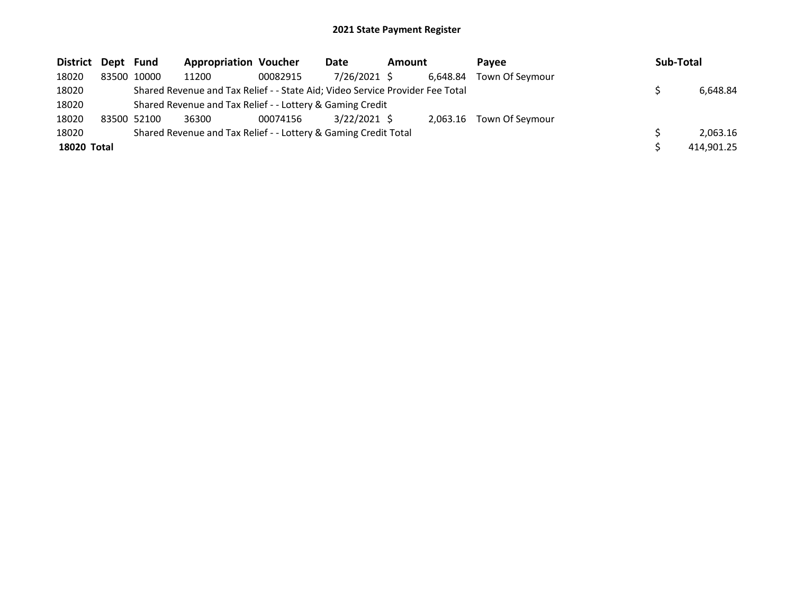| District Dept Fund |             | <b>Appropriation Voucher</b>                                                  |          | Date           | Amount |          | <b>Pavee</b>    | Sub-Total |            |
|--------------------|-------------|-------------------------------------------------------------------------------|----------|----------------|--------|----------|-----------------|-----------|------------|
| 18020              | 83500 10000 | 11200                                                                         | 00082915 | 7/26/2021 \$   |        | 6.648.84 | Town Of Seymour |           |            |
| 18020              |             | Shared Revenue and Tax Relief - - State Aid; Video Service Provider Fee Total |          |                |        |          |                 |           | 6,648.84   |
| 18020              |             | Shared Revenue and Tax Relief - - Lottery & Gaming Credit                     |          |                |        |          |                 |           |            |
| 18020              | 83500 52100 | 36300                                                                         | 00074156 | $3/22/2021$ \$ |        | 2.063.16 | Town Of Seymour |           |            |
| 18020              |             | Shared Revenue and Tax Relief - - Lottery & Gaming Credit Total               |          |                |        |          |                 |           | 2.063.16   |
| 18020 Total        |             |                                                                               |          |                |        |          |                 |           | 414,901.25 |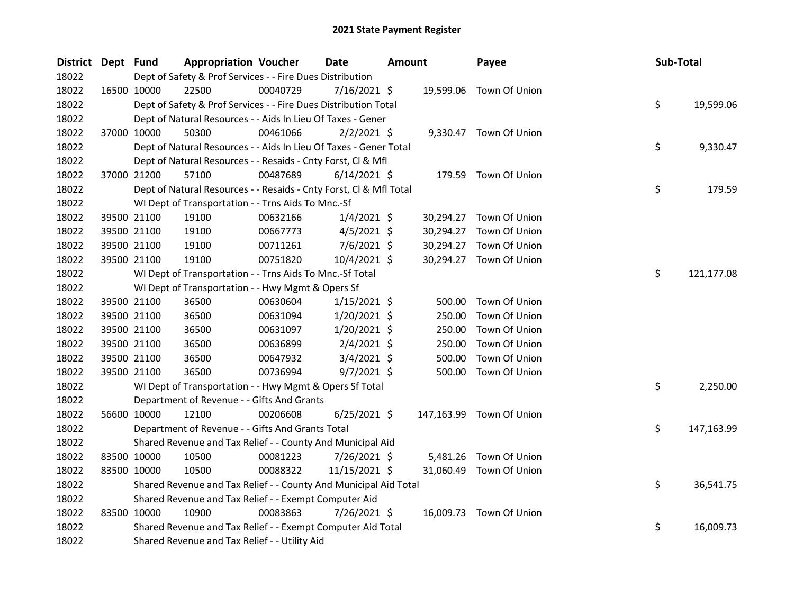| District Dept Fund |             | <b>Appropriation Voucher</b>                                       |          | <b>Date</b><br>Amount |  |           | Payee                    | Sub-Total |            |
|--------------------|-------------|--------------------------------------------------------------------|----------|-----------------------|--|-----------|--------------------------|-----------|------------|
| 18022              |             | Dept of Safety & Prof Services - - Fire Dues Distribution          |          |                       |  |           |                          |           |            |
| 18022              | 16500 10000 | 22500                                                              | 00040729 | $7/16/2021$ \$        |  | 19,599.06 | Town Of Union            |           |            |
| 18022              |             | Dept of Safety & Prof Services - - Fire Dues Distribution Total    |          |                       |  |           |                          | \$        | 19,599.06  |
| 18022              |             | Dept of Natural Resources - - Aids In Lieu Of Taxes - Gener        |          |                       |  |           |                          |           |            |
| 18022              | 37000 10000 | 50300                                                              | 00461066 | $2/2/2021$ \$         |  |           | 9,330.47 Town Of Union   |           |            |
| 18022              |             | Dept of Natural Resources - - Aids In Lieu Of Taxes - Gener Total  |          |                       |  |           |                          | \$        | 9,330.47   |
| 18022              |             | Dept of Natural Resources - - Resaids - Cnty Forst, Cl & Mfl       |          |                       |  |           |                          |           |            |
| 18022              | 37000 21200 | 57100                                                              | 00487689 | $6/14/2021$ \$        |  |           | 179.59 Town Of Union     |           |            |
| 18022              |             | Dept of Natural Resources - - Resaids - Cnty Forst, Cl & Mfl Total |          |                       |  |           |                          | \$        | 179.59     |
| 18022              |             | WI Dept of Transportation - - Trns Aids To Mnc.-Sf                 |          |                       |  |           |                          |           |            |
| 18022              | 39500 21100 | 19100                                                              | 00632166 | $1/4/2021$ \$         |  |           | 30,294.27 Town Of Union  |           |            |
| 18022              | 39500 21100 | 19100                                                              | 00667773 | $4/5/2021$ \$         |  | 30,294.27 | Town Of Union            |           |            |
| 18022              | 39500 21100 | 19100                                                              | 00711261 | $7/6/2021$ \$         |  | 30,294.27 | Town Of Union            |           |            |
| 18022              | 39500 21100 | 19100                                                              | 00751820 | 10/4/2021 \$          |  |           | 30,294.27 Town Of Union  |           |            |
| 18022              |             | WI Dept of Transportation - - Trns Aids To Mnc.-Sf Total           |          |                       |  |           |                          | \$        | 121,177.08 |
| 18022              |             | WI Dept of Transportation - - Hwy Mgmt & Opers Sf                  |          |                       |  |           |                          |           |            |
| 18022              | 39500 21100 | 36500                                                              | 00630604 | 1/15/2021 \$          |  | 500.00    | Town Of Union            |           |            |
| 18022              | 39500 21100 | 36500                                                              | 00631094 | $1/20/2021$ \$        |  | 250.00    | Town Of Union            |           |            |
| 18022              | 39500 21100 | 36500                                                              | 00631097 | 1/20/2021 \$          |  | 250.00    | Town Of Union            |           |            |
| 18022              | 39500 21100 | 36500                                                              | 00636899 | $2/4/2021$ \$         |  | 250.00    | Town Of Union            |           |            |
| 18022              | 39500 21100 | 36500                                                              | 00647932 | $3/4/2021$ \$         |  | 500.00    | Town Of Union            |           |            |
| 18022              | 39500 21100 | 36500                                                              | 00736994 | $9/7/2021$ \$         |  | 500.00    | Town Of Union            |           |            |
| 18022              |             | WI Dept of Transportation - - Hwy Mgmt & Opers Sf Total            |          |                       |  |           |                          | \$        | 2,250.00   |
| 18022              |             | Department of Revenue - - Gifts And Grants                         |          |                       |  |           |                          |           |            |
| 18022              | 56600 10000 | 12100                                                              | 00206608 | $6/25/2021$ \$        |  |           | 147,163.99 Town Of Union |           |            |
| 18022              |             | Department of Revenue - - Gifts And Grants Total                   |          |                       |  |           |                          | \$        | 147,163.99 |
| 18022              |             | Shared Revenue and Tax Relief - - County And Municipal Aid         |          |                       |  |           |                          |           |            |
| 18022              | 83500 10000 | 10500                                                              | 00081223 | $7/26/2021$ \$        |  | 5,481.26  | Town Of Union            |           |            |
| 18022              | 83500 10000 | 10500                                                              | 00088322 | 11/15/2021 \$         |  | 31,060.49 | Town Of Union            |           |            |
| 18022              |             | Shared Revenue and Tax Relief - - County And Municipal Aid Total   |          |                       |  |           |                          | \$        | 36,541.75  |
| 18022              |             | Shared Revenue and Tax Relief - - Exempt Computer Aid              |          |                       |  |           |                          |           |            |
| 18022              | 83500 10000 | 10900                                                              | 00083863 | 7/26/2021 \$          |  |           | 16,009.73 Town Of Union  |           |            |
| 18022              |             | Shared Revenue and Tax Relief - - Exempt Computer Aid Total        |          |                       |  |           |                          | \$        | 16,009.73  |
| 18022              |             | Shared Revenue and Tax Relief - - Utility Aid                      |          |                       |  |           |                          |           |            |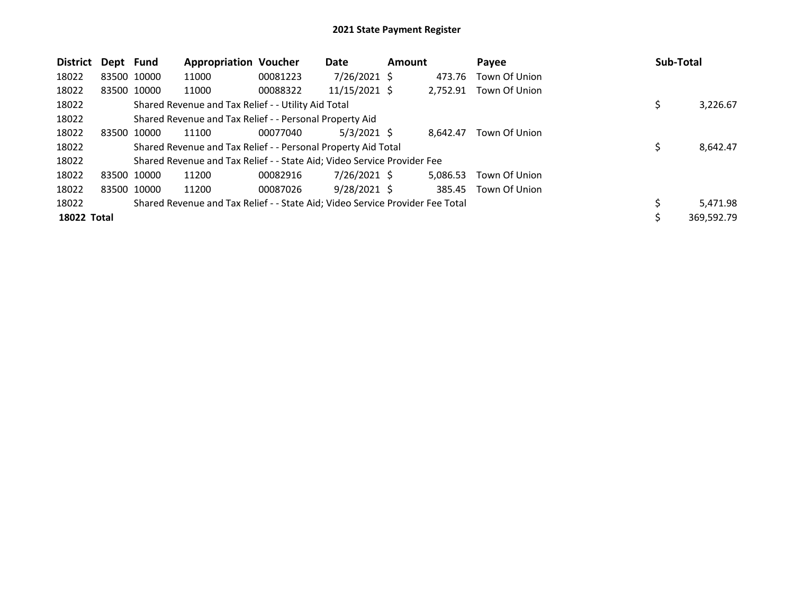| District    | Dept Fund   |             | <b>Appropriation Voucher</b>                                                  |          | Date            | Amount |          | Pavee         | Sub-Total        |
|-------------|-------------|-------------|-------------------------------------------------------------------------------|----------|-----------------|--------|----------|---------------|------------------|
| 18022       |             | 83500 10000 | 11000                                                                         | 00081223 | $7/26/2021$ \$  |        | 473.76   | Town Of Union |                  |
| 18022       |             | 83500 10000 | 11000                                                                         | 00088322 | $11/15/2021$ \$ |        | 2,752.91 | Town Of Union |                  |
| 18022       |             |             | Shared Revenue and Tax Relief - - Utility Aid Total                           |          |                 |        |          |               | \$<br>3,226.67   |
| 18022       |             |             | Shared Revenue and Tax Relief - - Personal Property Aid                       |          |                 |        |          |               |                  |
| 18022       | 83500 10000 |             | 11100                                                                         | 00077040 | $5/3/2021$ \$   |        | 8.642.47 | Town Of Union |                  |
| 18022       |             |             | Shared Revenue and Tax Relief - - Personal Property Aid Total                 |          |                 |        |          |               | \$<br>8,642.47   |
| 18022       |             |             | Shared Revenue and Tax Relief - - State Aid; Video Service Provider Fee       |          |                 |        |          |               |                  |
| 18022       | 83500 10000 |             | 11200                                                                         | 00082916 | 7/26/2021 \$    |        | 5.086.53 | Town Of Union |                  |
| 18022       |             | 83500 10000 | 11200                                                                         | 00087026 | $9/28/2021$ \$  |        | 385.45   | Town Of Union |                  |
| 18022       |             |             | Shared Revenue and Tax Relief - - State Aid; Video Service Provider Fee Total |          |                 |        |          |               | 5,471.98         |
| 18022 Total |             |             |                                                                               |          |                 |        |          |               | \$<br>369,592.79 |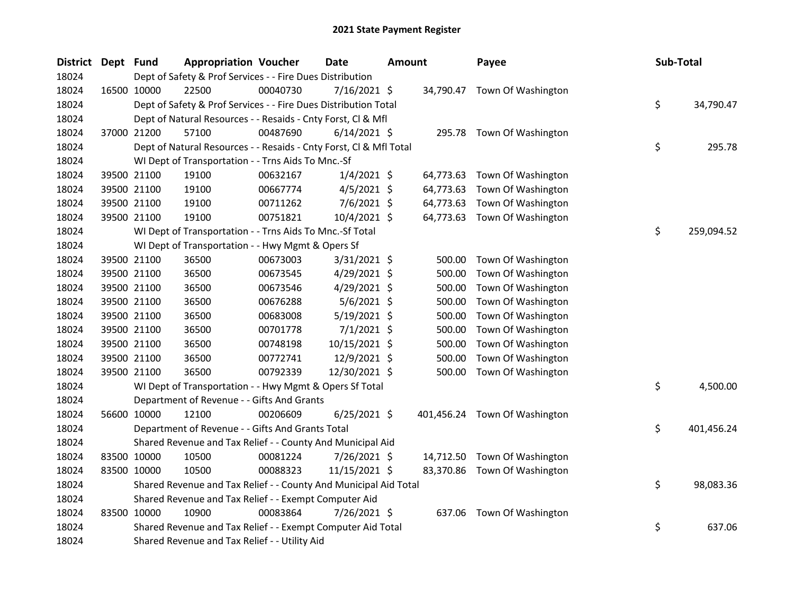| <b>District</b> | Dept Fund |             | <b>Appropriation Voucher</b>                                       |          | <b>Date</b>    | <b>Amount</b> |           | Payee                         | Sub-Total |            |
|-----------------|-----------|-------------|--------------------------------------------------------------------|----------|----------------|---------------|-----------|-------------------------------|-----------|------------|
| 18024           |           |             | Dept of Safety & Prof Services - - Fire Dues Distribution          |          |                |               |           |                               |           |            |
| 18024           |           | 16500 10000 | 22500                                                              | 00040730 | $7/16/2021$ \$ |               |           | 34,790.47 Town Of Washington  |           |            |
| 18024           |           |             | Dept of Safety & Prof Services - - Fire Dues Distribution Total    |          |                |               |           |                               | \$        | 34,790.47  |
| 18024           |           |             | Dept of Natural Resources - - Resaids - Cnty Forst, Cl & Mfl       |          |                |               |           |                               |           |            |
| 18024           |           | 37000 21200 | 57100                                                              | 00487690 | $6/14/2021$ \$ |               |           | 295.78 Town Of Washington     |           |            |
| 18024           |           |             | Dept of Natural Resources - - Resaids - Cnty Forst, Cl & Mfl Total |          |                |               |           |                               | \$        | 295.78     |
| 18024           |           |             | WI Dept of Transportation - - Trns Aids To Mnc.-Sf                 |          |                |               |           |                               |           |            |
| 18024           |           | 39500 21100 | 19100                                                              | 00632167 | $1/4/2021$ \$  |               | 64,773.63 | Town Of Washington            |           |            |
| 18024           |           | 39500 21100 | 19100                                                              | 00667774 | $4/5/2021$ \$  |               | 64,773.63 | Town Of Washington            |           |            |
| 18024           |           | 39500 21100 | 19100                                                              | 00711262 | 7/6/2021 \$    |               | 64,773.63 | Town Of Washington            |           |            |
| 18024           |           | 39500 21100 | 19100                                                              | 00751821 | 10/4/2021 \$   |               |           | 64,773.63 Town Of Washington  |           |            |
| 18024           |           |             | WI Dept of Transportation - - Trns Aids To Mnc.-Sf Total           |          |                |               |           |                               | \$        | 259,094.52 |
| 18024           |           |             | WI Dept of Transportation - - Hwy Mgmt & Opers Sf                  |          |                |               |           |                               |           |            |
| 18024           |           | 39500 21100 | 36500                                                              | 00673003 | $3/31/2021$ \$ |               | 500.00    | Town Of Washington            |           |            |
| 18024           |           | 39500 21100 | 36500                                                              | 00673545 | $4/29/2021$ \$ |               | 500.00    | Town Of Washington            |           |            |
| 18024           |           | 39500 21100 | 36500                                                              | 00673546 | 4/29/2021 \$   |               | 500.00    | Town Of Washington            |           |            |
| 18024           |           | 39500 21100 | 36500                                                              | 00676288 | 5/6/2021 \$    |               | 500.00    | Town Of Washington            |           |            |
| 18024           |           | 39500 21100 | 36500                                                              | 00683008 | 5/19/2021 \$   |               | 500.00    | Town Of Washington            |           |            |
| 18024           |           | 39500 21100 | 36500                                                              | 00701778 | $7/1/2021$ \$  |               | 500.00    | Town Of Washington            |           |            |
| 18024           |           | 39500 21100 | 36500                                                              | 00748198 | 10/15/2021 \$  |               | 500.00    | Town Of Washington            |           |            |
| 18024           |           | 39500 21100 | 36500                                                              | 00772741 | 12/9/2021 \$   |               | 500.00    | Town Of Washington            |           |            |
| 18024           |           | 39500 21100 | 36500                                                              | 00792339 | 12/30/2021 \$  |               | 500.00    | Town Of Washington            |           |            |
| 18024           |           |             | WI Dept of Transportation - - Hwy Mgmt & Opers Sf Total            |          |                |               |           |                               | \$        | 4,500.00   |
| 18024           |           |             | Department of Revenue - - Gifts And Grants                         |          |                |               |           |                               |           |            |
| 18024           |           | 56600 10000 | 12100                                                              | 00206609 | $6/25/2021$ \$ |               |           | 401,456.24 Town Of Washington |           |            |
| 18024           |           |             | Department of Revenue - - Gifts And Grants Total                   |          |                |               |           |                               | \$        | 401,456.24 |
| 18024           |           |             | Shared Revenue and Tax Relief - - County And Municipal Aid         |          |                |               |           |                               |           |            |
| 18024           |           | 83500 10000 | 10500                                                              | 00081224 | 7/26/2021 \$   |               | 14,712.50 | Town Of Washington            |           |            |
| 18024           |           | 83500 10000 | 10500                                                              | 00088323 | 11/15/2021 \$  |               | 83,370.86 | Town Of Washington            |           |            |
| 18024           |           |             | Shared Revenue and Tax Relief - - County And Municipal Aid Total   |          |                |               |           |                               | \$        | 98,083.36  |
| 18024           |           |             | Shared Revenue and Tax Relief - - Exempt Computer Aid              |          |                |               |           |                               |           |            |
| 18024           |           | 83500 10000 | 10900                                                              | 00083864 | 7/26/2021 \$   |               | 637.06    | Town Of Washington            |           |            |
| 18024           |           |             | Shared Revenue and Tax Relief - - Exempt Computer Aid Total        |          |                |               |           |                               | \$        | 637.06     |
| 18024           |           |             | Shared Revenue and Tax Relief - - Utility Aid                      |          |                |               |           |                               |           |            |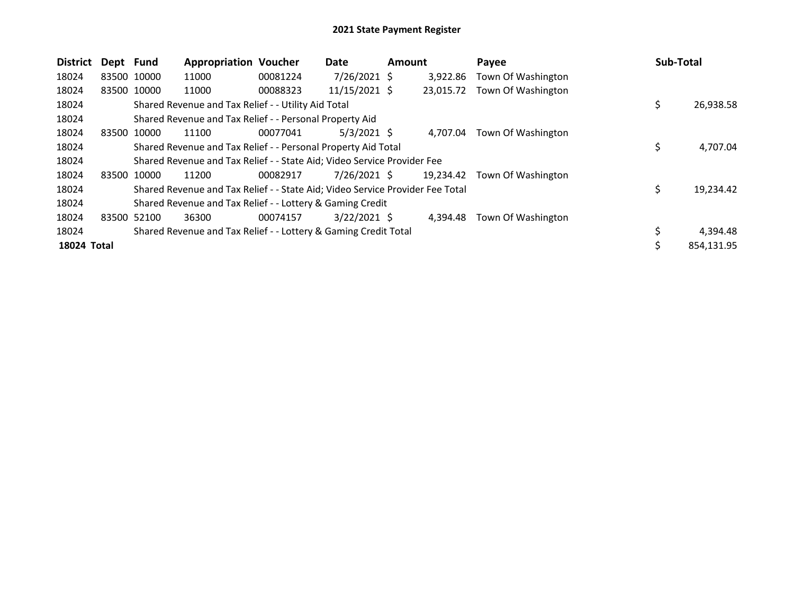| <b>District</b> | Dept Fund |             | <b>Appropriation Voucher</b>                                                  |          | Date           | <b>Amount</b> |           | Payee              | Sub-Total |            |
|-----------------|-----------|-------------|-------------------------------------------------------------------------------|----------|----------------|---------------|-----------|--------------------|-----------|------------|
| 18024           |           | 83500 10000 | 11000                                                                         | 00081224 | 7/26/2021 \$   |               | 3,922.86  | Town Of Washington |           |            |
| 18024           |           | 83500 10000 | 11000                                                                         | 00088323 | 11/15/2021 \$  |               | 23,015.72 | Town Of Washington |           |            |
| 18024           |           |             | Shared Revenue and Tax Relief - - Utility Aid Total                           |          |                |               |           |                    | \$        | 26,938.58  |
| 18024           |           |             | Shared Revenue and Tax Relief - - Personal Property Aid                       |          |                |               |           |                    |           |            |
| 18024           | 83500     | 10000       | 11100                                                                         | 00077041 | $5/3/2021$ \$  |               | 4.707.04  | Town Of Washington |           |            |
| 18024           |           |             | Shared Revenue and Tax Relief - - Personal Property Aid Total                 |          |                |               |           |                    | \$        | 4,707.04   |
| 18024           |           |             | Shared Revenue and Tax Relief - - State Aid; Video Service Provider Fee       |          |                |               |           |                    |           |            |
| 18024           | 83500     | 10000       | 11200                                                                         | 00082917 | 7/26/2021 \$   |               | 19,234.42 | Town Of Washington |           |            |
| 18024           |           |             | Shared Revenue and Tax Relief - - State Aid; Video Service Provider Fee Total |          |                |               |           |                    | \$        | 19,234.42  |
| 18024           |           |             | Shared Revenue and Tax Relief - - Lottery & Gaming Credit                     |          |                |               |           |                    |           |            |
| 18024           | 83500     | 52100       | 36300                                                                         | 00074157 | $3/22/2021$ \$ |               | 4.394.48  | Town Of Washington |           |            |
| 18024           |           |             | Shared Revenue and Tax Relief - - Lottery & Gaming Credit Total               |          |                |               |           |                    |           | 4,394.48   |
| 18024 Total     |           |             |                                                                               |          |                |               |           |                    | \$        | 854,131.95 |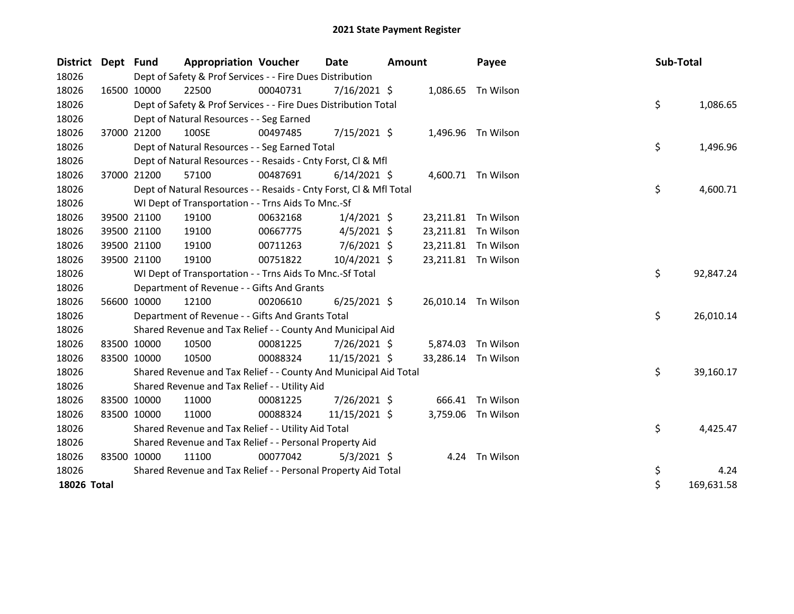| District Dept Fund |             | <b>Appropriation Voucher</b>                                       |          | <b>Date</b>    | Amount |                     | Payee              | Sub-Total |            |
|--------------------|-------------|--------------------------------------------------------------------|----------|----------------|--------|---------------------|--------------------|-----------|------------|
| 18026              |             | Dept of Safety & Prof Services - - Fire Dues Distribution          |          |                |        |                     |                    |           |            |
| 18026              | 16500 10000 | 22500                                                              | 00040731 | 7/16/2021 \$   |        | 1,086.65            | Tn Wilson          |           |            |
| 18026              |             | Dept of Safety & Prof Services - - Fire Dues Distribution Total    |          |                |        |                     |                    | \$        | 1,086.65   |
| 18026              |             | Dept of Natural Resources - - Seg Earned                           |          |                |        |                     |                    |           |            |
| 18026              | 37000 21200 | 100SE                                                              | 00497485 | $7/15/2021$ \$ |        | 1,496.96            | Tn Wilson          |           |            |
| 18026              |             | Dept of Natural Resources - - Seg Earned Total                     |          |                |        |                     |                    | \$        | 1,496.96   |
| 18026              |             | Dept of Natural Resources - - Resaids - Cnty Forst, Cl & Mfl       |          |                |        |                     |                    |           |            |
| 18026              | 37000 21200 | 57100                                                              | 00487691 | $6/14/2021$ \$ |        |                     | 4,600.71 Tn Wilson |           |            |
| 18026              |             | Dept of Natural Resources - - Resaids - Cnty Forst, Cl & Mfl Total |          |                |        |                     |                    | \$        | 4,600.71   |
| 18026              |             | WI Dept of Transportation - - Trns Aids To Mnc.-Sf                 |          |                |        |                     |                    |           |            |
| 18026              | 39500 21100 | 19100                                                              | 00632168 | $1/4/2021$ \$  |        | 23,211.81 Tn Wilson |                    |           |            |
| 18026              | 39500 21100 | 19100                                                              | 00667775 | $4/5/2021$ \$  |        | 23,211.81           | Tn Wilson          |           |            |
| 18026              | 39500 21100 | 19100                                                              | 00711263 | 7/6/2021 \$    |        | 23,211.81           | Tn Wilson          |           |            |
| 18026              | 39500 21100 | 19100                                                              | 00751822 | 10/4/2021 \$   |        | 23,211.81 Tn Wilson |                    |           |            |
| 18026              |             | WI Dept of Transportation - - Trns Aids To Mnc.-Sf Total           |          |                |        |                     |                    | \$        | 92,847.24  |
| 18026              |             | Department of Revenue - - Gifts And Grants                         |          |                |        |                     |                    |           |            |
| 18026              | 56600 10000 | 12100                                                              | 00206610 | $6/25/2021$ \$ |        | 26,010.14 Tn Wilson |                    |           |            |
| 18026              |             | Department of Revenue - - Gifts And Grants Total                   |          |                |        |                     |                    | \$        | 26,010.14  |
| 18026              |             | Shared Revenue and Tax Relief - - County And Municipal Aid         |          |                |        |                     |                    |           |            |
| 18026              | 83500 10000 | 10500                                                              | 00081225 | 7/26/2021 \$   |        |                     | 5,874.03 Tn Wilson |           |            |
| 18026              | 83500 10000 | 10500                                                              | 00088324 | 11/15/2021 \$  |        | 33,286.14 Tn Wilson |                    |           |            |
| 18026              |             | Shared Revenue and Tax Relief - - County And Municipal Aid Total   |          |                |        |                     |                    | \$        | 39,160.17  |
| 18026              |             | Shared Revenue and Tax Relief - - Utility Aid                      |          |                |        |                     |                    |           |            |
| 18026              | 83500 10000 | 11000                                                              | 00081225 | 7/26/2021 \$   |        | 666.41              | Tn Wilson          |           |            |
| 18026              | 83500 10000 | 11000                                                              | 00088324 | 11/15/2021 \$  |        | 3,759.06            | Tn Wilson          |           |            |
| 18026              |             | Shared Revenue and Tax Relief - - Utility Aid Total                |          |                |        |                     |                    | \$        | 4,425.47   |
| 18026              |             | Shared Revenue and Tax Relief - - Personal Property Aid            |          |                |        |                     |                    |           |            |
| 18026              | 83500 10000 | 11100                                                              | 00077042 | $5/3/2021$ \$  |        |                     | 4.24 Tn Wilson     |           |            |
| 18026              |             | Shared Revenue and Tax Relief - - Personal Property Aid Total      |          |                |        |                     |                    | \$        | 4.24       |
| 18026 Total        |             |                                                                    |          |                |        |                     |                    | \$        | 169,631.58 |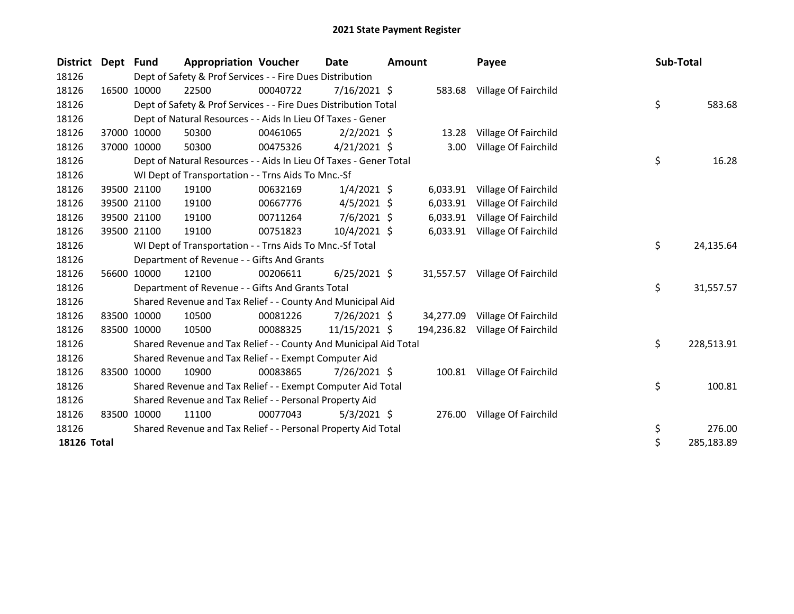| District Dept |       | <b>Fund</b> | <b>Appropriation Voucher</b>                                      |          | <b>Date</b>    | <b>Amount</b> |           | Payee                           | Sub-Total |            |
|---------------|-------|-------------|-------------------------------------------------------------------|----------|----------------|---------------|-----------|---------------------------------|-----------|------------|
| 18126         |       |             | Dept of Safety & Prof Services - - Fire Dues Distribution         |          |                |               |           |                                 |           |            |
| 18126         |       | 16500 10000 | 22500                                                             | 00040722 | $7/16/2021$ \$ |               |           | 583.68 Village Of Fairchild     |           |            |
| 18126         |       |             | Dept of Safety & Prof Services - - Fire Dues Distribution Total   |          |                |               |           |                                 | \$        | 583.68     |
| 18126         |       |             | Dept of Natural Resources - - Aids In Lieu Of Taxes - Gener       |          |                |               |           |                                 |           |            |
| 18126         |       | 37000 10000 | 50300                                                             | 00461065 | $2/2/2021$ \$  |               | 13.28     | Village Of Fairchild            |           |            |
| 18126         |       | 37000 10000 | 50300                                                             | 00475326 | $4/21/2021$ \$ |               | 3.00      | Village Of Fairchild            |           |            |
| 18126         |       |             | Dept of Natural Resources - - Aids In Lieu Of Taxes - Gener Total |          |                |               |           |                                 | \$        | 16.28      |
| 18126         |       |             | WI Dept of Transportation - - Trns Aids To Mnc.-Sf                |          |                |               |           |                                 |           |            |
| 18126         |       | 39500 21100 | 19100                                                             | 00632169 | $1/4/2021$ \$  |               | 6,033.91  | Village Of Fairchild            |           |            |
| 18126         |       | 39500 21100 | 19100                                                             | 00667776 | $4/5/2021$ \$  |               | 6,033.91  | Village Of Fairchild            |           |            |
| 18126         |       | 39500 21100 | 19100                                                             | 00711264 | $7/6/2021$ \$  |               | 6,033.91  | Village Of Fairchild            |           |            |
| 18126         |       | 39500 21100 | 19100                                                             | 00751823 | 10/4/2021 \$   |               |           | 6,033.91 Village Of Fairchild   |           |            |
| 18126         |       |             | WI Dept of Transportation - - Trns Aids To Mnc.-Sf Total          |          |                |               |           |                                 | \$        | 24,135.64  |
| 18126         |       |             | Department of Revenue - - Gifts And Grants                        |          |                |               |           |                                 |           |            |
| 18126         | 56600 | 10000       | 12100                                                             | 00206611 | $6/25/2021$ \$ |               |           | 31,557.57 Village Of Fairchild  |           |            |
| 18126         |       |             | Department of Revenue - - Gifts And Grants Total                  |          |                |               |           |                                 | \$        | 31,557.57  |
| 18126         |       |             | Shared Revenue and Tax Relief - - County And Municipal Aid        |          |                |               |           |                                 |           |            |
| 18126         |       | 83500 10000 | 10500                                                             | 00081226 | 7/26/2021 \$   |               | 34,277.09 | Village Of Fairchild            |           |            |
| 18126         |       | 83500 10000 | 10500                                                             | 00088325 | 11/15/2021 \$  |               |           | 194,236.82 Village Of Fairchild |           |            |
| 18126         |       |             | Shared Revenue and Tax Relief - - County And Municipal Aid Total  |          |                |               |           |                                 | \$        | 228,513.91 |
| 18126         |       |             | Shared Revenue and Tax Relief - - Exempt Computer Aid             |          |                |               |           |                                 |           |            |
| 18126         |       | 83500 10000 | 10900                                                             | 00083865 | $7/26/2021$ \$ |               |           | 100.81 Village Of Fairchild     |           |            |
| 18126         |       |             | Shared Revenue and Tax Relief - - Exempt Computer Aid Total       |          |                |               |           |                                 | \$        | 100.81     |
| 18126         |       |             | Shared Revenue and Tax Relief - - Personal Property Aid           |          |                |               |           |                                 |           |            |
| 18126         | 83500 | 10000       | 11100                                                             | 00077043 | $5/3/2021$ \$  |               |           | 276.00 Village Of Fairchild     |           |            |
| 18126         |       |             | Shared Revenue and Tax Relief - - Personal Property Aid Total     |          |                |               |           |                                 | \$        | 276.00     |
| 18126 Total   |       |             |                                                                   |          |                |               |           |                                 | \$        | 285,183.89 |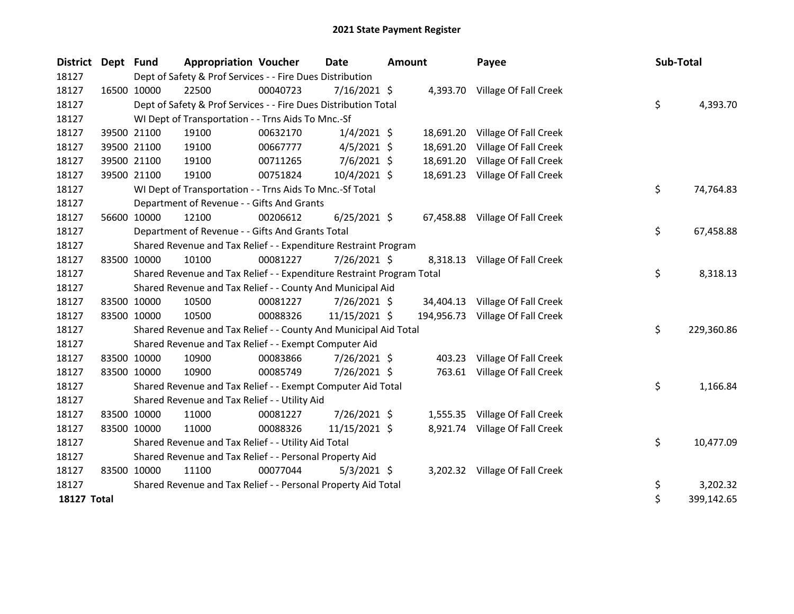| District Dept Fund |             | <b>Appropriation Voucher</b>                                          |          | <b>Date</b>    | <b>Amount</b> |           | Payee                            | Sub-Total |            |
|--------------------|-------------|-----------------------------------------------------------------------|----------|----------------|---------------|-----------|----------------------------------|-----------|------------|
| 18127              |             | Dept of Safety & Prof Services - - Fire Dues Distribution             |          |                |               |           |                                  |           |            |
| 18127              | 16500 10000 | 22500                                                                 | 00040723 | $7/16/2021$ \$ |               |           | 4,393.70 Village Of Fall Creek   |           |            |
| 18127              |             | Dept of Safety & Prof Services - - Fire Dues Distribution Total       |          |                |               |           |                                  | \$        | 4,393.70   |
| 18127              |             | WI Dept of Transportation - - Trns Aids To Mnc.-Sf                    |          |                |               |           |                                  |           |            |
| 18127              | 39500 21100 | 19100                                                                 | 00632170 | $1/4/2021$ \$  |               | 18,691.20 | Village Of Fall Creek            |           |            |
| 18127              | 39500 21100 | 19100                                                                 | 00667777 | $4/5/2021$ \$  |               | 18,691.20 | Village Of Fall Creek            |           |            |
| 18127              | 39500 21100 | 19100                                                                 | 00711265 | 7/6/2021 \$    |               | 18,691.20 | Village Of Fall Creek            |           |            |
| 18127              | 39500 21100 | 19100                                                                 | 00751824 | $10/4/2021$ \$ |               |           | 18,691.23 Village Of Fall Creek  |           |            |
| 18127              |             | WI Dept of Transportation - - Trns Aids To Mnc.-Sf Total              |          |                |               |           |                                  | \$        | 74,764.83  |
| 18127              |             | Department of Revenue - - Gifts And Grants                            |          |                |               |           |                                  |           |            |
| 18127              | 56600 10000 | 12100                                                                 | 00206612 | $6/25/2021$ \$ |               |           | 67,458.88 Village Of Fall Creek  |           |            |
| 18127              |             | Department of Revenue - - Gifts And Grants Total                      |          |                |               |           |                                  | \$        | 67,458.88  |
| 18127              |             | Shared Revenue and Tax Relief - - Expenditure Restraint Program       |          |                |               |           |                                  |           |            |
| 18127              | 83500 10000 | 10100                                                                 | 00081227 | 7/26/2021 \$   |               |           | 8,318.13 Village Of Fall Creek   |           |            |
| 18127              |             | Shared Revenue and Tax Relief - - Expenditure Restraint Program Total |          |                |               |           |                                  | \$        | 8,318.13   |
| 18127              |             | Shared Revenue and Tax Relief - - County And Municipal Aid            |          |                |               |           |                                  |           |            |
| 18127              | 83500 10000 | 10500                                                                 | 00081227 | 7/26/2021 \$   |               |           | 34,404.13 Village Of Fall Creek  |           |            |
| 18127              | 83500 10000 | 10500                                                                 | 00088326 | 11/15/2021 \$  |               |           | 194,956.73 Village Of Fall Creek |           |            |
| 18127              |             | Shared Revenue and Tax Relief - - County And Municipal Aid Total      |          |                |               |           |                                  | \$        | 229,360.86 |
| 18127              |             | Shared Revenue and Tax Relief - - Exempt Computer Aid                 |          |                |               |           |                                  |           |            |
| 18127              | 83500 10000 | 10900                                                                 | 00083866 | 7/26/2021 \$   |               | 403.23    | Village Of Fall Creek            |           |            |
| 18127              | 83500 10000 | 10900                                                                 | 00085749 | 7/26/2021 \$   |               | 763.61    | Village Of Fall Creek            |           |            |
| 18127              |             | Shared Revenue and Tax Relief - - Exempt Computer Aid Total           |          |                |               |           |                                  | \$        | 1,166.84   |
| 18127              |             | Shared Revenue and Tax Relief - - Utility Aid                         |          |                |               |           |                                  |           |            |
| 18127              | 83500 10000 | 11000                                                                 | 00081227 | 7/26/2021 \$   |               |           | 1,555.35 Village Of Fall Creek   |           |            |
| 18127              | 83500 10000 | 11000                                                                 | 00088326 | 11/15/2021 \$  |               |           | 8,921.74 Village Of Fall Creek   |           |            |
| 18127              |             | Shared Revenue and Tax Relief - - Utility Aid Total                   |          |                |               |           |                                  | \$        | 10,477.09  |
| 18127              |             | Shared Revenue and Tax Relief - - Personal Property Aid               |          |                |               |           |                                  |           |            |
| 18127              | 83500 10000 | 11100                                                                 | 00077044 | $5/3/2021$ \$  |               |           | 3,202.32 Village Of Fall Creek   |           |            |
| 18127              |             | Shared Revenue and Tax Relief - - Personal Property Aid Total         |          |                |               |           |                                  | \$        | 3,202.32   |
| <b>18127 Total</b> |             |                                                                       |          |                |               |           |                                  | \$        | 399,142.65 |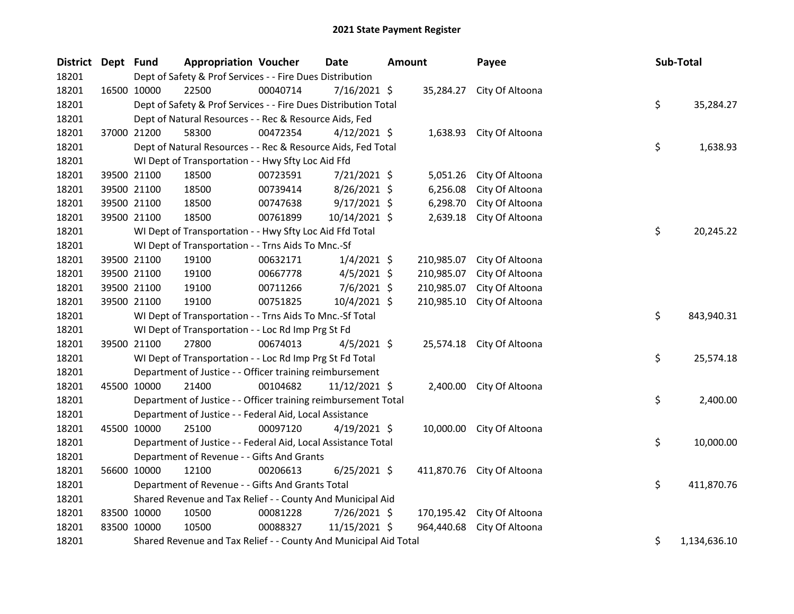| District Dept Fund |             | <b>Appropriation Voucher</b>                                     |          | <b>Date</b>     | <b>Amount</b> |            | Payee                      | Sub-Total |              |
|--------------------|-------------|------------------------------------------------------------------|----------|-----------------|---------------|------------|----------------------------|-----------|--------------|
| 18201              |             | Dept of Safety & Prof Services - - Fire Dues Distribution        |          |                 |               |            |                            |           |              |
| 18201              | 16500 10000 | 22500                                                            | 00040714 | $7/16/2021$ \$  |               |            | 35,284.27 City Of Altoona  |           |              |
| 18201              |             | Dept of Safety & Prof Services - - Fire Dues Distribution Total  |          |                 |               |            |                            | \$        | 35,284.27    |
| 18201              |             | Dept of Natural Resources - - Rec & Resource Aids, Fed           |          |                 |               |            |                            |           |              |
| 18201              | 37000 21200 | 58300                                                            | 00472354 | $4/12/2021$ \$  |               |            | 1,638.93 City Of Altoona   |           |              |
| 18201              |             | Dept of Natural Resources - - Rec & Resource Aids, Fed Total     |          |                 |               |            |                            | \$        | 1,638.93     |
| 18201              |             | WI Dept of Transportation - - Hwy Sfty Loc Aid Ffd               |          |                 |               |            |                            |           |              |
| 18201              | 39500 21100 | 18500                                                            | 00723591 | 7/21/2021 \$    |               | 5,051.26   | City Of Altoona            |           |              |
| 18201              | 39500 21100 | 18500                                                            | 00739414 | 8/26/2021 \$    |               | 6,256.08   | City Of Altoona            |           |              |
| 18201              | 39500 21100 | 18500                                                            | 00747638 | $9/17/2021$ \$  |               | 6,298.70   | City Of Altoona            |           |              |
| 18201              | 39500 21100 | 18500                                                            | 00761899 | 10/14/2021 \$   |               | 2,639.18   | City Of Altoona            |           |              |
| 18201              |             | WI Dept of Transportation - - Hwy Sfty Loc Aid Ffd Total         |          |                 |               |            |                            | \$        | 20,245.22    |
| 18201              |             | WI Dept of Transportation - - Trns Aids To Mnc.-Sf               |          |                 |               |            |                            |           |              |
| 18201              | 39500 21100 | 19100                                                            | 00632171 | $1/4/2021$ \$   |               | 210,985.07 | City Of Altoona            |           |              |
| 18201              | 39500 21100 | 19100                                                            | 00667778 | $4/5/2021$ \$   |               | 210,985.07 | City Of Altoona            |           |              |
| 18201              | 39500 21100 | 19100                                                            | 00711266 | $7/6/2021$ \$   |               | 210,985.07 | City Of Altoona            |           |              |
| 18201              | 39500 21100 | 19100                                                            | 00751825 | 10/4/2021 \$    |               | 210,985.10 | City Of Altoona            |           |              |
| 18201              |             | WI Dept of Transportation - - Trns Aids To Mnc.-Sf Total         |          |                 |               |            |                            | \$        | 843,940.31   |
| 18201              |             | WI Dept of Transportation - - Loc Rd Imp Prg St Fd               |          |                 |               |            |                            |           |              |
| 18201              | 39500 21100 | 27800                                                            | 00674013 | $4/5/2021$ \$   |               |            | 25,574.18 City Of Altoona  |           |              |
| 18201              |             | WI Dept of Transportation - - Loc Rd Imp Prg St Fd Total         |          |                 |               |            |                            | \$        | 25,574.18    |
| 18201              |             | Department of Justice - - Officer training reimbursement         |          |                 |               |            |                            |           |              |
| 18201              | 45500 10000 | 21400                                                            | 00104682 | $11/12/2021$ \$ |               |            | 2,400.00 City Of Altoona   |           |              |
| 18201              |             | Department of Justice - - Officer training reimbursement Total   |          |                 |               |            |                            | \$        | 2,400.00     |
| 18201              |             | Department of Justice - - Federal Aid, Local Assistance          |          |                 |               |            |                            |           |              |
| 18201              | 45500 10000 | 25100                                                            | 00097120 | $4/19/2021$ \$  |               |            | 10,000.00 City Of Altoona  |           |              |
| 18201              |             | Department of Justice - - Federal Aid, Local Assistance Total    |          |                 |               |            |                            | \$        | 10,000.00    |
| 18201              |             | Department of Revenue - - Gifts And Grants                       |          |                 |               |            |                            |           |              |
| 18201              | 56600 10000 | 12100                                                            | 00206613 | $6/25/2021$ \$  |               |            | 411,870.76 City Of Altoona |           |              |
| 18201              |             | Department of Revenue - - Gifts And Grants Total                 |          |                 |               |            |                            | \$        | 411,870.76   |
| 18201              |             | Shared Revenue and Tax Relief - - County And Municipal Aid       |          |                 |               |            |                            |           |              |
| 18201              | 83500 10000 | 10500                                                            | 00081228 | 7/26/2021 \$    |               |            | 170,195.42 City Of Altoona |           |              |
| 18201              | 83500 10000 | 10500                                                            | 00088327 | 11/15/2021 \$   |               | 964,440.68 | City Of Altoona            |           |              |
| 18201              |             | Shared Revenue and Tax Relief - - County And Municipal Aid Total |          |                 |               |            |                            | \$        | 1,134,636.10 |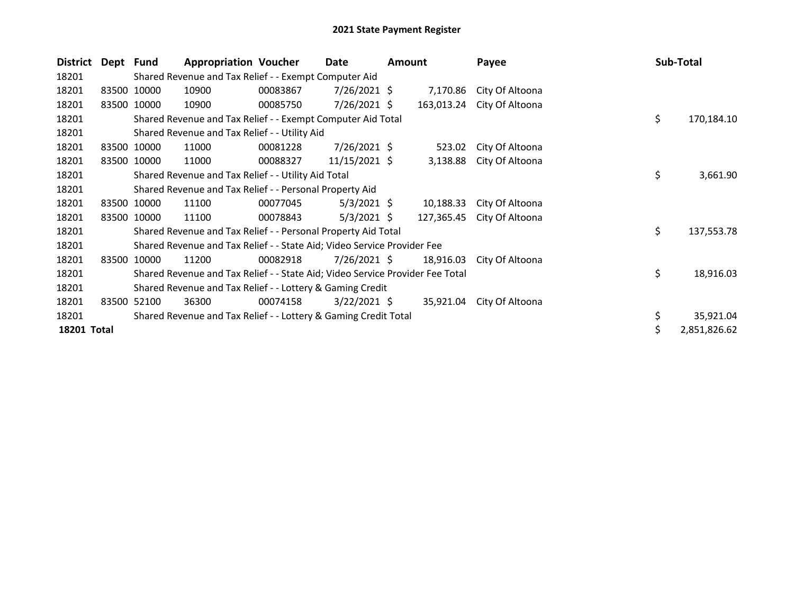| <b>District</b> | Dept Fund |                                                           | <b>Appropriation Voucher</b>                                                  |          | Date            | Amount |            | Payee           |    | Sub-Total    |
|-----------------|-----------|-----------------------------------------------------------|-------------------------------------------------------------------------------|----------|-----------------|--------|------------|-----------------|----|--------------|
| 18201           |           |                                                           | Shared Revenue and Tax Relief - - Exempt Computer Aid                         |          |                 |        |            |                 |    |              |
| 18201           | 83500     | 10000                                                     | 10900                                                                         | 00083867 | $7/26/2021$ \$  |        | 7,170.86   | City Of Altoona |    |              |
| 18201           |           | 83500 10000                                               | 10900                                                                         | 00085750 | $7/26/2021$ \$  |        | 163,013.24 | City Of Altoona |    |              |
| 18201           |           |                                                           | Shared Revenue and Tax Relief - - Exempt Computer Aid Total                   |          |                 |        |            |                 | \$ | 170,184.10   |
| 18201           |           |                                                           | Shared Revenue and Tax Relief - - Utility Aid                                 |          |                 |        |            |                 |    |              |
| 18201           |           | 83500 10000                                               | 11000                                                                         | 00081228 | 7/26/2021 \$    |        | 523.02     | City Of Altoona |    |              |
| 18201           | 83500     | 10000                                                     | 11000                                                                         | 00088327 | $11/15/2021$ \$ |        | 3,138.88   | City Of Altoona |    |              |
| 18201           |           |                                                           | Shared Revenue and Tax Relief - - Utility Aid Total                           |          |                 |        |            |                 | \$ | 3,661.90     |
| 18201           |           |                                                           | Shared Revenue and Tax Relief - - Personal Property Aid                       |          |                 |        |            |                 |    |              |
| 18201           |           | 83500 10000                                               | 11100                                                                         | 00077045 | $5/3/2021$ \$   |        | 10,188.33  | City Of Altoona |    |              |
| 18201           | 83500     | 10000                                                     | 11100                                                                         | 00078843 | $5/3/2021$ \$   |        | 127,365.45 | City Of Altoona |    |              |
| 18201           |           |                                                           | Shared Revenue and Tax Relief - - Personal Property Aid Total                 |          |                 |        |            |                 | \$ | 137,553.78   |
| 18201           |           |                                                           | Shared Revenue and Tax Relief - - State Aid; Video Service Provider Fee       |          |                 |        |            |                 |    |              |
| 18201           | 83500     | 10000                                                     | 11200                                                                         | 00082918 | $7/26/2021$ \$  |        | 18,916.03  | City Of Altoona |    |              |
| 18201           |           |                                                           | Shared Revenue and Tax Relief - - State Aid; Video Service Provider Fee Total |          |                 |        |            |                 | \$ | 18,916.03    |
| 18201           |           | Shared Revenue and Tax Relief - - Lottery & Gaming Credit |                                                                               |          |                 |        |            |                 |    |              |
| 18201           | 83500     | 52100                                                     | 36300                                                                         | 00074158 | $3/22/2021$ \$  |        | 35,921.04  | City Of Altoona |    |              |
| 18201           |           |                                                           | Shared Revenue and Tax Relief - - Lottery & Gaming Credit Total               |          |                 |        |            |                 | \$ | 35,921.04    |
| 18201 Total     |           |                                                           |                                                                               |          |                 |        |            |                 |    | 2,851,826.62 |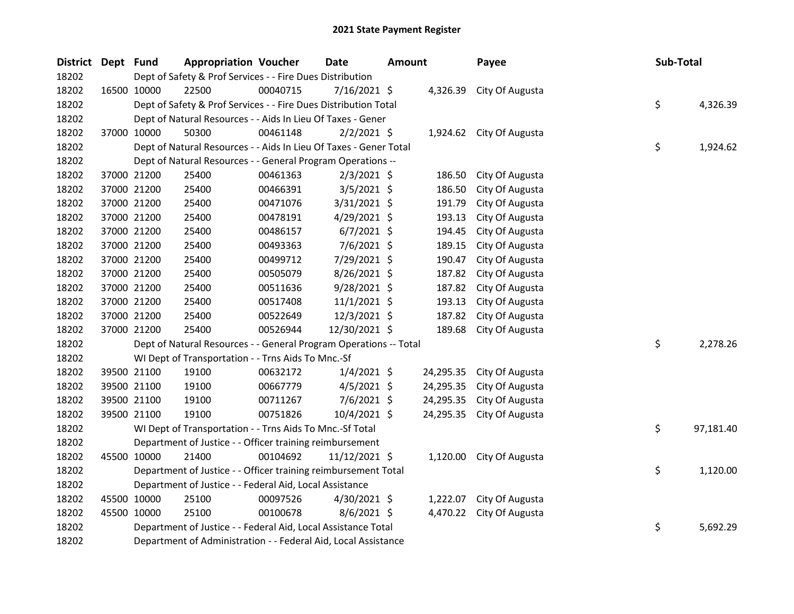| <b>District</b> | Dept Fund |             | <b>Appropriation Voucher</b>                                      |          | <b>Date</b>    | Amount |           | Payee                    | Sub-Total |           |
|-----------------|-----------|-------------|-------------------------------------------------------------------|----------|----------------|--------|-----------|--------------------------|-----------|-----------|
| 18202           |           |             | Dept of Safety & Prof Services - - Fire Dues Distribution         |          |                |        |           |                          |           |           |
| 18202           |           | 16500 10000 | 22500                                                             | 00040715 | 7/16/2021 \$   |        | 4,326.39  | City Of Augusta          |           |           |
| 18202           |           |             | Dept of Safety & Prof Services - - Fire Dues Distribution Total   |          |                |        |           |                          | \$        | 4,326.39  |
| 18202           |           |             | Dept of Natural Resources - - Aids In Lieu Of Taxes - Gener       |          |                |        |           |                          |           |           |
| 18202           |           | 37000 10000 | 50300                                                             | 00461148 | $2/2/2021$ \$  |        |           | 1,924.62 City Of Augusta |           |           |
| 18202           |           |             | Dept of Natural Resources - - Aids In Lieu Of Taxes - Gener Total |          |                |        |           |                          | \$        | 1,924.62  |
| 18202           |           |             | Dept of Natural Resources - - General Program Operations --       |          |                |        |           |                          |           |           |
| 18202           |           | 37000 21200 | 25400                                                             | 00461363 | $2/3/2021$ \$  |        | 186.50    | City Of Augusta          |           |           |
| 18202           |           | 37000 21200 | 25400                                                             | 00466391 | $3/5/2021$ \$  |        | 186.50    | City Of Augusta          |           |           |
| 18202           |           | 37000 21200 | 25400                                                             | 00471076 | 3/31/2021 \$   |        | 191.79    | City Of Augusta          |           |           |
| 18202           |           | 37000 21200 | 25400                                                             | 00478191 | $4/29/2021$ \$ |        | 193.13    | City Of Augusta          |           |           |
| 18202           |           | 37000 21200 | 25400                                                             | 00486157 | $6/7/2021$ \$  |        | 194.45    | City Of Augusta          |           |           |
| 18202           |           | 37000 21200 | 25400                                                             | 00493363 | $7/6/2021$ \$  |        | 189.15    | City Of Augusta          |           |           |
| 18202           |           | 37000 21200 | 25400                                                             | 00499712 | 7/29/2021 \$   |        | 190.47    | City Of Augusta          |           |           |
| 18202           |           | 37000 21200 | 25400                                                             | 00505079 | 8/26/2021 \$   |        | 187.82    | City Of Augusta          |           |           |
| 18202           |           | 37000 21200 | 25400                                                             | 00511636 | 9/28/2021 \$   |        | 187.82    | City Of Augusta          |           |           |
| 18202           |           | 37000 21200 | 25400                                                             | 00517408 | $11/1/2021$ \$ |        | 193.13    | City Of Augusta          |           |           |
| 18202           |           | 37000 21200 | 25400                                                             | 00522649 | 12/3/2021 \$   |        | 187.82    | City Of Augusta          |           |           |
| 18202           |           | 37000 21200 | 25400                                                             | 00526944 | 12/30/2021 \$  |        | 189.68    | City Of Augusta          |           |           |
| 18202           |           |             | Dept of Natural Resources - - General Program Operations -- Total |          |                |        |           |                          | \$        | 2,278.26  |
| 18202           |           |             | WI Dept of Transportation - - Trns Aids To Mnc.-Sf                |          |                |        |           |                          |           |           |
| 18202           |           | 39500 21100 | 19100                                                             | 00632172 | $1/4/2021$ \$  |        | 24,295.35 | City Of Augusta          |           |           |
| 18202           |           | 39500 21100 | 19100                                                             | 00667779 | $4/5/2021$ \$  |        | 24,295.35 | City Of Augusta          |           |           |
| 18202           |           | 39500 21100 | 19100                                                             | 00711267 | $7/6/2021$ \$  |        | 24,295.35 | City Of Augusta          |           |           |
| 18202           |           | 39500 21100 | 19100                                                             | 00751826 | 10/4/2021 \$   |        | 24,295.35 | City Of Augusta          |           |           |
| 18202           |           |             | WI Dept of Transportation - - Trns Aids To Mnc.-Sf Total          |          |                |        |           |                          | \$        | 97,181.40 |
| 18202           |           |             | Department of Justice - - Officer training reimbursement          |          |                |        |           |                          |           |           |
| 18202           |           | 45500 10000 | 21400                                                             | 00104692 | 11/12/2021 \$  |        |           | 1,120.00 City Of Augusta |           |           |
| 18202           |           |             | Department of Justice - - Officer training reimbursement Total    |          |                |        |           |                          | \$.       | 1,120.00  |
| 18202           |           |             | Department of Justice - - Federal Aid, Local Assistance           |          |                |        |           |                          |           |           |
| 18202           |           | 45500 10000 | 25100                                                             | 00097526 | 4/30/2021 \$   |        | 1,222.07  | City Of Augusta          |           |           |
| 18202           |           | 45500 10000 | 25100                                                             | 00100678 | $8/6/2021$ \$  |        |           | 4,470.22 City Of Augusta |           |           |
| 18202           |           |             | Department of Justice - - Federal Aid, Local Assistance Total     |          |                |        |           |                          | \$        | 5,692.29  |
| 18202           |           |             | Department of Administration - - Federal Aid, Local Assistance    |          |                |        |           |                          |           |           |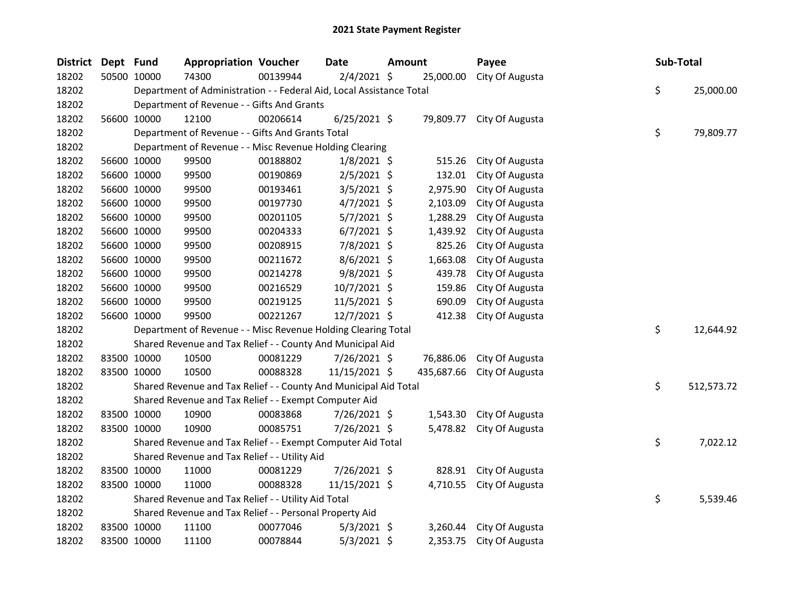| <b>District</b> | Dept Fund |             | <b>Appropriation Voucher</b>                                         |          | Date           | <b>Amount</b> |            | Payee                     | Sub-Total |            |
|-----------------|-----------|-------------|----------------------------------------------------------------------|----------|----------------|---------------|------------|---------------------------|-----------|------------|
| 18202           |           | 50500 10000 | 74300                                                                | 00139944 | $2/4/2021$ \$  |               | 25,000.00  | City Of Augusta           |           |            |
| 18202           |           |             | Department of Administration - - Federal Aid, Local Assistance Total |          |                |               |            |                           | \$        | 25,000.00  |
| 18202           |           |             | Department of Revenue - - Gifts And Grants                           |          |                |               |            |                           |           |            |
| 18202           |           | 56600 10000 | 12100                                                                | 00206614 | $6/25/2021$ \$ |               |            | 79,809.77 City Of Augusta |           |            |
| 18202           |           |             | Department of Revenue - - Gifts And Grants Total                     |          |                |               |            |                           | \$        | 79,809.77  |
| 18202           |           |             | Department of Revenue - - Misc Revenue Holding Clearing              |          |                |               |            |                           |           |            |
| 18202           |           | 56600 10000 | 99500                                                                | 00188802 | $1/8/2021$ \$  |               | 515.26     | City Of Augusta           |           |            |
| 18202           |           | 56600 10000 | 99500                                                                | 00190869 | $2/5/2021$ \$  |               | 132.01     | City Of Augusta           |           |            |
| 18202           |           | 56600 10000 | 99500                                                                | 00193461 | $3/5/2021$ \$  |               | 2,975.90   | City Of Augusta           |           |            |
| 18202           |           | 56600 10000 | 99500                                                                | 00197730 | $4/7/2021$ \$  |               | 2,103.09   | City Of Augusta           |           |            |
| 18202           |           | 56600 10000 | 99500                                                                | 00201105 | $5/7/2021$ \$  |               | 1,288.29   | City Of Augusta           |           |            |
| 18202           |           | 56600 10000 | 99500                                                                | 00204333 | $6/7/2021$ \$  |               | 1,439.92   | City Of Augusta           |           |            |
| 18202           |           | 56600 10000 | 99500                                                                | 00208915 | 7/8/2021 \$    |               | 825.26     | City Of Augusta           |           |            |
| 18202           |           | 56600 10000 | 99500                                                                | 00211672 | $8/6/2021$ \$  |               | 1,663.08   | City Of Augusta           |           |            |
| 18202           |           | 56600 10000 | 99500                                                                | 00214278 | $9/8/2021$ \$  |               | 439.78     | City Of Augusta           |           |            |
| 18202           |           | 56600 10000 | 99500                                                                | 00216529 | 10/7/2021 \$   |               | 159.86     | City Of Augusta           |           |            |
| 18202           |           | 56600 10000 | 99500                                                                | 00219125 | 11/5/2021 \$   |               | 690.09     | City Of Augusta           |           |            |
| 18202           |           | 56600 10000 | 99500                                                                | 00221267 | 12/7/2021 \$   |               | 412.38     | City Of Augusta           |           |            |
| 18202           |           |             | Department of Revenue - - Misc Revenue Holding Clearing Total        |          |                |               |            |                           | \$        | 12,644.92  |
| 18202           |           |             | Shared Revenue and Tax Relief - - County And Municipal Aid           |          |                |               |            |                           |           |            |
| 18202           |           | 83500 10000 | 10500                                                                | 00081229 | 7/26/2021 \$   |               | 76,886.06  | City Of Augusta           |           |            |
| 18202           |           | 83500 10000 | 10500                                                                | 00088328 | 11/15/2021 \$  |               | 435,687.66 | City Of Augusta           |           |            |
| 18202           |           |             | Shared Revenue and Tax Relief - - County And Municipal Aid Total     |          |                |               |            |                           | \$        | 512,573.72 |
| 18202           |           |             | Shared Revenue and Tax Relief - - Exempt Computer Aid                |          |                |               |            |                           |           |            |
| 18202           |           | 83500 10000 | 10900                                                                | 00083868 | 7/26/2021 \$   |               | 1,543.30   | City Of Augusta           |           |            |
| 18202           |           | 83500 10000 | 10900                                                                | 00085751 | 7/26/2021 \$   |               |            | 5,478.82 City Of Augusta  |           |            |
| 18202           |           |             | Shared Revenue and Tax Relief - - Exempt Computer Aid Total          |          |                |               |            |                           | \$        | 7,022.12   |
| 18202           |           |             | Shared Revenue and Tax Relief - - Utility Aid                        |          |                |               |            |                           |           |            |
| 18202           |           | 83500 10000 | 11000                                                                | 00081229 | 7/26/2021 \$   |               |            | 828.91 City Of Augusta    |           |            |
| 18202           |           | 83500 10000 | 11000                                                                | 00088328 | 11/15/2021 \$  |               | 4,710.55   | City Of Augusta           |           |            |
| 18202           |           |             | Shared Revenue and Tax Relief - - Utility Aid Total                  |          |                |               |            |                           | \$        | 5,539.46   |
| 18202           |           |             | Shared Revenue and Tax Relief - - Personal Property Aid              |          |                |               |            |                           |           |            |
| 18202           |           | 83500 10000 | 11100                                                                | 00077046 | $5/3/2021$ \$  |               | 3,260.44   | City Of Augusta           |           |            |
| 18202           |           | 83500 10000 | 11100                                                                | 00078844 | $5/3/2021$ \$  |               | 2,353.75   | City Of Augusta           |           |            |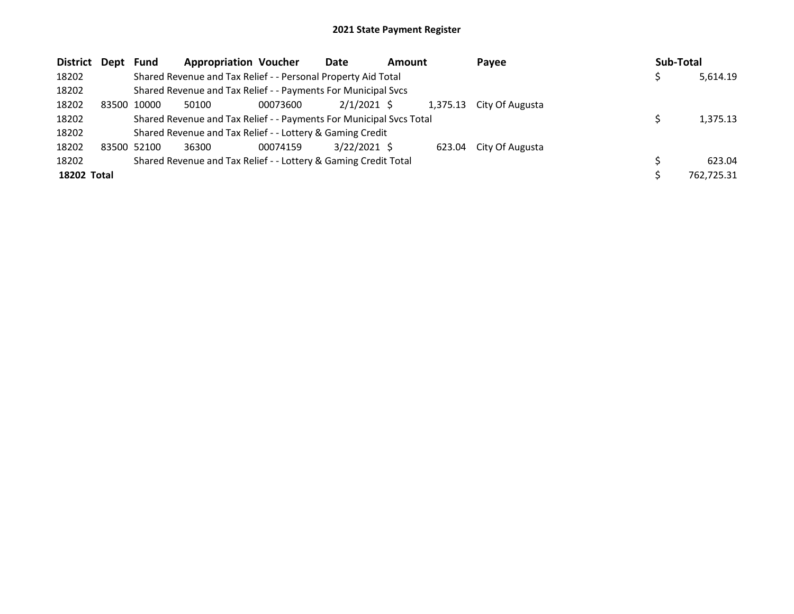| District Dept Fund |       |             | <b>Appropriation Voucher</b>                                        |          | Date           | <b>Amount</b> |        | Pavee                    | Sub-Total |            |
|--------------------|-------|-------------|---------------------------------------------------------------------|----------|----------------|---------------|--------|--------------------------|-----------|------------|
| 18202              |       |             | Shared Revenue and Tax Relief - - Personal Property Aid Total       |          |                |               |        |                          |           | 5,614.19   |
| 18202              |       |             | Shared Revenue and Tax Relief - - Payments For Municipal Svcs       |          |                |               |        |                          |           |            |
| 18202              | 83500 | 10000       | 50100                                                               | 00073600 | $2/1/2021$ \$  |               |        | 1,375.13 City Of Augusta |           |            |
| 18202              |       |             | Shared Revenue and Tax Relief - - Payments For Municipal Svcs Total |          |                |               |        |                          |           | 1,375.13   |
| 18202              |       |             | Shared Revenue and Tax Relief - - Lottery & Gaming Credit           |          |                |               |        |                          |           |            |
| 18202              |       | 83500 52100 | 36300                                                               | 00074159 | $3/22/2021$ \$ |               | 623.04 | City Of Augusta          |           |            |
| 18202              |       |             | Shared Revenue and Tax Relief - - Lottery & Gaming Credit Total     |          |                |               |        |                          |           | 623.04     |
| 18202 Total        |       |             |                                                                     |          |                |               |        |                          |           | 762,725.31 |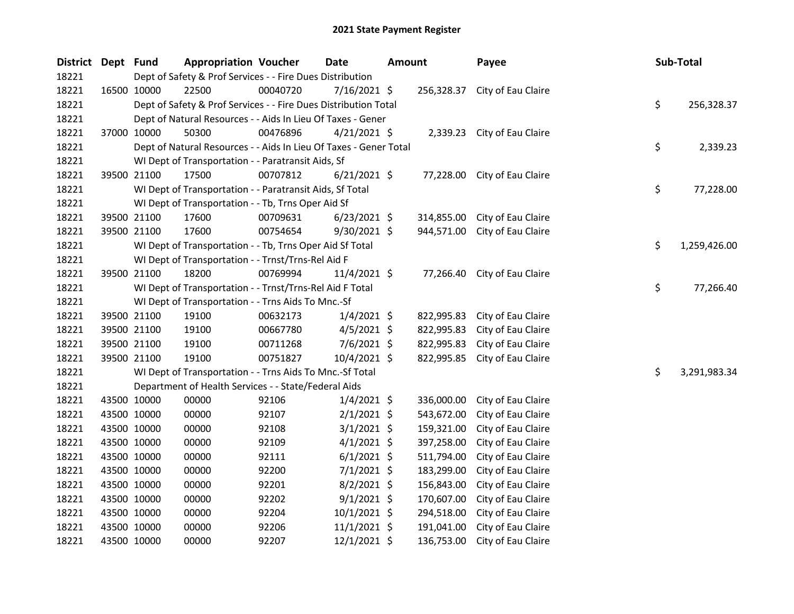| District Dept Fund |             |             | <b>Appropriation Voucher</b>                                      |          | Date           | Amount |            | Payee                        | Sub-Total |    |              |
|--------------------|-------------|-------------|-------------------------------------------------------------------|----------|----------------|--------|------------|------------------------------|-----------|----|--------------|
| 18221              |             |             | Dept of Safety & Prof Services - - Fire Dues Distribution         |          |                |        |            |                              |           |    |              |
| 18221              |             | 16500 10000 | 22500                                                             | 00040720 | 7/16/2021 \$   |        | 256,328.37 | City of Eau Claire           |           |    |              |
| 18221              |             |             | Dept of Safety & Prof Services - - Fire Dues Distribution Total   |          |                |        |            |                              |           | \$ | 256,328.37   |
| 18221              |             |             | Dept of Natural Resources - - Aids In Lieu Of Taxes - Gener       |          |                |        |            |                              |           |    |              |
| 18221              |             | 37000 10000 | 50300                                                             | 00476896 | $4/21/2021$ \$ |        |            | 2,339.23 City of Eau Claire  |           |    |              |
| 18221              |             |             | Dept of Natural Resources - - Aids In Lieu Of Taxes - Gener Total |          |                |        |            |                              |           | \$ | 2,339.23     |
| 18221              |             |             | WI Dept of Transportation - - Paratransit Aids, Sf                |          |                |        |            |                              |           |    |              |
| 18221              |             | 39500 21100 | 17500                                                             | 00707812 | $6/21/2021$ \$ |        | 77,228.00  | City of Eau Claire           |           |    |              |
| 18221              |             |             | WI Dept of Transportation - - Paratransit Aids, Sf Total          |          |                |        |            |                              |           | \$ | 77,228.00    |
| 18221              |             |             | WI Dept of Transportation - - Tb, Trns Oper Aid Sf                |          |                |        |            |                              |           |    |              |
| 18221              |             | 39500 21100 | 17600                                                             | 00709631 | $6/23/2021$ \$ |        | 314,855.00 | City of Eau Claire           |           |    |              |
| 18221              |             | 39500 21100 | 17600                                                             | 00754654 | 9/30/2021 \$   |        | 944,571.00 | City of Eau Claire           |           |    |              |
| 18221              |             |             | WI Dept of Transportation - - Tb, Trns Oper Aid Sf Total          |          |                |        |            |                              |           | \$ | 1,259,426.00 |
| 18221              |             |             | WI Dept of Transportation - - Trnst/Trns-Rel Aid F                |          |                |        |            |                              |           |    |              |
| 18221              |             | 39500 21100 | 18200                                                             | 00769994 | $11/4/2021$ \$ |        |            | 77,266.40 City of Eau Claire |           |    |              |
| 18221              |             |             | WI Dept of Transportation - - Trnst/Trns-Rel Aid F Total          |          |                |        |            |                              |           | \$ | 77,266.40    |
| 18221              |             |             | WI Dept of Transportation - - Trns Aids To Mnc.-Sf                |          |                |        |            |                              |           |    |              |
| 18221              |             | 39500 21100 | 19100                                                             | 00632173 | $1/4/2021$ \$  |        | 822,995.83 | City of Eau Claire           |           |    |              |
| 18221              |             | 39500 21100 | 19100                                                             | 00667780 | $4/5/2021$ \$  |        | 822,995.83 | City of Eau Claire           |           |    |              |
| 18221              |             | 39500 21100 | 19100                                                             | 00711268 | $7/6/2021$ \$  |        | 822,995.83 | City of Eau Claire           |           |    |              |
| 18221              |             | 39500 21100 | 19100                                                             | 00751827 | 10/4/2021 \$   |        | 822,995.85 | City of Eau Claire           |           |    |              |
| 18221              |             |             | WI Dept of Transportation - - Trns Aids To Mnc.-Sf Total          |          |                |        |            |                              |           | \$ | 3,291,983.34 |
| 18221              |             |             | Department of Health Services - - State/Federal Aids              |          |                |        |            |                              |           |    |              |
| 18221              |             | 43500 10000 | 00000                                                             | 92106    | $1/4/2021$ \$  |        | 336,000.00 | City of Eau Claire           |           |    |              |
| 18221              |             | 43500 10000 | 00000                                                             | 92107    | $2/1/2021$ \$  |        | 543,672.00 | City of Eau Claire           |           |    |              |
| 18221              |             | 43500 10000 | 00000                                                             | 92108    | $3/1/2021$ \$  |        | 159,321.00 | City of Eau Claire           |           |    |              |
| 18221              |             | 43500 10000 | 00000                                                             | 92109    | $4/1/2021$ \$  |        | 397,258.00 | City of Eau Claire           |           |    |              |
| 18221              |             | 43500 10000 | 00000                                                             | 92111    | $6/1/2021$ \$  |        | 511,794.00 | City of Eau Claire           |           |    |              |
| 18221              |             | 43500 10000 | 00000                                                             | 92200    | $7/1/2021$ \$  |        | 183,299.00 | City of Eau Claire           |           |    |              |
| 18221              |             | 43500 10000 | 00000                                                             | 92201    | $8/2/2021$ \$  |        | 156,843.00 | City of Eau Claire           |           |    |              |
| 18221              |             | 43500 10000 | 00000                                                             | 92202    | $9/1/2021$ \$  |        | 170,607.00 | City of Eau Claire           |           |    |              |
| 18221              | 43500 10000 |             | 00000                                                             | 92204    | $10/1/2021$ \$ |        | 294,518.00 | City of Eau Claire           |           |    |              |
| 18221              |             | 43500 10000 | 00000                                                             | 92206    | $11/1/2021$ \$ |        | 191,041.00 | City of Eau Claire           |           |    |              |
| 18221              |             | 43500 10000 | 00000                                                             | 92207    | 12/1/2021 \$   |        | 136,753.00 | City of Eau Claire           |           |    |              |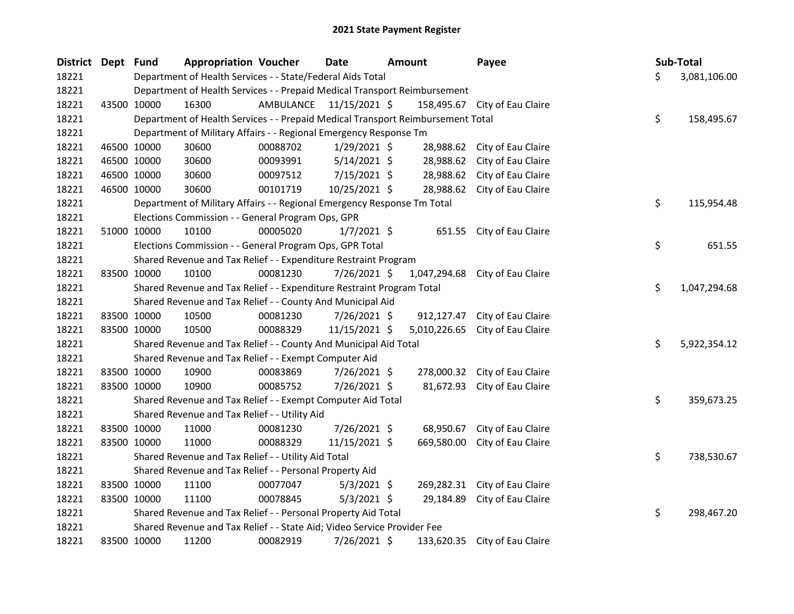| District Dept Fund |             | <b>Appropriation Voucher</b>                                                    |                         | Date           | <b>Amount</b> |              | Payee                           | Sub-Total |              |
|--------------------|-------------|---------------------------------------------------------------------------------|-------------------------|----------------|---------------|--------------|---------------------------------|-----------|--------------|
| 18221              |             | Department of Health Services - - State/Federal Aids Total                      |                         |                |               |              |                                 | \$        | 3,081,106.00 |
| 18221              |             | Department of Health Services - - Prepaid Medical Transport Reimbursement       |                         |                |               |              |                                 |           |              |
| 18221              | 43500 10000 | 16300                                                                           | AMBULANCE 11/15/2021 \$ |                |               |              | 158,495.67 City of Eau Claire   |           |              |
| 18221              |             | Department of Health Services - - Prepaid Medical Transport Reimbursement Total |                         |                |               |              |                                 | \$        | 158,495.67   |
| 18221              |             | Department of Military Affairs - - Regional Emergency Response Tm               |                         |                |               |              |                                 |           |              |
| 18221              | 46500 10000 | 30600                                                                           | 00088702                | $1/29/2021$ \$ |               | 28,988.62    | City of Eau Claire              |           |              |
| 18221              | 46500 10000 | 30600                                                                           | 00093991                | $5/14/2021$ \$ |               | 28,988.62    | City of Eau Claire              |           |              |
| 18221              | 46500 10000 | 30600                                                                           | 00097512                | 7/15/2021 \$   |               | 28,988.62    | City of Eau Claire              |           |              |
| 18221              | 46500 10000 | 30600                                                                           | 00101719                | 10/25/2021 \$  |               | 28,988.62    | City of Eau Claire              |           |              |
| 18221              |             | Department of Military Affairs - - Regional Emergency Response Tm Total         |                         |                |               |              |                                 | \$        | 115,954.48   |
| 18221              |             | Elections Commission - - General Program Ops, GPR                               |                         |                |               |              |                                 |           |              |
| 18221              | 51000 10000 | 10100                                                                           | 00005020                | $1/7/2021$ \$  |               | 651.55       | City of Eau Claire              |           |              |
| 18221              |             | Elections Commission - - General Program Ops, GPR Total                         |                         |                |               |              |                                 | \$        | 651.55       |
| 18221              |             | Shared Revenue and Tax Relief - - Expenditure Restraint Program                 |                         |                |               |              |                                 |           |              |
| 18221              | 83500 10000 | 10100                                                                           | 00081230                | $7/26/2021$ \$ |               | 1,047,294.68 | City of Eau Claire              |           |              |
| 18221              |             | Shared Revenue and Tax Relief - - Expenditure Restraint Program Total           |                         |                |               |              |                                 | \$        | 1,047,294.68 |
| 18221              |             | Shared Revenue and Tax Relief - - County And Municipal Aid                      |                         |                |               |              |                                 |           |              |
| 18221              | 83500 10000 | 10500                                                                           | 00081230                | 7/26/2021 \$   |               |              | 912,127.47 City of Eau Claire   |           |              |
| 18221              | 83500 10000 | 10500                                                                           | 00088329                | 11/15/2021 \$  |               |              | 5,010,226.65 City of Eau Claire |           |              |
| 18221              |             | Shared Revenue and Tax Relief - - County And Municipal Aid Total                |                         |                |               |              |                                 | \$        | 5,922,354.12 |
| 18221              |             | Shared Revenue and Tax Relief - - Exempt Computer Aid                           |                         |                |               |              |                                 |           |              |
| 18221              | 83500 10000 | 10900                                                                           | 00083869                | 7/26/2021 \$   |               |              | 278,000.32 City of Eau Claire   |           |              |
| 18221              | 83500 10000 | 10900                                                                           | 00085752                | 7/26/2021 \$   |               |              | 81,672.93 City of Eau Claire    |           |              |
| 18221              |             | Shared Revenue and Tax Relief - - Exempt Computer Aid Total                     |                         |                |               |              |                                 | \$        | 359,673.25   |
| 18221              |             | Shared Revenue and Tax Relief - - Utility Aid                                   |                         |                |               |              |                                 |           |              |
| 18221              | 83500 10000 | 11000                                                                           | 00081230                | 7/26/2021 \$   |               | 68,950.67    | City of Eau Claire              |           |              |
| 18221              | 83500 10000 | 11000                                                                           | 00088329                | 11/15/2021 \$  |               | 669,580.00   | City of Eau Claire              |           |              |
| 18221              |             | Shared Revenue and Tax Relief - - Utility Aid Total                             |                         |                |               |              |                                 | \$        | 738,530.67   |
| 18221              |             | Shared Revenue and Tax Relief - - Personal Property Aid                         |                         |                |               |              |                                 |           |              |
| 18221              | 83500 10000 | 11100                                                                           | 00077047                | $5/3/2021$ \$  |               |              | 269,282.31 City of Eau Claire   |           |              |
| 18221              | 83500 10000 | 11100                                                                           | 00078845                | $5/3/2021$ \$  |               | 29,184.89    | City of Eau Claire              |           |              |
| 18221              |             | Shared Revenue and Tax Relief - - Personal Property Aid Total                   |                         |                |               |              |                                 | \$        | 298,467.20   |
| 18221              |             | Shared Revenue and Tax Relief - - State Aid; Video Service Provider Fee         |                         |                |               |              |                                 |           |              |
| 18221              | 83500 10000 | 11200                                                                           | 00082919                | 7/26/2021 \$   |               | 133,620.35   | City of Eau Claire              |           |              |